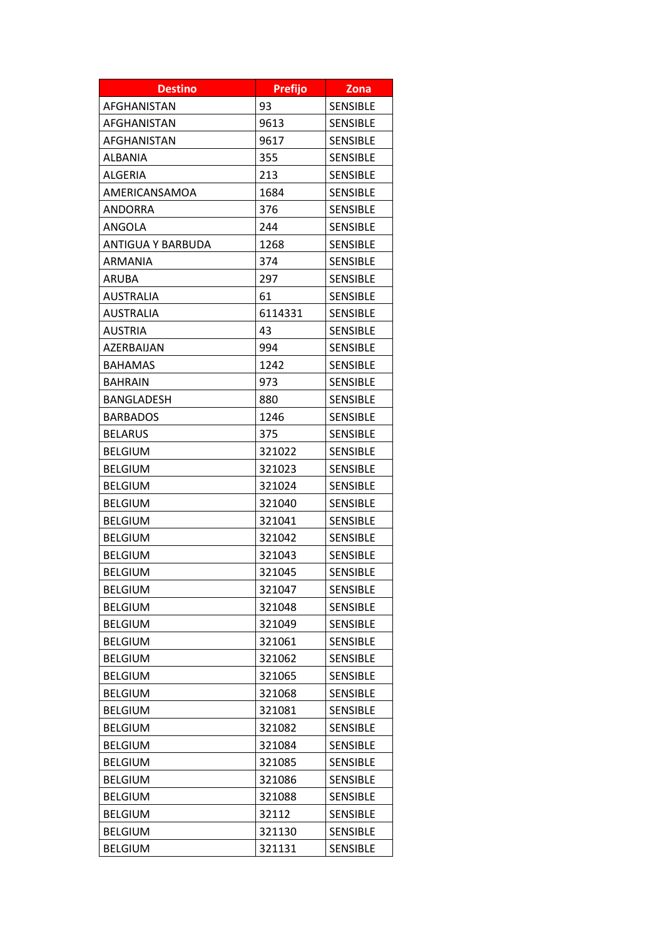| <b>Destino</b>    | <b>Prefijo</b> | <b>Zona</b>     |
|-------------------|----------------|-----------------|
| AFGHANISTAN       | 93             | <b>SENSIBLE</b> |
| AFGHANISTAN       | 9613           | <b>SENSIBLE</b> |
| AFGHANISTAN       | 9617           | <b>SENSIBLE</b> |
| ALBANIA           | 355            | <b>SENSIBLE</b> |
| <b>ALGERIA</b>    | 213            | <b>SENSIBLE</b> |
| AMERICANSAMOA     | 1684           | <b>SENSIBLE</b> |
| ANDORRA           | 376            | <b>SENSIBLE</b> |
| ANGOLA            | 244            | <b>SENSIBLE</b> |
| ANTIGUA Y BARBUDA | 1268           | <b>SENSIBLE</b> |
| ARMANIA           | 374            | <b>SENSIBLE</b> |
| ARUBA             | 297            | <b>SENSIBLE</b> |
| <b>AUSTRALIA</b>  | 61             | <b>SENSIBLE</b> |
| AUSTRALIA         | 6114331        | <b>SENSIBLE</b> |
| <b>AUSTRIA</b>    | 43             | <b>SENSIBLE</b> |
| AZERBAIJAN        | 994            | <b>SENSIBLE</b> |
| <b>BAHAMAS</b>    | 1242           | <b>SENSIBLE</b> |
| <b>BAHRAIN</b>    | 973            | <b>SENSIBLE</b> |
| <b>BANGLADESH</b> | 880            | <b>SENSIBLE</b> |
| <b>BARBADOS</b>   | 1246           | <b>SENSIBLE</b> |
| <b>BELARUS</b>    | 375            | <b>SENSIBLE</b> |
| <b>BELGIUM</b>    | 321022         | <b>SENSIBLE</b> |
| <b>BELGIUM</b>    | 321023         | <b>SENSIBLE</b> |
| <b>BELGIUM</b>    | 321024         | <b>SENSIBLE</b> |
| <b>BELGIUM</b>    | 321040         | <b>SENSIBLE</b> |
| <b>BELGIUM</b>    | 321041         | <b>SENSIBLE</b> |
| <b>BELGIUM</b>    | 321042         | <b>SENSIBLE</b> |
| <b>BELGIUM</b>    | 321043         | <b>SENSIBLE</b> |
| <b>BELGIUM</b>    | 321045         | <b>SENSIBLE</b> |
| <b>BELGIUM</b>    | 321047         | <b>SENSIBLE</b> |
| <b>BELGIUM</b>    | 321048         | <b>SENSIBLE</b> |
| <b>BELGIUM</b>    | 321049         | <b>SENSIBLE</b> |
| <b>BELGIUM</b>    | 321061         | <b>SENSIBLE</b> |
| <b>BELGIUM</b>    | 321062         | <b>SENSIBLE</b> |
| <b>BELGIUM</b>    | 321065         | <b>SENSIBLE</b> |
| <b>BELGIUM</b>    | 321068         | <b>SENSIBLE</b> |
| <b>BELGIUM</b>    | 321081         | <b>SENSIBLE</b> |
| <b>BELGIUM</b>    | 321082         | <b>SENSIBLE</b> |
| <b>BELGIUM</b>    | 321084         | <b>SENSIBLE</b> |
| <b>BELGIUM</b>    | 321085         | <b>SENSIBLE</b> |
| <b>BELGIUM</b>    | 321086         | <b>SENSIBLE</b> |
| <b>BELGIUM</b>    | 321088         | <b>SENSIBLE</b> |
| <b>BELGIUM</b>    | 32112          | <b>SENSIBLE</b> |
| <b>BELGIUM</b>    | 321130         | <b>SENSIBLE</b> |
| <b>BELGIUM</b>    | 321131         | <b>SENSIBLE</b> |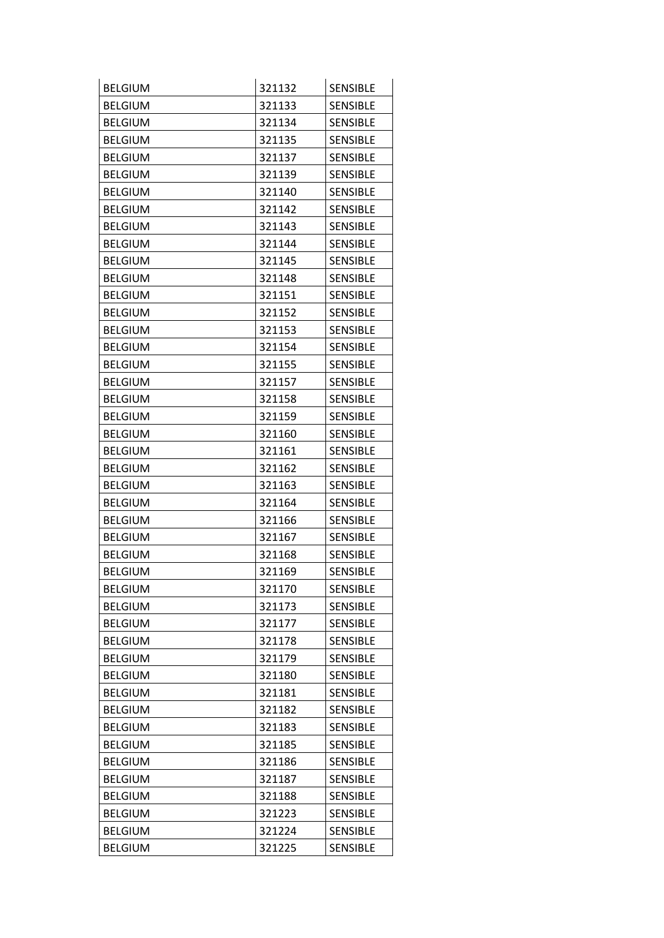| <b>BELGIUM</b> | 321132 | <b>SENSIBLE</b> |
|----------------|--------|-----------------|
| <b>BELGIUM</b> | 321133 | <b>SENSIBLE</b> |
| <b>BELGIUM</b> | 321134 | <b>SENSIBLE</b> |
| <b>BELGIUM</b> | 321135 | <b>SENSIBLE</b> |
| <b>BELGIUM</b> | 321137 | SENSIBLE        |
| <b>BELGIUM</b> | 321139 | <b>SENSIBLE</b> |
| <b>BELGIUM</b> | 321140 | <b>SENSIBLE</b> |
| <b>BELGIUM</b> | 321142 | <b>SENSIBLE</b> |
| <b>BELGIUM</b> | 321143 | <b>SENSIBLE</b> |
| <b>BELGIUM</b> | 321144 | <b>SENSIBLE</b> |
| <b>BELGIUM</b> | 321145 | <b>SENSIBLE</b> |
| <b>BELGIUM</b> | 321148 | <b>SENSIBLE</b> |
| <b>BELGIUM</b> | 321151 | <b>SENSIBLE</b> |
| <b>BELGIUM</b> | 321152 | <b>SENSIBLE</b> |
| <b>BELGIUM</b> | 321153 | <b>SENSIBLE</b> |
| <b>BELGIUM</b> | 321154 | <b>SENSIBLE</b> |
| <b>BELGIUM</b> | 321155 | <b>SENSIBLE</b> |
| <b>BELGIUM</b> | 321157 | <b>SENSIBLE</b> |
| <b>BELGIUM</b> | 321158 | <b>SENSIBLE</b> |
| <b>BELGIUM</b> | 321159 | <b>SENSIBLE</b> |
| <b>BELGIUM</b> | 321160 | <b>SENSIBLE</b> |
| <b>BELGIUM</b> | 321161 | <b>SENSIBLE</b> |
| <b>BELGIUM</b> | 321162 | <b>SENSIBLE</b> |
| <b>BELGIUM</b> | 321163 | <b>SENSIBLE</b> |
| <b>BELGIUM</b> | 321164 | <b>SENSIBLE</b> |
| <b>BELGIUM</b> | 321166 | <b>SENSIBLE</b> |
| <b>BELGIUM</b> | 321167 | <b>SENSIBLE</b> |
| <b>BELGIUM</b> | 321168 | <b>SENSIBLE</b> |
| <b>BELGIUM</b> | 321169 | <b>SENSIBLE</b> |
| <b>BELGIUM</b> | 321170 | <b>SENSIBLE</b> |
| <b>BELGIUM</b> | 321173 | <b>SENSIBLE</b> |
| <b>BELGIUM</b> | 321177 | <b>SENSIBLE</b> |
| <b>BELGIUM</b> | 321178 | <b>SENSIBLE</b> |
| <b>BELGIUM</b> | 321179 | SENSIBLE        |
| <b>BELGIUM</b> | 321180 | <b>SENSIBLE</b> |
| <b>BELGIUM</b> | 321181 | <b>SENSIBLE</b> |
| <b>BELGIUM</b> | 321182 | <b>SENSIBLE</b> |
| <b>BELGIUM</b> | 321183 | <b>SENSIBLE</b> |
| <b>BELGIUM</b> | 321185 | <b>SENSIBLE</b> |
| <b>BELGIUM</b> | 321186 | <b>SENSIBLE</b> |
| <b>BELGIUM</b> | 321187 | SENSIBLE        |
| <b>BELGIUM</b> | 321188 | <b>SENSIBLE</b> |
| <b>BELGIUM</b> | 321223 | <b>SENSIBLE</b> |
| <b>BELGIUM</b> | 321224 | <b>SENSIBLE</b> |
| <b>BELGIUM</b> | 321225 | SENSIBLE        |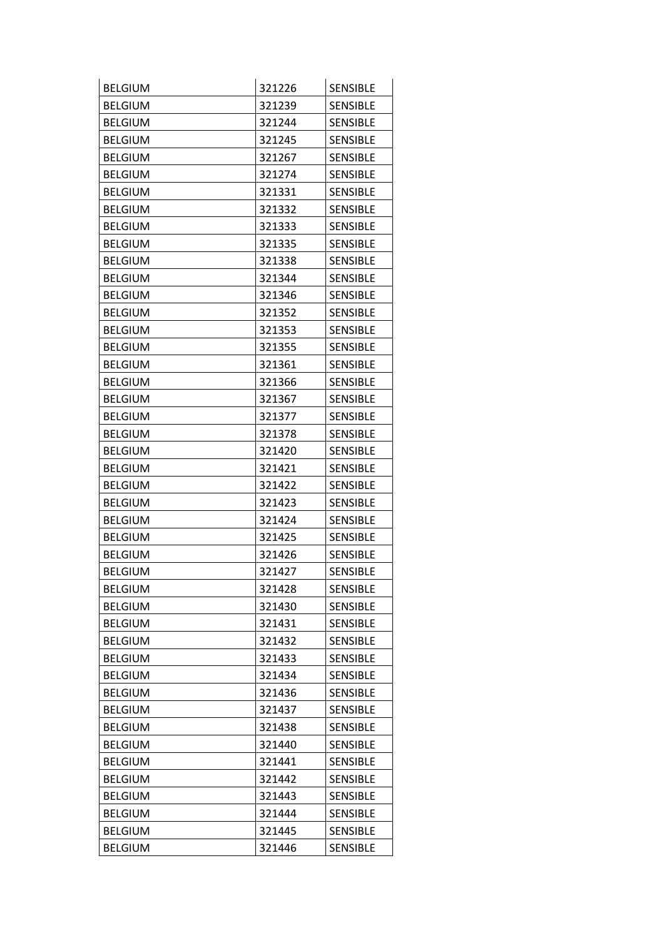| <b>BELGIUM</b> | 321226 | <b>SENSIBLE</b> |
|----------------|--------|-----------------|
| <b>BELGIUM</b> | 321239 | <b>SENSIBLE</b> |
| <b>BELGIUM</b> | 321244 | <b>SENSIBLE</b> |
| <b>BELGIUM</b> | 321245 | <b>SENSIBLE</b> |
| <b>BELGIUM</b> | 321267 | SENSIBLE        |
| <b>BELGIUM</b> | 321274 | <b>SENSIBLE</b> |
| <b>BELGIUM</b> | 321331 | <b>SENSIBLE</b> |
| <b>BELGIUM</b> | 321332 | <b>SENSIBLE</b> |
| <b>BELGIUM</b> | 321333 | <b>SENSIBLE</b> |
| <b>BELGIUM</b> | 321335 | <b>SENSIBLE</b> |
| <b>BELGIUM</b> | 321338 | <b>SENSIBLE</b> |
| <b>BELGIUM</b> | 321344 | <b>SENSIBLE</b> |
| <b>BELGIUM</b> | 321346 | <b>SENSIBLE</b> |
| <b>BELGIUM</b> | 321352 | <b>SENSIBLE</b> |
| <b>BELGIUM</b> | 321353 | <b>SENSIBLE</b> |
| <b>BELGIUM</b> | 321355 | <b>SENSIBLE</b> |
| <b>BELGIUM</b> | 321361 | <b>SENSIBLE</b> |
| <b>BELGIUM</b> | 321366 | <b>SENSIBLE</b> |
| <b>BELGIUM</b> | 321367 | <b>SENSIBLE</b> |
| <b>BELGIUM</b> | 321377 | <b>SENSIBLE</b> |
| <b>BELGIUM</b> | 321378 | <b>SENSIBLE</b> |
| <b>BELGIUM</b> | 321420 | <b>SENSIBLE</b> |
| <b>BELGIUM</b> | 321421 | <b>SENSIBLE</b> |
| <b>BELGIUM</b> | 321422 | <b>SENSIBLE</b> |
| <b>BELGIUM</b> | 321423 | <b>SENSIBLE</b> |
| <b>BELGIUM</b> | 321424 | <b>SENSIBLE</b> |
| <b>BELGIUM</b> | 321425 | <b>SENSIBLE</b> |
| <b>BELGIUM</b> | 321426 | <b>SENSIBLE</b> |
| <b>BELGIUM</b> | 321427 | <b>SENSIBLE</b> |
| <b>BELGIUM</b> | 321428 | <b>SENSIBLE</b> |
| <b>BELGIUM</b> | 321430 | <b>SENSIBLE</b> |
| <b>BELGIUM</b> | 321431 | <b>SENSIBLE</b> |
| <b>BELGIUM</b> | 321432 | <b>SENSIBLE</b> |
| <b>BELGIUM</b> | 321433 | <b>SENSIBLE</b> |
| <b>BELGIUM</b> | 321434 | <b>SENSIBLE</b> |
| <b>BELGIUM</b> | 321436 | <b>SENSIBLE</b> |
| <b>BELGIUM</b> | 321437 | <b>SENSIBLE</b> |
| <b>BELGIUM</b> | 321438 | <b>SENSIBLE</b> |
| <b>BELGIUM</b> | 321440 | <b>SENSIBLE</b> |
| <b>BELGIUM</b> | 321441 | <b>SENSIBLE</b> |
| <b>BELGIUM</b> | 321442 | <b>SENSIBLE</b> |
| <b>BELGIUM</b> | 321443 | <b>SENSIBLE</b> |
| <b>BELGIUM</b> | 321444 | <b>SENSIBLE</b> |
| <b>BELGIUM</b> | 321445 | <b>SENSIBLE</b> |
| <b>BELGIUM</b> | 321446 | <b>SENSIBLE</b> |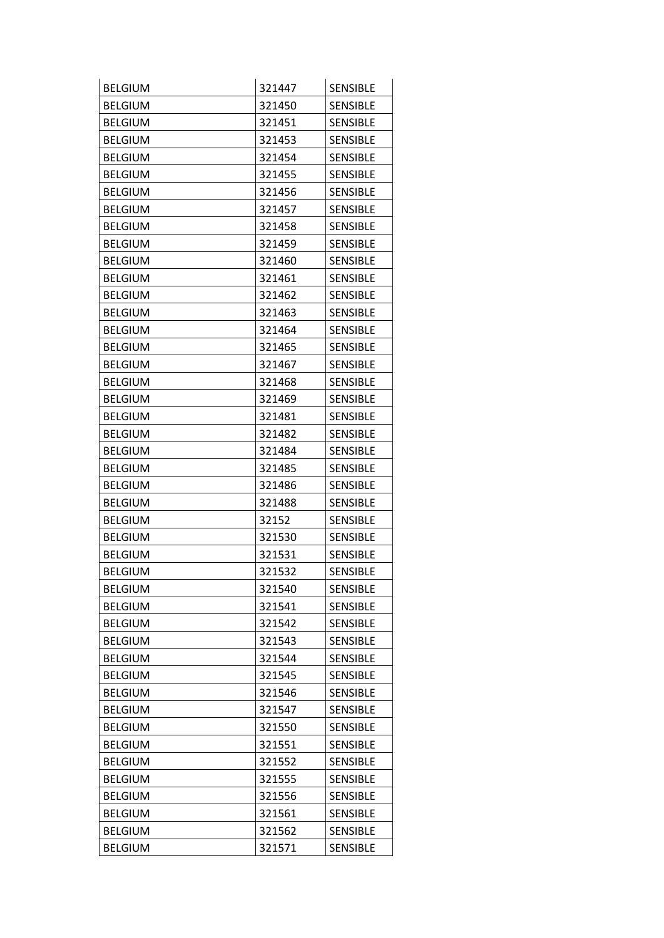| <b>BELGIUM</b> | 321447 | <b>SENSIBLE</b> |
|----------------|--------|-----------------|
| <b>BELGIUM</b> | 321450 | <b>SENSIBLE</b> |
| <b>BELGIUM</b> | 321451 | <b>SENSIBLE</b> |
| <b>BELGIUM</b> | 321453 | <b>SENSIBLE</b> |
| <b>BELGIUM</b> | 321454 | <b>SENSIBLE</b> |
| <b>BELGIUM</b> | 321455 | <b>SENSIBLE</b> |
| <b>BELGIUM</b> | 321456 | <b>SENSIBLE</b> |
| <b>BELGIUM</b> | 321457 | <b>SENSIBLE</b> |
| <b>BELGIUM</b> | 321458 | <b>SENSIBLE</b> |
| <b>BELGIUM</b> | 321459 | <b>SENSIBLE</b> |
| <b>BELGIUM</b> | 321460 | <b>SENSIBLE</b> |
| <b>BELGIUM</b> | 321461 | <b>SENSIBLE</b> |
| <b>BELGIUM</b> | 321462 | <b>SENSIBLE</b> |
| <b>BELGIUM</b> | 321463 | <b>SENSIBLE</b> |
| <b>BELGIUM</b> | 321464 | <b>SENSIBLE</b> |
| <b>BELGIUM</b> | 321465 | <b>SENSIBLE</b> |
| <b>BELGIUM</b> | 321467 | <b>SENSIBLE</b> |
| <b>BELGIUM</b> | 321468 | <b>SENSIBLE</b> |
| <b>BELGIUM</b> | 321469 | <b>SENSIBLE</b> |
| <b>BELGIUM</b> | 321481 | <b>SENSIBLE</b> |
| <b>BELGIUM</b> | 321482 | <b>SENSIBLE</b> |
| <b>BELGIUM</b> | 321484 | <b>SENSIBLE</b> |
| <b>BELGIUM</b> | 321485 | <b>SENSIBLE</b> |
| <b>BELGIUM</b> | 321486 | <b>SENSIBLE</b> |
| <b>BELGIUM</b> | 321488 | <b>SENSIBLE</b> |
| <b>BELGIUM</b> | 32152  | <b>SENSIBLE</b> |
| <b>BELGIUM</b> | 321530 | <b>SENSIBLE</b> |
| <b>BELGIUM</b> | 321531 | <b>SENSIBLE</b> |
| <b>BELGIUM</b> | 321532 | <b>SENSIBLE</b> |
| <b>BELGIUM</b> | 321540 | <b>SENSIBLE</b> |
| <b>BELGIUM</b> | 321541 | <b>SENSIBLE</b> |
| <b>BELGIUM</b> | 321542 | <b>SENSIBLE</b> |
| <b>BELGIUM</b> | 321543 | <b>SENSIBLE</b> |
| <b>BELGIUM</b> | 321544 | <b>SENSIBLE</b> |
| <b>BELGIUM</b> | 321545 | <b>SENSIBLE</b> |
| <b>BELGIUM</b> | 321546 | <b>SENSIBLE</b> |
| <b>BELGIUM</b> | 321547 | <b>SENSIBLE</b> |
| <b>BELGIUM</b> | 321550 | <b>SENSIBLE</b> |
| <b>BELGIUM</b> | 321551 | <b>SENSIBLE</b> |
| <b>BELGIUM</b> | 321552 | <b>SENSIBLE</b> |
| <b>BELGIUM</b> | 321555 | SENSIBLE        |
| <b>BELGIUM</b> | 321556 | <b>SENSIBLE</b> |
| <b>BELGIUM</b> | 321561 | <b>SENSIBLE</b> |
| <b>BELGIUM</b> | 321562 | <b>SENSIBLE</b> |
| <b>BELGIUM</b> | 321571 | <b>SENSIBLE</b> |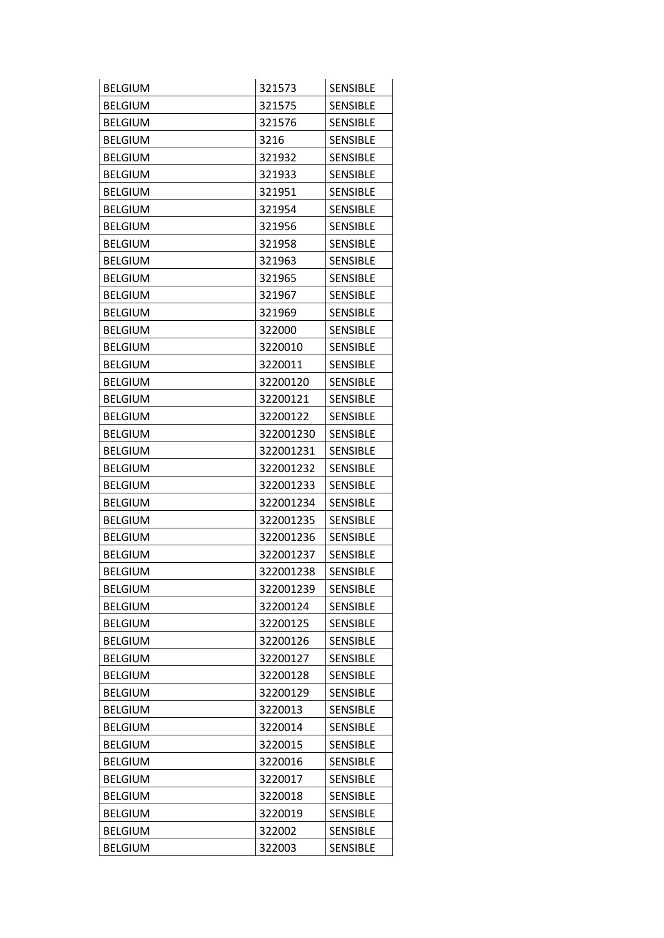| <b>BELGIUM</b> | 321573    | <b>SENSIBLE</b> |
|----------------|-----------|-----------------|
| <b>BELGIUM</b> | 321575    | <b>SENSIBLE</b> |
| <b>BELGIUM</b> | 321576    | <b>SENSIBLE</b> |
| <b>BELGIUM</b> | 3216      | <b>SENSIBLE</b> |
| <b>BELGIUM</b> | 321932    | SENSIBLE        |
| <b>BELGIUM</b> | 321933    | <b>SENSIBLE</b> |
| <b>BELGIUM</b> | 321951    | <b>SENSIBLE</b> |
| <b>BELGIUM</b> | 321954    | <b>SENSIBLE</b> |
| <b>BELGIUM</b> | 321956    | <b>SENSIBLE</b> |
| <b>BELGIUM</b> | 321958    | <b>SENSIBLE</b> |
| <b>BELGIUM</b> | 321963    | <b>SENSIBLE</b> |
| <b>BELGIUM</b> | 321965    | <b>SENSIBLE</b> |
| <b>BELGIUM</b> | 321967    | <b>SENSIBLE</b> |
| <b>BELGIUM</b> | 321969    | <b>SENSIBLE</b> |
| <b>BELGIUM</b> | 322000    | <b>SENSIBLE</b> |
| <b>BELGIUM</b> | 3220010   | <b>SENSIBLE</b> |
| <b>BELGIUM</b> | 3220011   | <b>SENSIBLE</b> |
| <b>BELGIUM</b> | 32200120  | <b>SENSIBLE</b> |
| <b>BELGIUM</b> | 32200121  | <b>SENSIBLE</b> |
| <b>BELGIUM</b> | 32200122  | <b>SENSIBLE</b> |
| <b>BELGIUM</b> | 322001230 | <b>SENSIBLE</b> |
| <b>BELGIUM</b> | 322001231 | <b>SENSIBLE</b> |
| <b>BELGIUM</b> | 322001232 | <b>SENSIBLE</b> |
| <b>BELGIUM</b> | 322001233 | <b>SENSIBLE</b> |
| <b>BELGIUM</b> | 322001234 | <b>SENSIBLE</b> |
| <b>BELGIUM</b> | 322001235 | <b>SENSIBLE</b> |
| <b>BELGIUM</b> | 322001236 | <b>SENSIBLE</b> |
| <b>BELGIUM</b> | 322001237 | <b>SENSIBLE</b> |
| <b>BELGIUM</b> | 322001238 | <b>SENSIBLE</b> |
| <b>BELGIUM</b> | 322001239 | <b>SENSIBLE</b> |
| <b>BELGIUM</b> | 32200124  | <b>SENSIBLE</b> |
| <b>BELGIUM</b> | 32200125  | <b>SENSIBLE</b> |
| <b>BELGIUM</b> | 32200126  | <b>SENSIBLE</b> |
| <b>BELGIUM</b> | 32200127  | <b>SENSIBLE</b> |
| <b>BELGIUM</b> | 32200128  | <b>SENSIBLE</b> |
| <b>BELGIUM</b> | 32200129  | <b>SENSIBLE</b> |
| <b>BELGIUM</b> | 3220013   | <b>SENSIBLE</b> |
| <b>BELGIUM</b> | 3220014   | <b>SENSIBLE</b> |
| <b>BELGIUM</b> | 3220015   | <b>SENSIBLE</b> |
| <b>BELGIUM</b> | 3220016   | <b>SENSIBLE</b> |
| <b>BELGIUM</b> | 3220017   | SENSIBLE        |
| <b>BELGIUM</b> | 3220018   | <b>SENSIBLE</b> |
| <b>BELGIUM</b> | 3220019   | <b>SENSIBLE</b> |
| <b>BELGIUM</b> | 322002    | <b>SENSIBLE</b> |
| <b>BELGIUM</b> | 322003    | SENSIBLE        |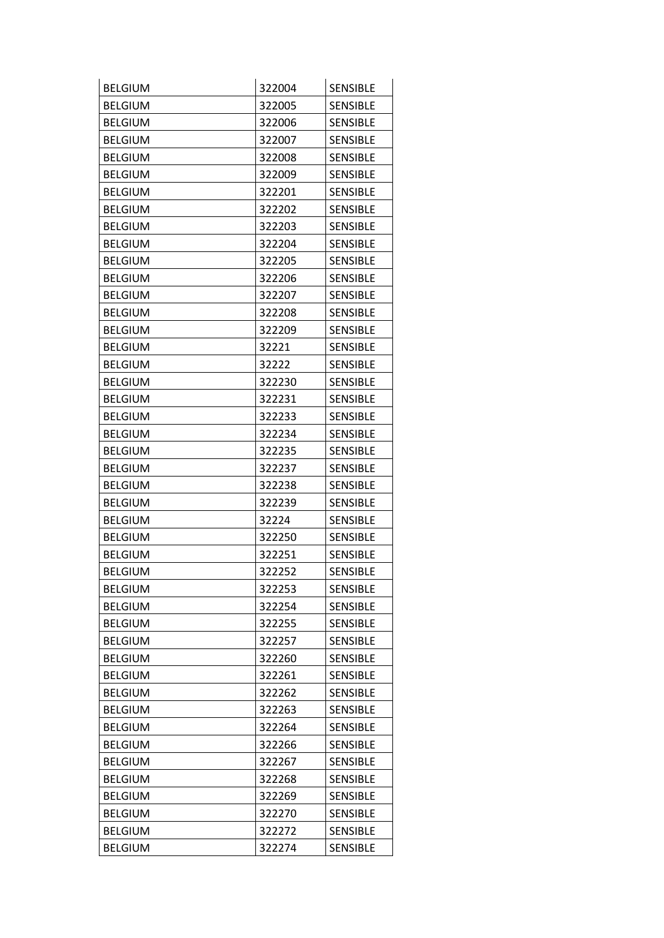| <b>BELGIUM</b> | 322004 | <b>SENSIBLE</b> |
|----------------|--------|-----------------|
| <b>BELGIUM</b> | 322005 | <b>SENSIBLE</b> |
| <b>BELGIUM</b> | 322006 | <b>SENSIBLE</b> |
| <b>BELGIUM</b> | 322007 | <b>SENSIBLE</b> |
| <b>BELGIUM</b> | 322008 | <b>SENSIBLE</b> |
| <b>BELGIUM</b> | 322009 | <b>SENSIBLE</b> |
| <b>BELGIUM</b> | 322201 | <b>SENSIBLE</b> |
| <b>BELGIUM</b> | 322202 | <b>SENSIBLE</b> |
| <b>BELGIUM</b> | 322203 | <b>SENSIBLE</b> |
| <b>BELGIUM</b> | 322204 | <b>SENSIBLE</b> |
| <b>BELGIUM</b> | 322205 | <b>SENSIBLE</b> |
| <b>BELGIUM</b> | 322206 | <b>SENSIBLE</b> |
| <b>BELGIUM</b> | 322207 | <b>SENSIBLE</b> |
| <b>BELGIUM</b> | 322208 | <b>SENSIBLE</b> |
| <b>BELGIUM</b> | 322209 | <b>SENSIBLE</b> |
| <b>BELGIUM</b> | 32221  | <b>SENSIBLE</b> |
| <b>BELGIUM</b> | 32222  | <b>SENSIBLE</b> |
| <b>BELGIUM</b> | 322230 | <b>SENSIBLE</b> |
| <b>BELGIUM</b> | 322231 | <b>SENSIBLE</b> |
| <b>BELGIUM</b> | 322233 | <b>SENSIBLE</b> |
| <b>BELGIUM</b> | 322234 | <b>SENSIBLE</b> |
| <b>BELGIUM</b> | 322235 | SENSIBLE        |
| <b>BELGIUM</b> | 322237 | <b>SENSIBLE</b> |
| <b>BELGIUM</b> | 322238 | <b>SENSIBLE</b> |
| <b>BELGIUM</b> | 322239 | <b>SENSIBLE</b> |
| <b>BELGIUM</b> | 32224  | <b>SENSIBLE</b> |
| <b>BELGIUM</b> | 322250 | <b>SENSIBLE</b> |
| <b>BELGIUM</b> | 322251 | <b>SENSIBLE</b> |
| <b>BELGIUM</b> | 322252 | <b>SENSIBLE</b> |
| <b>BELGIUM</b> | 322253 | <b>SENSIBLE</b> |
| <b>BELGIUM</b> | 322254 | <b>SENSIBLE</b> |
| <b>BELGIUM</b> | 322255 | <b>SENSIBLE</b> |
| <b>BELGIUM</b> | 322257 | <b>SENSIBLE</b> |
| <b>BELGIUM</b> | 322260 | <b>SENSIBLE</b> |
| <b>BELGIUM</b> | 322261 | <b>SENSIBLE</b> |
| <b>BELGIUM</b> | 322262 | <b>SENSIBLE</b> |
| <b>BELGIUM</b> | 322263 | <b>SENSIBLE</b> |
| <b>BELGIUM</b> | 322264 | <b>SENSIBLE</b> |
| <b>BELGIUM</b> | 322266 | <b>SENSIBLE</b> |
| <b>BELGIUM</b> | 322267 | <b>SENSIBLE</b> |
| <b>BELGIUM</b> | 322268 | SENSIBLE        |
| <b>BELGIUM</b> | 322269 | <b>SENSIBLE</b> |
| <b>BELGIUM</b> | 322270 | <b>SENSIBLE</b> |
| <b>BELGIUM</b> | 322272 | <b>SENSIBLE</b> |
| <b>BELGIUM</b> | 322274 | SENSIBLE        |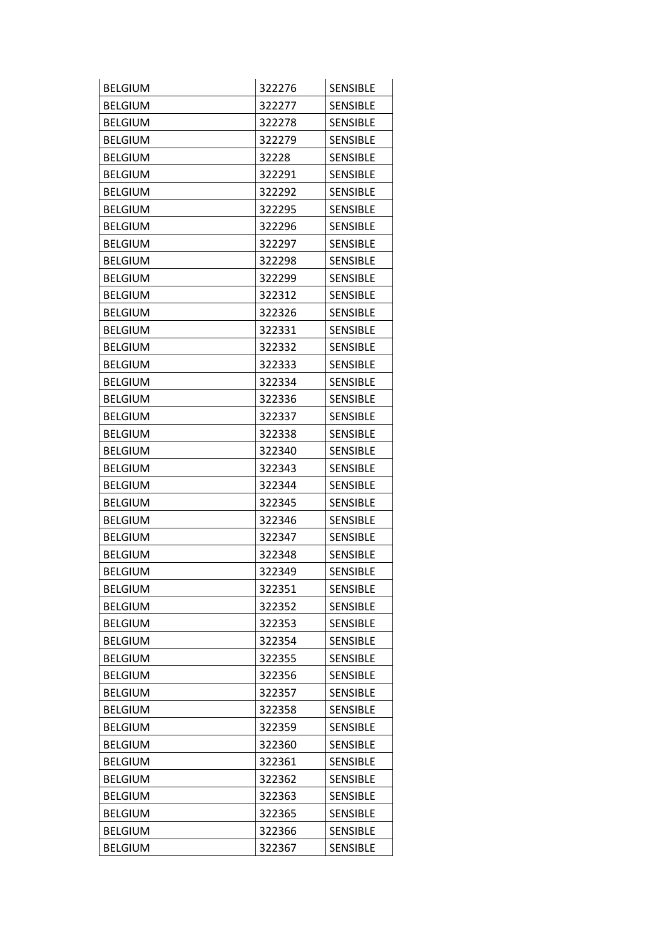| <b>BELGIUM</b> | 322276 | <b>SENSIBLE</b> |
|----------------|--------|-----------------|
| <b>BELGIUM</b> | 322277 | <b>SENSIBLE</b> |
| <b>BELGIUM</b> | 322278 | <b>SENSIBLE</b> |
| <b>BELGIUM</b> | 322279 | <b>SENSIBLE</b> |
| <b>BELGIUM</b> | 32228  | <b>SENSIBLE</b> |
| <b>BELGIUM</b> | 322291 | <b>SENSIBLE</b> |
| <b>BELGIUM</b> | 322292 | <b>SENSIBLE</b> |
| <b>BELGIUM</b> | 322295 | <b>SENSIBLE</b> |
| <b>BELGIUM</b> | 322296 | <b>SENSIBLE</b> |
| <b>BELGIUM</b> | 322297 | <b>SENSIBLE</b> |
| <b>BELGIUM</b> | 322298 | <b>SENSIBLE</b> |
| <b>BELGIUM</b> | 322299 | <b>SENSIBLE</b> |
| <b>BELGIUM</b> | 322312 | <b>SENSIBLE</b> |
| <b>BELGIUM</b> | 322326 | <b>SENSIBLE</b> |
| <b>BELGIUM</b> | 322331 | <b>SENSIBLE</b> |
| <b>BELGIUM</b> | 322332 | <b>SENSIBLE</b> |
| <b>BELGIUM</b> | 322333 | <b>SENSIBLE</b> |
| <b>BELGIUM</b> | 322334 | <b>SENSIBLE</b> |
| <b>BELGIUM</b> | 322336 | <b>SENSIBLE</b> |
| <b>BELGIUM</b> | 322337 | <b>SENSIBLE</b> |
| <b>BELGIUM</b> | 322338 | <b>SENSIBLE</b> |
| <b>BELGIUM</b> | 322340 | <b>SENSIBLE</b> |
| <b>BELGIUM</b> | 322343 | <b>SENSIBLE</b> |
| <b>BELGIUM</b> | 322344 | <b>SENSIBLE</b> |
| <b>BELGIUM</b> | 322345 | <b>SENSIBLE</b> |
| <b>BELGIUM</b> | 322346 | <b>SENSIBLE</b> |
| <b>BELGIUM</b> | 322347 | <b>SENSIBLE</b> |
| <b>BELGIUM</b> | 322348 | <b>SENSIBLE</b> |
| <b>BELGIUM</b> | 322349 | <b>SENSIBLE</b> |
| <b>BELGIUM</b> | 322351 | <b>SENSIBLE</b> |
| <b>BELGIUM</b> | 322352 | <b>SENSIBLE</b> |
| <b>BELGIUM</b> | 322353 | <b>SENSIBLE</b> |
| <b>BELGIUM</b> | 322354 | <b>SENSIBLE</b> |
| <b>BELGIUM</b> | 322355 | <b>SENSIBLE</b> |
| <b>BELGIUM</b> | 322356 | <b>SENSIBLE</b> |
| <b>BELGIUM</b> | 322357 | <b>SENSIBLE</b> |
| <b>BELGIUM</b> | 322358 | <b>SENSIBLE</b> |
| <b>BELGIUM</b> | 322359 | <b>SENSIBLE</b> |
| <b>BELGIUM</b> | 322360 | <b>SENSIBLE</b> |
| <b>BELGIUM</b> | 322361 | <b>SENSIBLE</b> |
| <b>BELGIUM</b> | 322362 | SENSIBLE        |
| <b>BELGIUM</b> | 322363 | <b>SENSIBLE</b> |
| <b>BELGIUM</b> | 322365 | <b>SENSIBLE</b> |
| <b>BELGIUM</b> | 322366 | <b>SENSIBLE</b> |
| <b>BELGIUM</b> | 322367 | <b>SENSIBLE</b> |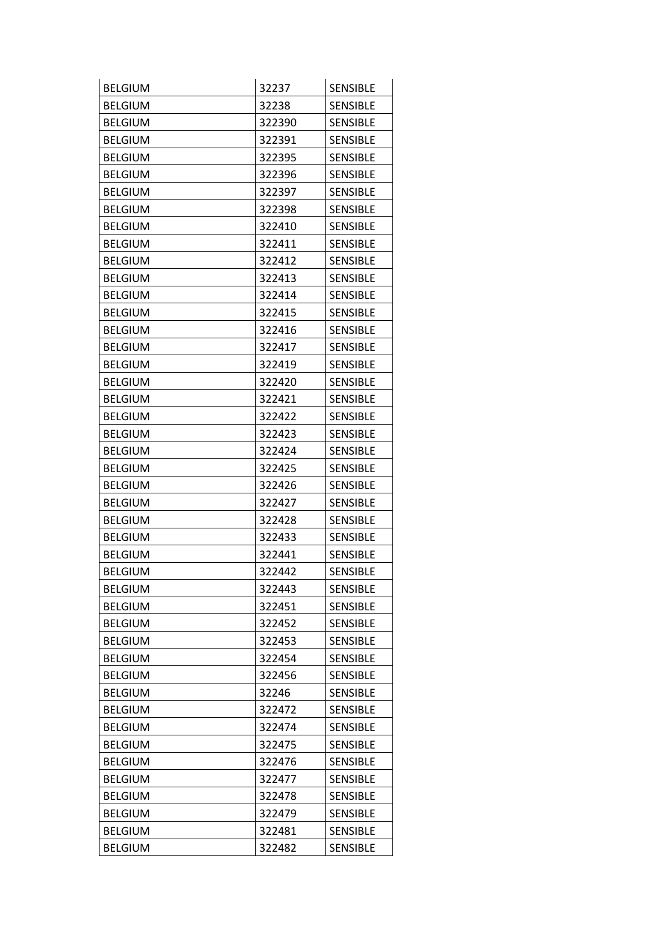| <b>BELGIUM</b> | 32237  | <b>SENSIBLE</b> |
|----------------|--------|-----------------|
| <b>BELGIUM</b> | 32238  | <b>SENSIBLE</b> |
| <b>BELGIUM</b> | 322390 | <b>SENSIBLE</b> |
| <b>BELGIUM</b> | 322391 | <b>SENSIBLE</b> |
| <b>BELGIUM</b> | 322395 | <b>SENSIBLE</b> |
| <b>BELGIUM</b> | 322396 | <b>SENSIBLE</b> |
| <b>BELGIUM</b> | 322397 | <b>SENSIBLE</b> |
| <b>BELGIUM</b> | 322398 | <b>SENSIBLE</b> |
| <b>BELGIUM</b> | 322410 | <b>SENSIBLE</b> |
| <b>BELGIUM</b> | 322411 | <b>SENSIBLE</b> |
| <b>BELGIUM</b> | 322412 | <b>SENSIBLE</b> |
| <b>BELGIUM</b> | 322413 | <b>SENSIBLE</b> |
| <b>BELGIUM</b> | 322414 | <b>SENSIBLE</b> |
| <b>BELGIUM</b> | 322415 | <b>SENSIBLE</b> |
| <b>BELGIUM</b> | 322416 | <b>SENSIBLE</b> |
| <b>BELGIUM</b> | 322417 | <b>SENSIBLE</b> |
| <b>BELGIUM</b> | 322419 | <b>SENSIBLE</b> |
| <b>BELGIUM</b> | 322420 | <b>SENSIBLE</b> |
| <b>BELGIUM</b> | 322421 | <b>SENSIBLE</b> |
| <b>BELGIUM</b> | 322422 | <b>SENSIBLE</b> |
| <b>BELGIUM</b> | 322423 | <b>SENSIBLE</b> |
| <b>BELGIUM</b> | 322424 | <b>SENSIBLE</b> |
| <b>BELGIUM</b> | 322425 | <b>SENSIBLE</b> |
| <b>BELGIUM</b> | 322426 | <b>SENSIBLE</b> |
| <b>BELGIUM</b> | 322427 | <b>SENSIBLE</b> |
| <b>BELGIUM</b> | 322428 | <b>SENSIBLE</b> |
| <b>BELGIUM</b> | 322433 | <b>SENSIBLE</b> |
| <b>BELGIUM</b> | 322441 | <b>SENSIBLE</b> |
| <b>BELGIUM</b> | 322442 | <b>SENSIBLE</b> |
| <b>BELGIUM</b> | 322443 | <b>SENSIBLE</b> |
| <b>BELGIUM</b> | 322451 | <b>SENSIBLE</b> |
| <b>BELGIUM</b> | 322452 | <b>SENSIBLE</b> |
| <b>BELGIUM</b> | 322453 | <b>SENSIBLE</b> |
| <b>BELGIUM</b> | 322454 | SENSIBLE        |
| <b>BELGIUM</b> | 322456 | <b>SENSIBLE</b> |
| <b>BELGIUM</b> | 32246  | <b>SENSIBLE</b> |
| <b>BELGIUM</b> | 322472 | <b>SENSIBLE</b> |
| <b>BELGIUM</b> | 322474 | <b>SENSIBLE</b> |
| <b>BELGIUM</b> | 322475 | <b>SENSIBLE</b> |
| <b>BELGIUM</b> | 322476 | <b>SENSIBLE</b> |
| <b>BELGIUM</b> | 322477 | <b>SENSIBLE</b> |
| <b>BELGIUM</b> | 322478 | <b>SENSIBLE</b> |
| <b>BELGIUM</b> | 322479 | <b>SENSIBLE</b> |
| <b>BELGIUM</b> | 322481 | <b>SENSIBLE</b> |
| <b>BELGIUM</b> | 322482 | <b>SENSIBLE</b> |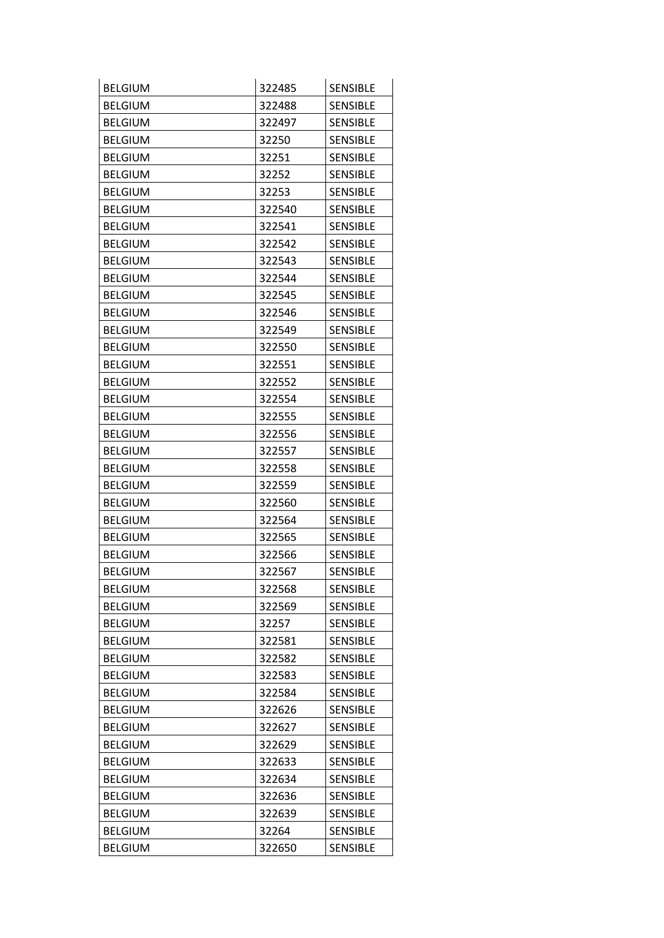| <b>BELGIUM</b> | 322485 | <b>SENSIBLE</b> |
|----------------|--------|-----------------|
| <b>BELGIUM</b> | 322488 | <b>SENSIBLE</b> |
| <b>BELGIUM</b> | 322497 | <b>SENSIBLE</b> |
| <b>BELGIUM</b> | 32250  | <b>SENSIBLE</b> |
| <b>BELGIUM</b> | 32251  | <b>SENSIBLE</b> |
| <b>BELGIUM</b> | 32252  | <b>SENSIBLE</b> |
| <b>BELGIUM</b> | 32253  | <b>SENSIBLE</b> |
| <b>BELGIUM</b> | 322540 | <b>SENSIBLE</b> |
| <b>BELGIUM</b> | 322541 | <b>SENSIBLE</b> |
| <b>BELGIUM</b> | 322542 | <b>SENSIBLE</b> |
| <b>BELGIUM</b> | 322543 | <b>SENSIBLE</b> |
| <b>BELGIUM</b> | 322544 | <b>SENSIBLE</b> |
| <b>BELGIUM</b> | 322545 | <b>SENSIBLE</b> |
| <b>BELGIUM</b> | 322546 | <b>SENSIBLE</b> |
| <b>BELGIUM</b> | 322549 | <b>SENSIBLE</b> |
| <b>BELGIUM</b> | 322550 | <b>SENSIBLE</b> |
| <b>BELGIUM</b> | 322551 | <b>SENSIBLE</b> |
| <b>BELGIUM</b> | 322552 | <b>SENSIBLE</b> |
| <b>BELGIUM</b> | 322554 | <b>SENSIBLE</b> |
| <b>BELGIUM</b> | 322555 | <b>SENSIBLE</b> |
| <b>BELGIUM</b> | 322556 | <b>SENSIBLE</b> |
| <b>BELGIUM</b> | 322557 | <b>SENSIBLE</b> |
| <b>BELGIUM</b> | 322558 | <b>SENSIBLE</b> |
| <b>BELGIUM</b> | 322559 | <b>SENSIBLE</b> |
| <b>BELGIUM</b> | 322560 | <b>SENSIBLE</b> |
| <b>BELGIUM</b> | 322564 | <b>SENSIBLE</b> |
| <b>BELGIUM</b> | 322565 | <b>SENSIBLE</b> |
| <b>BELGIUM</b> | 322566 | <b>SENSIBLE</b> |
| <b>BELGIUM</b> | 322567 | <b>SENSIBLE</b> |
| <b>BELGIUM</b> | 322568 | <b>SENSIBLE</b> |
| <b>BELGIUM</b> | 322569 | <b>SENSIBLE</b> |
| <b>BELGIUM</b> | 32257  | <b>SENSIBLE</b> |
| <b>BELGIUM</b> | 322581 | <b>SENSIBLE</b> |
| <b>BELGIUM</b> | 322582 | <b>SENSIBLE</b> |
| <b>BELGIUM</b> | 322583 | <b>SENSIBLE</b> |
| <b>BELGIUM</b> | 322584 | <b>SENSIBLE</b> |
| <b>BELGIUM</b> | 322626 | <b>SENSIBLE</b> |
| <b>BELGIUM</b> | 322627 | <b>SENSIBLE</b> |
| <b>BELGIUM</b> | 322629 | <b>SENSIBLE</b> |
| <b>BELGIUM</b> | 322633 | <b>SENSIBLE</b> |
| <b>BELGIUM</b> | 322634 | SENSIBLE        |
| <b>BELGIUM</b> | 322636 | <b>SENSIBLE</b> |
| <b>BELGIUM</b> | 322639 | <b>SENSIBLE</b> |
| <b>BELGIUM</b> | 32264  | <b>SENSIBLE</b> |
| <b>BELGIUM</b> | 322650 | SENSIBLE        |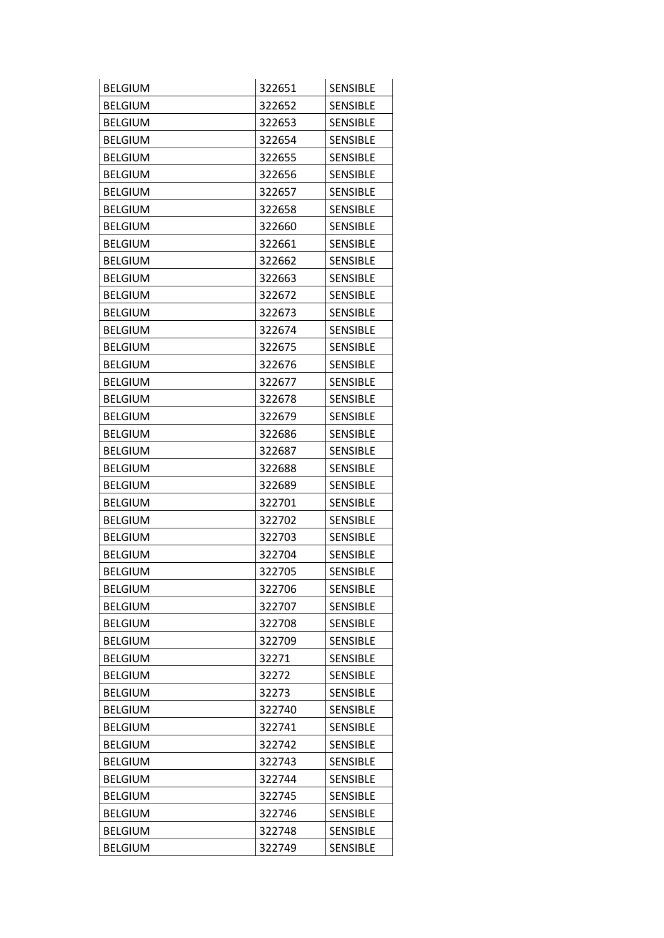| <b>BELGIUM</b> | 322651 | <b>SENSIBLE</b> |
|----------------|--------|-----------------|
| <b>BELGIUM</b> | 322652 | <b>SENSIBLE</b> |
| <b>BELGIUM</b> | 322653 | <b>SENSIBLE</b> |
| <b>BELGIUM</b> | 322654 | <b>SENSIBLE</b> |
| <b>BELGIUM</b> | 322655 | <b>SENSIBLE</b> |
| <b>BELGIUM</b> | 322656 | <b>SENSIBLE</b> |
| <b>BELGIUM</b> | 322657 | <b>SENSIBLE</b> |
| <b>BELGIUM</b> | 322658 | <b>SENSIBLE</b> |
| <b>BELGIUM</b> | 322660 | <b>SENSIBLE</b> |
| <b>BELGIUM</b> | 322661 | <b>SENSIBLE</b> |
| <b>BELGIUM</b> | 322662 | <b>SENSIBLE</b> |
| <b>BELGIUM</b> | 322663 | <b>SENSIBLE</b> |
| <b>BELGIUM</b> | 322672 | <b>SENSIBLE</b> |
| <b>BELGIUM</b> | 322673 | <b>SENSIBLE</b> |
| <b>BELGIUM</b> | 322674 | <b>SENSIBLE</b> |
| <b>BELGIUM</b> | 322675 | <b>SENSIBLE</b> |
| <b>BELGIUM</b> | 322676 | <b>SENSIBLE</b> |
| <b>BELGIUM</b> | 322677 | <b>SENSIBLE</b> |
| <b>BELGIUM</b> | 322678 | SENSIBLE        |
| <b>BELGIUM</b> | 322679 | <b>SENSIBLE</b> |
| <b>BELGIUM</b> | 322686 | <b>SENSIBLE</b> |
| <b>BELGIUM</b> | 322687 | SENSIBLE        |
| <b>BELGIUM</b> | 322688 | <b>SENSIBLE</b> |
| <b>BELGIUM</b> | 322689 | <b>SENSIBLE</b> |
| <b>BELGIUM</b> | 322701 | <b>SENSIBLE</b> |
| <b>BELGIUM</b> | 322702 | <b>SENSIBLE</b> |
| <b>BELGIUM</b> | 322703 | <b>SENSIBLE</b> |
| <b>BELGIUM</b> | 322704 | <b>SENSIBLE</b> |
| <b>BELGIUM</b> | 322705 | <b>SENSIBLE</b> |
| <b>BELGIUM</b> | 322706 | <b>SENSIBLE</b> |
| <b>BELGIUM</b> | 322707 | <b>SENSIBLE</b> |
| <b>BELGIUM</b> | 322708 | <b>SENSIBLE</b> |
| <b>BELGIUM</b> | 322709 | <b>SENSIBLE</b> |
| <b>BELGIUM</b> | 32271  | <b>SENSIBLE</b> |
| <b>BELGIUM</b> | 32272  | <b>SENSIBLE</b> |
| <b>BELGIUM</b> | 32273  | <b>SENSIBLE</b> |
| <b>BELGIUM</b> | 322740 | <b>SENSIBLE</b> |
| <b>BELGIUM</b> | 322741 | <b>SENSIBLE</b> |
| <b>BELGIUM</b> | 322742 | <b>SENSIBLE</b> |
| <b>BELGIUM</b> | 322743 | <b>SENSIBLE</b> |
| <b>BELGIUM</b> | 322744 | SENSIBLE        |
| <b>BELGIUM</b> | 322745 | <b>SENSIBLE</b> |
| <b>BELGIUM</b> | 322746 | <b>SENSIBLE</b> |
| <b>BELGIUM</b> | 322748 | <b>SENSIBLE</b> |
| <b>BELGIUM</b> | 322749 | <b>SENSIBLE</b> |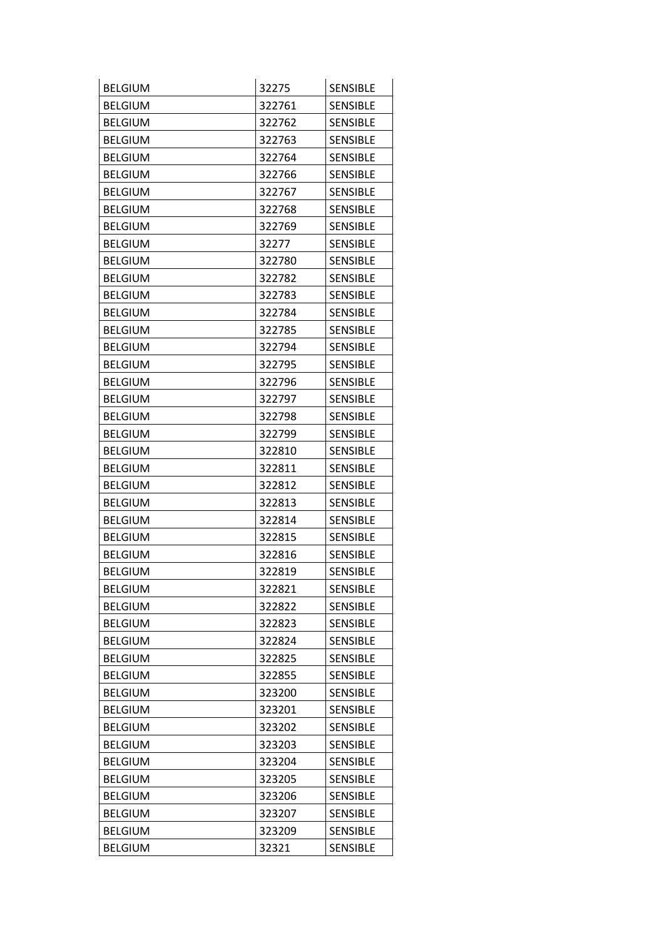| <b>BELGIUM</b> | 32275  | <b>SENSIBLE</b> |
|----------------|--------|-----------------|
| <b>BELGIUM</b> | 322761 | <b>SENSIBLE</b> |
| <b>BELGIUM</b> | 322762 | <b>SENSIBLE</b> |
| <b>BELGIUM</b> | 322763 | <b>SENSIBLE</b> |
| <b>BELGIUM</b> | 322764 | <b>SENSIBLE</b> |
| <b>BELGIUM</b> | 322766 | <b>SENSIBLE</b> |
| <b>BELGIUM</b> | 322767 | <b>SENSIBLE</b> |
| <b>BELGIUM</b> | 322768 | <b>SENSIBLE</b> |
| <b>BELGIUM</b> | 322769 | <b>SENSIBLE</b> |
| <b>BELGIUM</b> | 32277  | <b>SENSIBLE</b> |
| <b>BELGIUM</b> | 322780 | <b>SENSIBLE</b> |
| <b>BELGIUM</b> | 322782 | <b>SENSIBLE</b> |
| <b>BELGIUM</b> | 322783 | <b>SENSIBLE</b> |
| <b>BELGIUM</b> | 322784 | <b>SENSIBLE</b> |
| <b>BELGIUM</b> | 322785 | <b>SENSIBLE</b> |
| <b>BELGIUM</b> | 322794 | <b>SENSIBLE</b> |
| <b>BELGIUM</b> | 322795 | <b>SENSIBLE</b> |
| <b>BELGIUM</b> | 322796 | <b>SENSIBLE</b> |
| <b>BELGIUM</b> | 322797 | <b>SENSIBLE</b> |
| <b>BELGIUM</b> | 322798 | <b>SENSIBLE</b> |
| <b>BELGIUM</b> | 322799 | <b>SENSIBLE</b> |
| <b>BELGIUM</b> | 322810 | SENSIBLE        |
| <b>BELGIUM</b> | 322811 | <b>SENSIBLE</b> |
| <b>BELGIUM</b> | 322812 | <b>SENSIBLE</b> |
| <b>BELGIUM</b> | 322813 | <b>SENSIBLE</b> |
| <b>BELGIUM</b> | 322814 | <b>SENSIBLE</b> |
| <b>BELGIUM</b> | 322815 | <b>SENSIBLE</b> |
| <b>BELGIUM</b> | 322816 | <b>SENSIBLE</b> |
| <b>BELGIUM</b> | 322819 | <b>SENSIBLE</b> |
| <b>BELGIUM</b> | 322821 | <b>SENSIBLE</b> |
| <b>BELGIUM</b> | 322822 | <b>SENSIBLE</b> |
| <b>BELGIUM</b> | 322823 | <b>SENSIBLE</b> |
| <b>BELGIUM</b> | 322824 | <b>SENSIBLE</b> |
| <b>BELGIUM</b> | 322825 | SENSIBLE        |
| <b>BELGIUM</b> | 322855 | <b>SENSIBLE</b> |
| <b>BELGIUM</b> | 323200 | <b>SENSIBLE</b> |
| <b>BELGIUM</b> | 323201 | <b>SENSIBLE</b> |
| <b>BELGIUM</b> | 323202 | <b>SENSIBLE</b> |
| <b>BELGIUM</b> | 323203 | <b>SENSIBLE</b> |
| <b>BELGIUM</b> | 323204 | <b>SENSIBLE</b> |
| <b>BELGIUM</b> | 323205 | SENSIBLE        |
| <b>BELGIUM</b> | 323206 | <b>SENSIBLE</b> |
| <b>BELGIUM</b> | 323207 | <b>SENSIBLE</b> |
| <b>BELGIUM</b> | 323209 | <b>SENSIBLE</b> |
| <b>BELGIUM</b> | 32321  | <b>SENSIBLE</b> |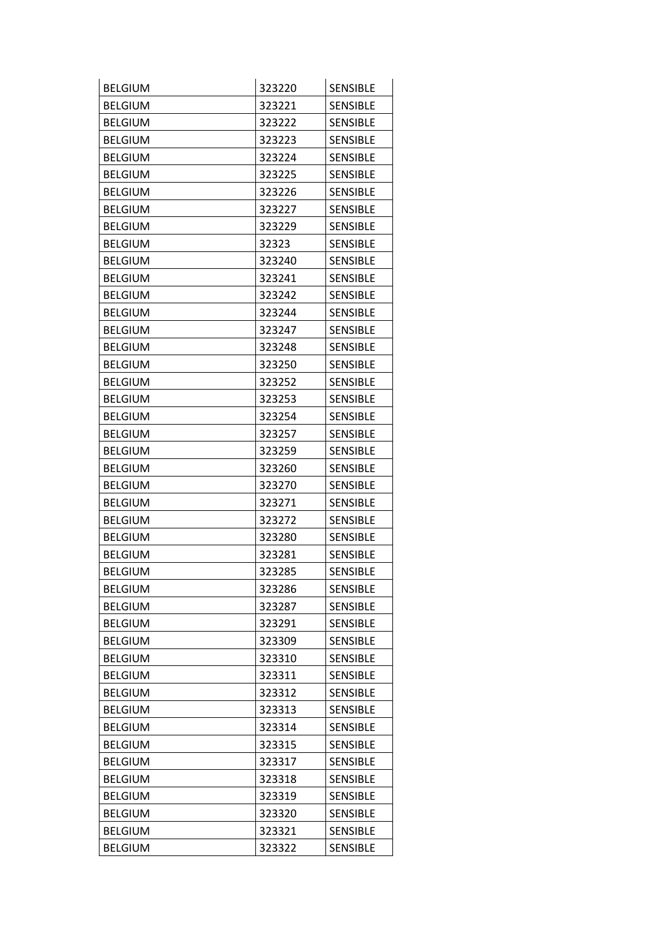| <b>BELGIUM</b> | 323220 | <b>SENSIBLE</b> |
|----------------|--------|-----------------|
| <b>BELGIUM</b> | 323221 | <b>SENSIBLE</b> |
| <b>BELGIUM</b> | 323222 | <b>SENSIBLE</b> |
| <b>BELGIUM</b> | 323223 | <b>SENSIBLE</b> |
| <b>BELGIUM</b> | 323224 | <b>SENSIBLE</b> |
| <b>BELGIUM</b> | 323225 | <b>SENSIBLE</b> |
| <b>BELGIUM</b> | 323226 | <b>SENSIBLE</b> |
| <b>BELGIUM</b> | 323227 | <b>SENSIBLE</b> |
| <b>BELGIUM</b> | 323229 | <b>SENSIBLE</b> |
| <b>BELGIUM</b> | 32323  | <b>SENSIBLE</b> |
| <b>BELGIUM</b> | 323240 | <b>SENSIBLE</b> |
| <b>BELGIUM</b> | 323241 | <b>SENSIBLE</b> |
| <b>BELGIUM</b> | 323242 | <b>SENSIBLE</b> |
| <b>BELGIUM</b> | 323244 | <b>SENSIBLE</b> |
| <b>BELGIUM</b> | 323247 | <b>SENSIBLE</b> |
| <b>BELGIUM</b> | 323248 | <b>SENSIBLE</b> |
| <b>BELGIUM</b> | 323250 | <b>SENSIBLE</b> |
| <b>BELGIUM</b> | 323252 | <b>SENSIBLE</b> |
| <b>BELGIUM</b> | 323253 | <b>SENSIBLE</b> |
| <b>BELGIUM</b> | 323254 | <b>SENSIBLE</b> |
| <b>BELGIUM</b> | 323257 | <b>SENSIBLE</b> |
| <b>BELGIUM</b> | 323259 | <b>SENSIBLE</b> |
| <b>BELGIUM</b> | 323260 | <b>SENSIBLE</b> |
| <b>BELGIUM</b> | 323270 | <b>SENSIBLE</b> |
| <b>BELGIUM</b> | 323271 | <b>SENSIBLE</b> |
| <b>BELGIUM</b> | 323272 | <b>SENSIBLE</b> |
| <b>BELGIUM</b> | 323280 | <b>SENSIBLE</b> |
| <b>BELGIUM</b> | 323281 | <b>SENSIBLE</b> |
| <b>BELGIUM</b> | 323285 | <b>SENSIBLE</b> |
| <b>BELGIUM</b> | 323286 | <b>SENSIBLE</b> |
| <b>BELGIUM</b> | 323287 | <b>SENSIBLE</b> |
| <b>BELGIUM</b> | 323291 | <b>SENSIBLE</b> |
| <b>BELGIUM</b> | 323309 | <b>SENSIBLE</b> |
| <b>BELGIUM</b> | 323310 | <b>SENSIBLE</b> |
| <b>BELGIUM</b> | 323311 | <b>SENSIBLE</b> |
| <b>BELGIUM</b> | 323312 | <b>SENSIBLE</b> |
| <b>BELGIUM</b> | 323313 | <b>SENSIBLE</b> |
| <b>BELGIUM</b> | 323314 | <b>SENSIBLE</b> |
| <b>BELGIUM</b> | 323315 | <b>SENSIBLE</b> |
| <b>BELGIUM</b> | 323317 | <b>SENSIBLE</b> |
| <b>BELGIUM</b> | 323318 | SENSIBLE        |
| <b>BELGIUM</b> | 323319 | <b>SENSIBLE</b> |
| <b>BELGIUM</b> | 323320 | <b>SENSIBLE</b> |
| <b>BELGIUM</b> | 323321 | <b>SENSIBLE</b> |
| <b>BELGIUM</b> | 323322 | <b>SENSIBLE</b> |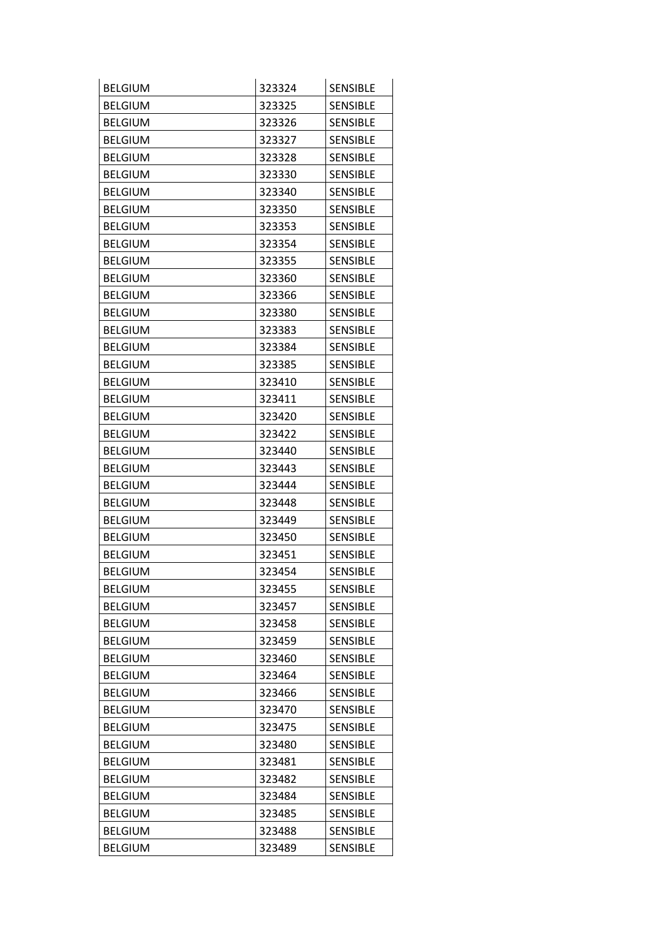| <b>BELGIUM</b> | 323324 | <b>SENSIBLE</b> |
|----------------|--------|-----------------|
| <b>BELGIUM</b> | 323325 | <b>SENSIBLE</b> |
| <b>BELGIUM</b> | 323326 | <b>SENSIBLE</b> |
| <b>BELGIUM</b> | 323327 | <b>SENSIBLE</b> |
| <b>BELGIUM</b> | 323328 | <b>SENSIBLE</b> |
| <b>BELGIUM</b> | 323330 | <b>SENSIBLE</b> |
| <b>BELGIUM</b> | 323340 | <b>SENSIBLE</b> |
| <b>BELGIUM</b> | 323350 | <b>SENSIBLE</b> |
| <b>BELGIUM</b> | 323353 | <b>SENSIBLE</b> |
| <b>BELGIUM</b> | 323354 | <b>SENSIBLE</b> |
| <b>BELGIUM</b> | 323355 | <b>SENSIBLE</b> |
| <b>BELGIUM</b> | 323360 | <b>SENSIBLE</b> |
| <b>BELGIUM</b> | 323366 | <b>SENSIBLE</b> |
| <b>BELGIUM</b> | 323380 | <b>SENSIBLE</b> |
| <b>BELGIUM</b> | 323383 | <b>SENSIBLE</b> |
| <b>BELGIUM</b> | 323384 | <b>SENSIBLE</b> |
| <b>BELGIUM</b> | 323385 | <b>SENSIBLE</b> |
| <b>BELGIUM</b> | 323410 | <b>SENSIBLE</b> |
| <b>BELGIUM</b> | 323411 | <b>SENSIBLE</b> |
| <b>BELGIUM</b> | 323420 | <b>SENSIBLE</b> |
| <b>BELGIUM</b> | 323422 | <b>SENSIBLE</b> |
| <b>BELGIUM</b> | 323440 | <b>SENSIBLE</b> |
| <b>BELGIUM</b> | 323443 | <b>SENSIBLE</b> |
| <b>BELGIUM</b> | 323444 | <b>SENSIBLE</b> |
| <b>BELGIUM</b> | 323448 | <b>SENSIBLE</b> |
| <b>BELGIUM</b> | 323449 | <b>SENSIBLE</b> |
| <b>BELGIUM</b> | 323450 | <b>SENSIBLE</b> |
| <b>BELGIUM</b> | 323451 | <b>SENSIBLE</b> |
| <b>BELGIUM</b> | 323454 | <b>SENSIBLE</b> |
| <b>BELGIUM</b> | 323455 | <b>SENSIBLE</b> |
| <b>BELGIUM</b> | 323457 | <b>SENSIBLE</b> |
| <b>BELGIUM</b> | 323458 | <b>SENSIBLE</b> |
| <b>BELGIUM</b> | 323459 | <b>SENSIBLE</b> |
| <b>BELGIUM</b> | 323460 | <b>SENSIBLE</b> |
| <b>BELGIUM</b> | 323464 | <b>SENSIBLE</b> |
| <b>BELGIUM</b> | 323466 | <b>SENSIBLE</b> |
| <b>BELGIUM</b> | 323470 | <b>SENSIBLE</b> |
| <b>BELGIUM</b> | 323475 | <b>SENSIBLE</b> |
| <b>BELGIUM</b> | 323480 | <b>SENSIBLE</b> |
| <b>BELGIUM</b> | 323481 | <b>SENSIBLE</b> |
| <b>BELGIUM</b> | 323482 | SENSIBLE        |
| <b>BELGIUM</b> | 323484 | <b>SENSIBLE</b> |
| <b>BELGIUM</b> | 323485 | <b>SENSIBLE</b> |
| <b>BELGIUM</b> | 323488 | <b>SENSIBLE</b> |
| <b>BELGIUM</b> | 323489 | <b>SENSIBLE</b> |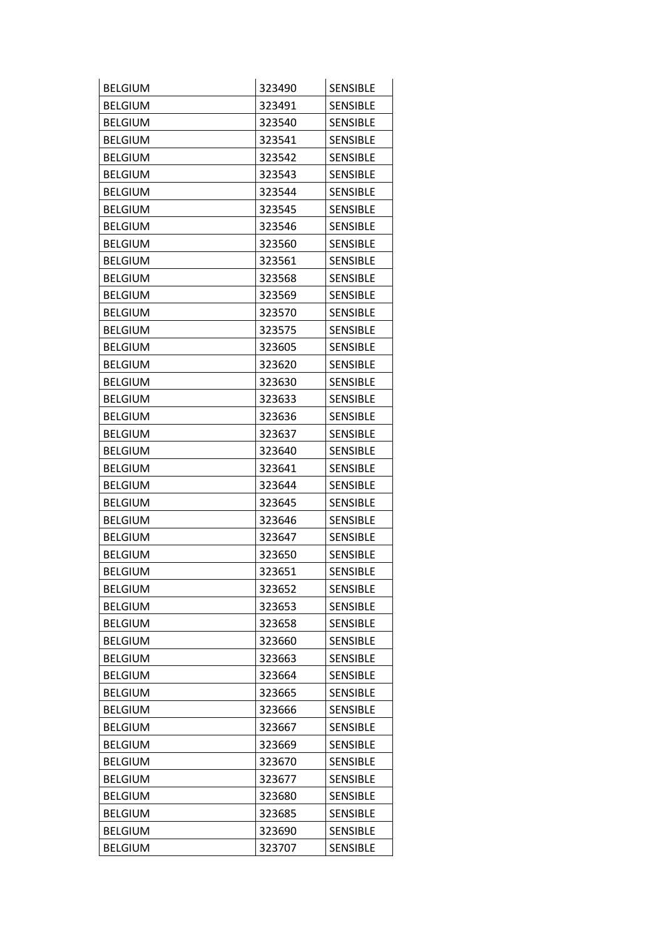| <b>BELGIUM</b> | 323490 | <b>SENSIBLE</b> |
|----------------|--------|-----------------|
| <b>BELGIUM</b> | 323491 | <b>SENSIBLE</b> |
| <b>BELGIUM</b> | 323540 | <b>SENSIBLE</b> |
| <b>BELGIUM</b> | 323541 | <b>SENSIBLE</b> |
| <b>BELGIUM</b> | 323542 | <b>SENSIBLE</b> |
| <b>BELGIUM</b> | 323543 | <b>SENSIBLE</b> |
| <b>BELGIUM</b> | 323544 | <b>SENSIBLE</b> |
| <b>BELGIUM</b> | 323545 | <b>SENSIBLE</b> |
| <b>BELGIUM</b> | 323546 | <b>SENSIBLE</b> |
| <b>BELGIUM</b> | 323560 | <b>SENSIBLE</b> |
| <b>BELGIUM</b> | 323561 | <b>SENSIBLE</b> |
| <b>BELGIUM</b> | 323568 | <b>SENSIBLE</b> |
| <b>BELGIUM</b> | 323569 | <b>SENSIBLE</b> |
| <b>BELGIUM</b> | 323570 | <b>SENSIBLE</b> |
| <b>BELGIUM</b> | 323575 | <b>SENSIBLE</b> |
| <b>BELGIUM</b> | 323605 | <b>SENSIBLE</b> |
| <b>BELGIUM</b> | 323620 | <b>SENSIBLE</b> |
| <b>BELGIUM</b> | 323630 | <b>SENSIBLE</b> |
| <b>BELGIUM</b> | 323633 | <b>SENSIBLE</b> |
| <b>BELGIUM</b> | 323636 | <b>SENSIBLE</b> |
| <b>BELGIUM</b> | 323637 | <b>SENSIBLE</b> |
| <b>BELGIUM</b> | 323640 | <b>SENSIBLE</b> |
| <b>BELGIUM</b> | 323641 | <b>SENSIBLE</b> |
| <b>BELGIUM</b> | 323644 | <b>SENSIBLE</b> |
| <b>BELGIUM</b> | 323645 | <b>SENSIBLE</b> |
| <b>BELGIUM</b> | 323646 | <b>SENSIBLE</b> |
| <b>BELGIUM</b> | 323647 | <b>SENSIBLE</b> |
| <b>BELGIUM</b> | 323650 | <b>SENSIBLE</b> |
| <b>BELGIUM</b> | 323651 | <b>SENSIBLE</b> |
| <b>BELGIUM</b> | 323652 | <b>SENSIBLE</b> |
| <b>BELGIUM</b> | 323653 | <b>SENSIBLE</b> |
| <b>BELGIUM</b> | 323658 | <b>SENSIBLE</b> |
| <b>BELGIUM</b> | 323660 | <b>SENSIBLE</b> |
| <b>BELGIUM</b> | 323663 | SENSIBLE        |
| <b>BELGIUM</b> | 323664 | <b>SENSIBLE</b> |
| <b>BELGIUM</b> | 323665 | <b>SENSIBLE</b> |
| <b>BELGIUM</b> | 323666 | <b>SENSIBLE</b> |
| <b>BELGIUM</b> | 323667 | <b>SENSIBLE</b> |
| <b>BELGIUM</b> | 323669 | <b>SENSIBLE</b> |
| <b>BELGIUM</b> | 323670 | <b>SENSIBLE</b> |
| <b>BELGIUM</b> | 323677 | SENSIBLE        |
| <b>BELGIUM</b> | 323680 | <b>SENSIBLE</b> |
| <b>BELGIUM</b> | 323685 | <b>SENSIBLE</b> |
| <b>BELGIUM</b> | 323690 | <b>SENSIBLE</b> |
| <b>BELGIUM</b> | 323707 | <b>SENSIBLE</b> |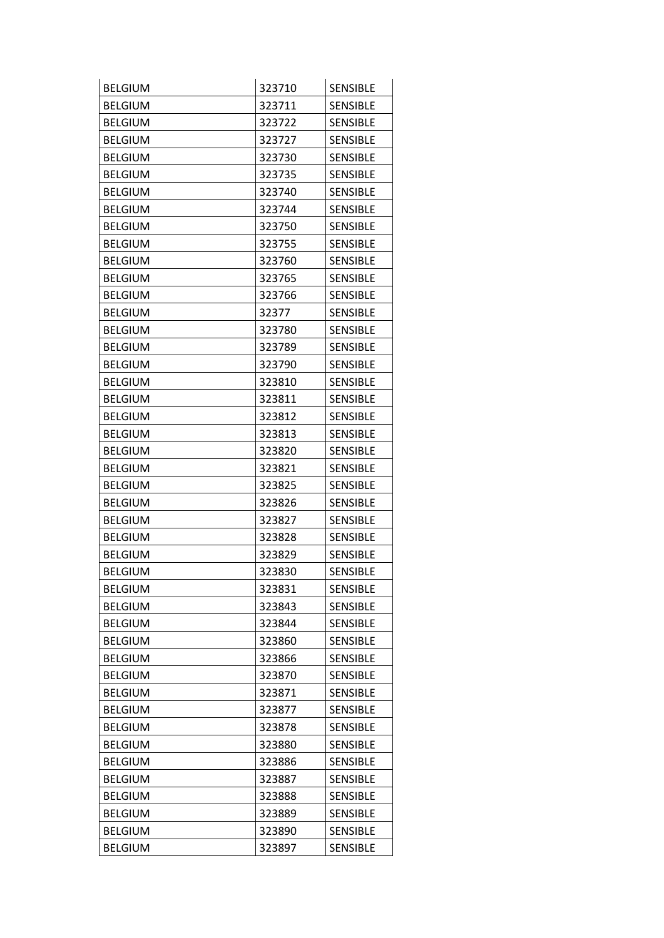| <b>BELGIUM</b> | 323710 | <b>SENSIBLE</b> |
|----------------|--------|-----------------|
| <b>BELGIUM</b> | 323711 | <b>SENSIBLE</b> |
| <b>BELGIUM</b> | 323722 | <b>SENSIBLE</b> |
| <b>BELGIUM</b> | 323727 | <b>SENSIBLE</b> |
| <b>BELGIUM</b> | 323730 | SENSIBLE        |
| <b>BELGIUM</b> | 323735 | <b>SENSIBLE</b> |
| <b>BELGIUM</b> | 323740 | <b>SENSIBLE</b> |
| <b>BELGIUM</b> | 323744 | <b>SENSIBLE</b> |
| <b>BELGIUM</b> | 323750 | <b>SENSIBLE</b> |
| <b>BELGIUM</b> | 323755 | <b>SENSIBLE</b> |
| <b>BELGIUM</b> | 323760 | <b>SENSIBLE</b> |
| <b>BELGIUM</b> | 323765 | <b>SENSIBLE</b> |
| <b>BELGIUM</b> | 323766 | <b>SENSIBLE</b> |
| <b>BELGIUM</b> | 32377  | <b>SENSIBLE</b> |
| <b>BELGIUM</b> | 323780 | <b>SENSIBLE</b> |
| <b>BELGIUM</b> | 323789 | <b>SENSIBLE</b> |
| <b>BELGIUM</b> | 323790 | <b>SENSIBLE</b> |
| <b>BELGIUM</b> | 323810 | <b>SENSIBLE</b> |
| <b>BELGIUM</b> | 323811 | <b>SENSIBLE</b> |
| <b>BELGIUM</b> | 323812 | <b>SENSIBLE</b> |
| <b>BELGIUM</b> | 323813 | <b>SENSIBLE</b> |
| <b>BELGIUM</b> | 323820 | <b>SENSIBLE</b> |
| <b>BELGIUM</b> | 323821 | <b>SENSIBLE</b> |
| <b>BELGIUM</b> | 323825 | <b>SENSIBLE</b> |
| <b>BELGIUM</b> | 323826 | <b>SENSIBLE</b> |
| <b>BELGIUM</b> | 323827 | <b>SENSIBLE</b> |
| <b>BELGIUM</b> | 323828 | <b>SENSIBLE</b> |
| <b>BELGIUM</b> | 323829 | <b>SENSIBLE</b> |
| <b>BELGIUM</b> | 323830 | <b>SENSIBLE</b> |
| <b>BELGIUM</b> | 323831 | <b>SENSIBLE</b> |
| <b>BELGIUM</b> | 323843 | <b>SENSIBLE</b> |
| <b>BELGIUM</b> | 323844 | <b>SENSIBLE</b> |
| <b>BELGIUM</b> | 323860 | <b>SENSIBLE</b> |
| <b>BELGIUM</b> | 323866 | SENSIBLE        |
| <b>BELGIUM</b> | 323870 | <b>SENSIBLE</b> |
| <b>BELGIUM</b> | 323871 | <b>SENSIBLE</b> |
| <b>BELGIUM</b> | 323877 | <b>SENSIBLE</b> |
| <b>BELGIUM</b> | 323878 | <b>SENSIBLE</b> |
| <b>BELGIUM</b> | 323880 | <b>SENSIBLE</b> |
| <b>BELGIUM</b> | 323886 | <b>SENSIBLE</b> |
| <b>BELGIUM</b> | 323887 | SENSIBLE        |
| <b>BELGIUM</b> | 323888 | <b>SENSIBLE</b> |
| <b>BELGIUM</b> | 323889 | <b>SENSIBLE</b> |
| <b>BELGIUM</b> | 323890 | <b>SENSIBLE</b> |
| <b>BELGIUM</b> | 323897 | <b>SENSIBLE</b> |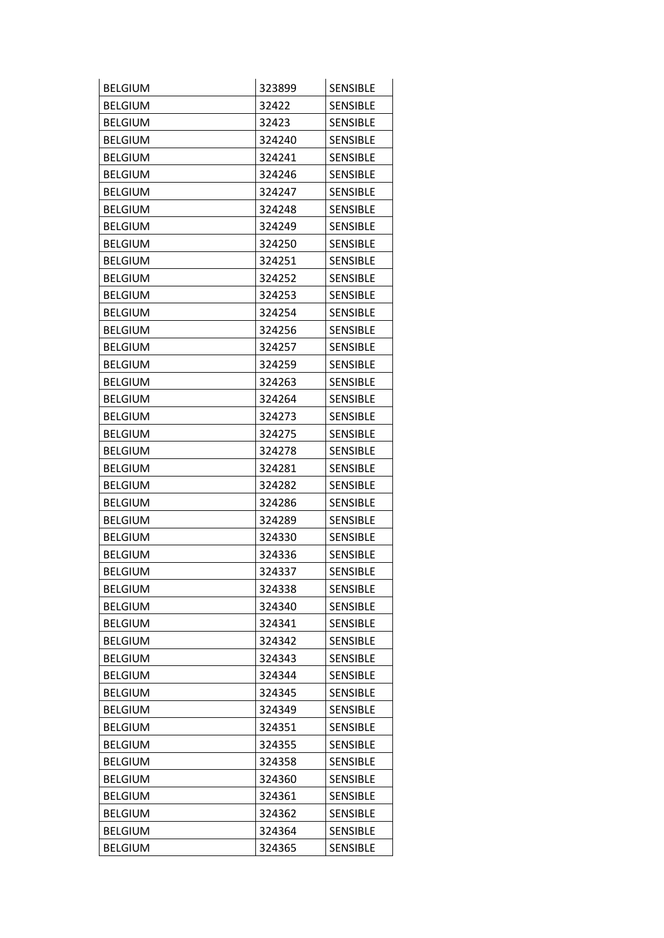| <b>BELGIUM</b> | 323899 | <b>SENSIBLE</b> |
|----------------|--------|-----------------|
| <b>BELGIUM</b> | 32422  | <b>SENSIBLE</b> |
| <b>BELGIUM</b> | 32423  | <b>SENSIBLE</b> |
| <b>BELGIUM</b> | 324240 | <b>SENSIBLE</b> |
| <b>BELGIUM</b> | 324241 | <b>SENSIBLE</b> |
| <b>BELGIUM</b> | 324246 | <b>SENSIBLE</b> |
| <b>BELGIUM</b> | 324247 | <b>SENSIBLE</b> |
| <b>BELGIUM</b> | 324248 | <b>SENSIBLE</b> |
| <b>BELGIUM</b> | 324249 | <b>SENSIBLE</b> |
| <b>BELGIUM</b> | 324250 | <b>SENSIBLE</b> |
| <b>BELGIUM</b> | 324251 | <b>SENSIBLE</b> |
| <b>BELGIUM</b> | 324252 | <b>SENSIBLE</b> |
| <b>BELGIUM</b> | 324253 | <b>SENSIBLE</b> |
| <b>BELGIUM</b> | 324254 | <b>SENSIBLE</b> |
| <b>BELGIUM</b> | 324256 | <b>SENSIBLE</b> |
| <b>BELGIUM</b> | 324257 | <b>SENSIBLE</b> |
| <b>BELGIUM</b> | 324259 | <b>SENSIBLE</b> |
| <b>BELGIUM</b> | 324263 | <b>SENSIBLE</b> |
| <b>BELGIUM</b> | 324264 | <b>SENSIBLE</b> |
| <b>BELGIUM</b> | 324273 | <b>SENSIBLE</b> |
| <b>BELGIUM</b> | 324275 | <b>SENSIBLE</b> |
| <b>BELGIUM</b> | 324278 | <b>SENSIBLE</b> |
| <b>BELGIUM</b> | 324281 | <b>SENSIBLE</b> |
| <b>BELGIUM</b> | 324282 | <b>SENSIBLE</b> |
| <b>BELGIUM</b> | 324286 | <b>SENSIBLE</b> |
| <b>BELGIUM</b> | 324289 | <b>SENSIBLE</b> |
| <b>BELGIUM</b> | 324330 | <b>SENSIBLE</b> |
| <b>BELGIUM</b> | 324336 | <b>SENSIBLE</b> |
| <b>BELGIUM</b> | 324337 | <b>SENSIBLE</b> |
| <b>BELGIUM</b> | 324338 | <b>SENSIBLE</b> |
| <b>BELGIUM</b> | 324340 | <b>SENSIBLE</b> |
| <b>BELGIUM</b> | 324341 | <b>SENSIBLE</b> |
| <b>BELGIUM</b> | 324342 | <b>SENSIBLE</b> |
| <b>BELGIUM</b> | 324343 | <b>SENSIBLE</b> |
| <b>BELGIUM</b> | 324344 | <b>SENSIBLE</b> |
| <b>BELGIUM</b> | 324345 | <b>SENSIBLE</b> |
| <b>BELGIUM</b> | 324349 | <b>SENSIBLE</b> |
| <b>BELGIUM</b> | 324351 | <b>SENSIBLE</b> |
| <b>BELGIUM</b> | 324355 | <b>SENSIBLE</b> |
| <b>BELGIUM</b> | 324358 | <b>SENSIBLE</b> |
| <b>BELGIUM</b> | 324360 | <b>SENSIBLE</b> |
| <b>BELGIUM</b> | 324361 | <b>SENSIBLE</b> |
| <b>BELGIUM</b> | 324362 | <b>SENSIBLE</b> |
| <b>BELGIUM</b> | 324364 | <b>SENSIBLE</b> |
| <b>BELGIUM</b> | 324365 | <b>SENSIBLE</b> |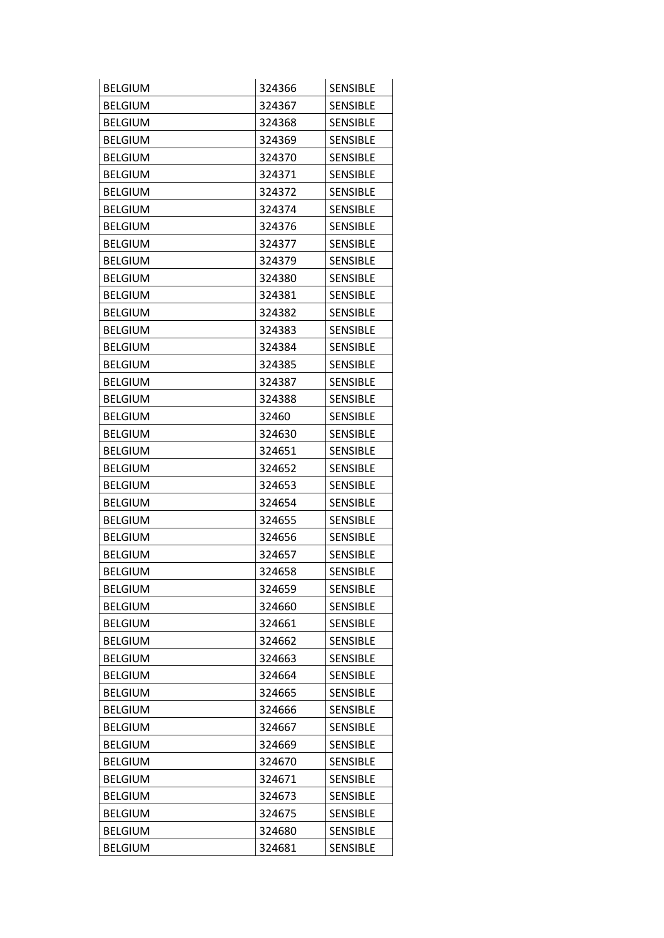| <b>BELGIUM</b> | 324366 | <b>SENSIBLE</b> |
|----------------|--------|-----------------|
| <b>BELGIUM</b> | 324367 | <b>SENSIBLE</b> |
| <b>BELGIUM</b> | 324368 | <b>SENSIBLE</b> |
| <b>BELGIUM</b> | 324369 | <b>SENSIBLE</b> |
| <b>BELGIUM</b> | 324370 | <b>SENSIBLE</b> |
| <b>BELGIUM</b> | 324371 | <b>SENSIBLE</b> |
| <b>BELGIUM</b> | 324372 | <b>SENSIBLE</b> |
| <b>BELGIUM</b> | 324374 | <b>SENSIBLE</b> |
| <b>BELGIUM</b> | 324376 | <b>SENSIBLE</b> |
| <b>BELGIUM</b> | 324377 | <b>SENSIBLE</b> |
| <b>BELGIUM</b> | 324379 | <b>SENSIBLE</b> |
| <b>BELGIUM</b> | 324380 | <b>SENSIBLE</b> |
| <b>BELGIUM</b> | 324381 | <b>SENSIBLE</b> |
| <b>BELGIUM</b> | 324382 | <b>SENSIBLE</b> |
| <b>BELGIUM</b> | 324383 | <b>SENSIBLE</b> |
| <b>BELGIUM</b> | 324384 | <b>SENSIBLE</b> |
| <b>BELGIUM</b> | 324385 | <b>SENSIBLE</b> |
| <b>BELGIUM</b> | 324387 | <b>SENSIBLE</b> |
| <b>BELGIUM</b> | 324388 | <b>SENSIBLE</b> |
| <b>BELGIUM</b> | 32460  | <b>SENSIBLE</b> |
| <b>BELGIUM</b> | 324630 | <b>SENSIBLE</b> |
| <b>BELGIUM</b> | 324651 | <b>SENSIBLE</b> |
| <b>BELGIUM</b> | 324652 | <b>SENSIBLE</b> |
| <b>BELGIUM</b> | 324653 | <b>SENSIBLE</b> |
| <b>BELGIUM</b> | 324654 | <b>SENSIBLE</b> |
| <b>BELGIUM</b> | 324655 | <b>SENSIBLE</b> |
| <b>BELGIUM</b> | 324656 | <b>SENSIBLE</b> |
| <b>BELGIUM</b> | 324657 | <b>SENSIBLE</b> |
| <b>BELGIUM</b> | 324658 | <b>SENSIBLE</b> |
| <b>BELGIUM</b> | 324659 | <b>SENSIBLE</b> |
| <b>BELGIUM</b> | 324660 | <b>SENSIBLE</b> |
| <b>BELGIUM</b> | 324661 | <b>SENSIBLE</b> |
| <b>BELGIUM</b> | 324662 | <b>SENSIBLE</b> |
| <b>BELGIUM</b> | 324663 | SENSIBLE        |
| <b>BELGIUM</b> | 324664 | <b>SENSIBLE</b> |
| <b>BELGIUM</b> | 324665 | <b>SENSIBLE</b> |
| <b>BELGIUM</b> | 324666 | <b>SENSIBLE</b> |
| <b>BELGIUM</b> | 324667 | <b>SENSIBLE</b> |
| <b>BELGIUM</b> | 324669 | <b>SENSIBLE</b> |
| <b>BELGIUM</b> | 324670 | <b>SENSIBLE</b> |
| <b>BELGIUM</b> | 324671 | SENSIBLE        |
| <b>BELGIUM</b> | 324673 | <b>SENSIBLE</b> |
| <b>BELGIUM</b> | 324675 | <b>SENSIBLE</b> |
| <b>BELGIUM</b> | 324680 | <b>SENSIBLE</b> |
| <b>BELGIUM</b> | 324681 | <b>SENSIBLE</b> |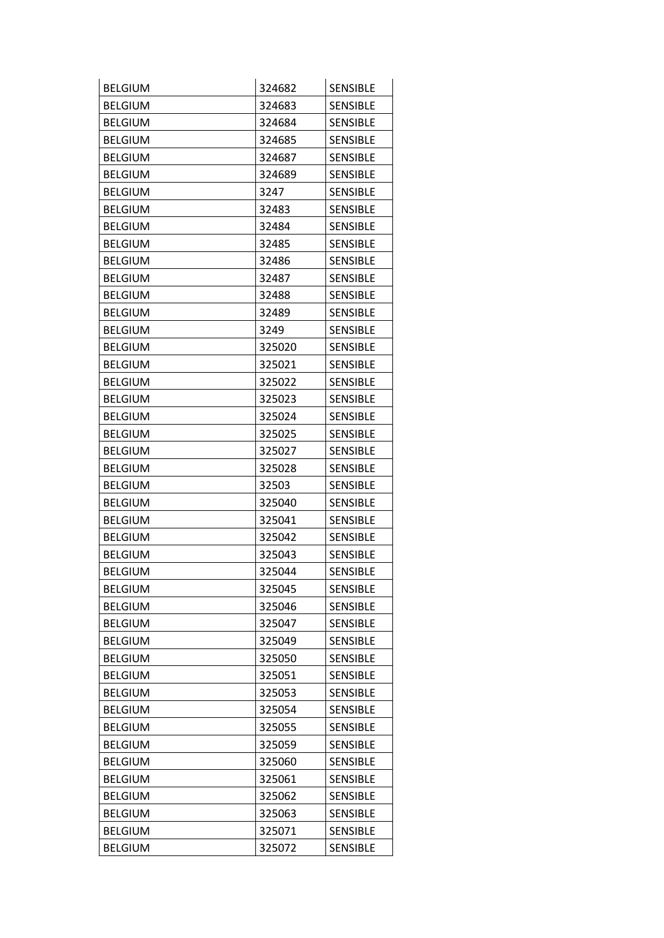| <b>BELGIUM</b> | 324682 | <b>SENSIBLE</b> |
|----------------|--------|-----------------|
| <b>BELGIUM</b> | 324683 | <b>SENSIBLE</b> |
| <b>BELGIUM</b> | 324684 | <b>SENSIBLE</b> |
| <b>BELGIUM</b> | 324685 | <b>SENSIBLE</b> |
| <b>BELGIUM</b> | 324687 | <b>SENSIBLE</b> |
| <b>BELGIUM</b> | 324689 | <b>SENSIBLE</b> |
| <b>BELGIUM</b> | 3247   | <b>SENSIBLE</b> |
| <b>BELGIUM</b> | 32483  | <b>SENSIBLE</b> |
| <b>BELGIUM</b> | 32484  | <b>SENSIBLE</b> |
| <b>BELGIUM</b> | 32485  | <b>SENSIBLE</b> |
| <b>BELGIUM</b> | 32486  | <b>SENSIBLE</b> |
| <b>BELGIUM</b> | 32487  | <b>SENSIBLE</b> |
| <b>BELGIUM</b> | 32488  | <b>SENSIBLE</b> |
| <b>BELGIUM</b> | 32489  | <b>SENSIBLE</b> |
| <b>BELGIUM</b> | 3249   | <b>SENSIBLE</b> |
| <b>BELGIUM</b> | 325020 | <b>SENSIBLE</b> |
| <b>BELGIUM</b> | 325021 | <b>SENSIBLE</b> |
| <b>BELGIUM</b> | 325022 | <b>SENSIBLE</b> |
| <b>BELGIUM</b> | 325023 | <b>SENSIBLE</b> |
| <b>BELGIUM</b> | 325024 | <b>SENSIBLE</b> |
| <b>BELGIUM</b> | 325025 | <b>SENSIBLE</b> |
| <b>BELGIUM</b> | 325027 | <b>SENSIBLE</b> |
| <b>BELGIUM</b> | 325028 | <b>SENSIBLE</b> |
| <b>BELGIUM</b> | 32503  | <b>SENSIBLE</b> |
| <b>BELGIUM</b> | 325040 | <b>SENSIBLE</b> |
| <b>BELGIUM</b> | 325041 | <b>SENSIBLE</b> |
| <b>BELGIUM</b> | 325042 | <b>SENSIBLE</b> |
| <b>BELGIUM</b> | 325043 | <b>SENSIBLE</b> |
| <b>BELGIUM</b> | 325044 | <b>SENSIBLE</b> |
| <b>BELGIUM</b> | 325045 | <b>SENSIBLE</b> |
| <b>BELGIUM</b> | 325046 | <b>SENSIBLE</b> |
| <b>BELGIUM</b> | 325047 | <b>SENSIBLE</b> |
| <b>BELGIUM</b> | 325049 | <b>SENSIBLE</b> |
| <b>BELGIUM</b> | 325050 | SENSIBLE        |
| <b>BELGIUM</b> | 325051 | <b>SENSIBLE</b> |
| <b>BELGIUM</b> | 325053 | <b>SENSIBLE</b> |
| <b>BELGIUM</b> | 325054 | <b>SENSIBLE</b> |
| <b>BELGIUM</b> | 325055 | <b>SENSIBLE</b> |
| <b>BELGIUM</b> | 325059 | <b>SENSIBLE</b> |
| <b>BELGIUM</b> | 325060 | <b>SENSIBLE</b> |
| <b>BELGIUM</b> | 325061 | SENSIBLE        |
| <b>BELGIUM</b> | 325062 | <b>SENSIBLE</b> |
| <b>BELGIUM</b> | 325063 | <b>SENSIBLE</b> |
| <b>BELGIUM</b> | 325071 | <b>SENSIBLE</b> |
| <b>BELGIUM</b> | 325072 | SENSIBLE        |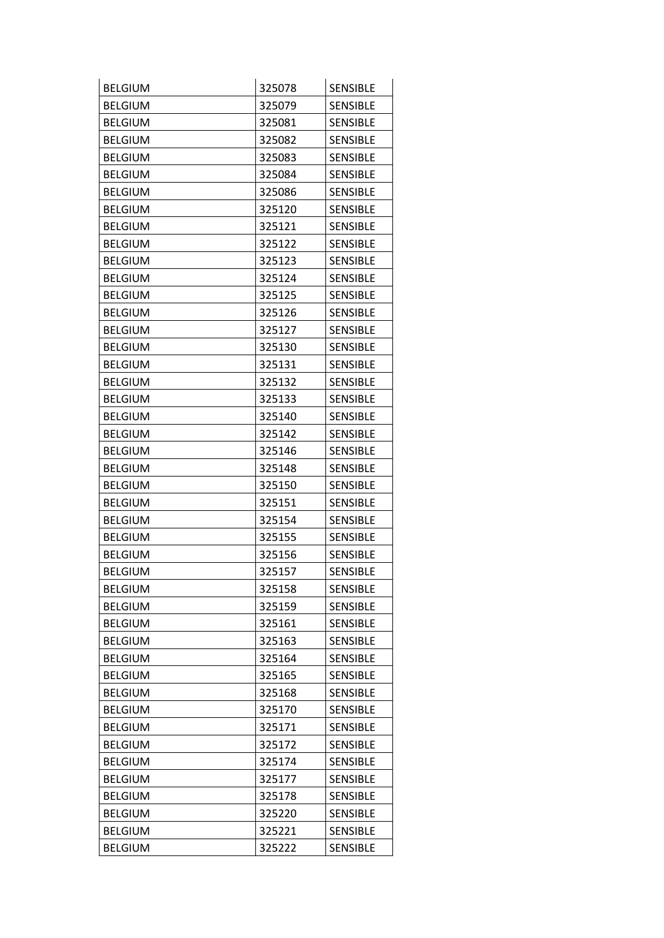| <b>BELGIUM</b> | 325078 | <b>SENSIBLE</b> |
|----------------|--------|-----------------|
| <b>BELGIUM</b> | 325079 | <b>SENSIBLE</b> |
| <b>BELGIUM</b> | 325081 | <b>SENSIBLE</b> |
| <b>BELGIUM</b> | 325082 | <b>SENSIBLE</b> |
| <b>BELGIUM</b> | 325083 | SENSIBLE        |
| <b>BELGIUM</b> | 325084 | <b>SENSIBLE</b> |
| <b>BELGIUM</b> | 325086 | <b>SENSIBLE</b> |
| <b>BELGIUM</b> | 325120 | <b>SENSIBLE</b> |
| <b>BELGIUM</b> | 325121 | <b>SENSIBLE</b> |
| <b>BELGIUM</b> | 325122 | <b>SENSIBLE</b> |
| <b>BELGIUM</b> | 325123 | <b>SENSIBLE</b> |
| <b>BELGIUM</b> | 325124 | <b>SENSIBLE</b> |
| <b>BELGIUM</b> | 325125 | <b>SENSIBLE</b> |
| <b>BELGIUM</b> | 325126 | <b>SENSIBLE</b> |
| <b>BELGIUM</b> | 325127 | <b>SENSIBLE</b> |
| <b>BELGIUM</b> | 325130 | <b>SENSIBLE</b> |
| <b>BELGIUM</b> | 325131 | <b>SENSIBLE</b> |
| <b>BELGIUM</b> | 325132 | <b>SENSIBLE</b> |
| <b>BELGIUM</b> | 325133 | <b>SENSIBLE</b> |
| <b>BELGIUM</b> | 325140 | <b>SENSIBLE</b> |
| <b>BELGIUM</b> | 325142 | <b>SENSIBLE</b> |
| <b>BELGIUM</b> | 325146 | <b>SENSIBLE</b> |
| <b>BELGIUM</b> | 325148 | <b>SENSIBLE</b> |
| <b>BELGIUM</b> | 325150 | <b>SENSIBLE</b> |
| <b>BELGIUM</b> | 325151 | <b>SENSIBLE</b> |
| <b>BELGIUM</b> | 325154 | <b>SENSIBLE</b> |
| <b>BELGIUM</b> | 325155 | <b>SENSIBLE</b> |
| <b>BELGIUM</b> | 325156 | <b>SENSIBLE</b> |
| <b>BELGIUM</b> | 325157 | <b>SENSIBLE</b> |
| <b>BELGIUM</b> | 325158 | <b>SENSIBLE</b> |
| <b>BELGIUM</b> | 325159 | <b>SENSIBLE</b> |
| <b>BELGIUM</b> | 325161 | <b>SENSIBLE</b> |
| <b>BELGIUM</b> | 325163 | <b>SENSIBLE</b> |
| <b>BELGIUM</b> | 325164 | <b>SENSIBLE</b> |
| <b>BELGIUM</b> | 325165 | <b>SENSIBLE</b> |
| <b>BELGIUM</b> | 325168 | <b>SENSIBLE</b> |
| <b>BELGIUM</b> | 325170 | <b>SENSIBLE</b> |
| <b>BELGIUM</b> | 325171 | <b>SENSIBLE</b> |
| <b>BELGIUM</b> | 325172 | <b>SENSIBLE</b> |
| <b>BELGIUM</b> | 325174 | <b>SENSIBLE</b> |
| <b>BELGIUM</b> | 325177 | SENSIBLE        |
| <b>BELGIUM</b> | 325178 | <b>SENSIBLE</b> |
| <b>BELGIUM</b> | 325220 | <b>SENSIBLE</b> |
| <b>BELGIUM</b> | 325221 | <b>SENSIBLE</b> |
| <b>BELGIUM</b> | 325222 | <b>SENSIBLE</b> |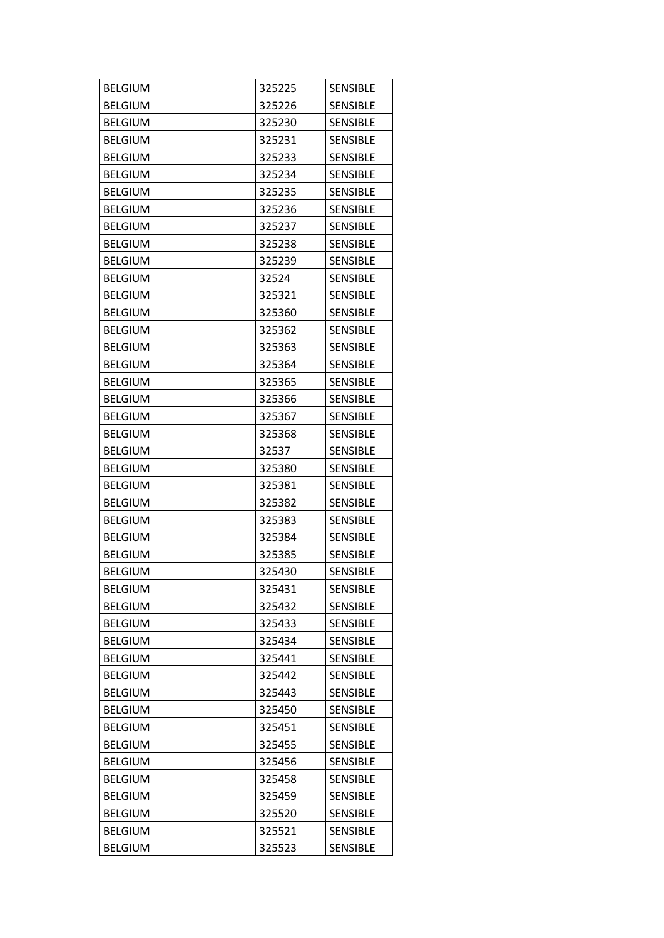| <b>BELGIUM</b> | 325225 | <b>SENSIBLE</b> |
|----------------|--------|-----------------|
| <b>BELGIUM</b> | 325226 | <b>SENSIBLE</b> |
| <b>BELGIUM</b> | 325230 | <b>SENSIBLE</b> |
| <b>BELGIUM</b> | 325231 | <b>SENSIBLE</b> |
| <b>BELGIUM</b> | 325233 | <b>SENSIBLE</b> |
| <b>BELGIUM</b> | 325234 | <b>SENSIBLE</b> |
| <b>BELGIUM</b> | 325235 | <b>SENSIBLE</b> |
| <b>BELGIUM</b> | 325236 | <b>SENSIBLE</b> |
| <b>BELGIUM</b> | 325237 | <b>SENSIBLE</b> |
| <b>BELGIUM</b> | 325238 | <b>SENSIBLE</b> |
| <b>BELGIUM</b> | 325239 | <b>SENSIBLE</b> |
| <b>BELGIUM</b> | 32524  | <b>SENSIBLE</b> |
| <b>BELGIUM</b> | 325321 | <b>SENSIBLE</b> |
| <b>BELGIUM</b> | 325360 | <b>SENSIBLE</b> |
| <b>BELGIUM</b> | 325362 | <b>SENSIBLE</b> |
| <b>BELGIUM</b> | 325363 | <b>SENSIBLE</b> |
| <b>BELGIUM</b> | 325364 | <b>SENSIBLE</b> |
| <b>BELGIUM</b> | 325365 | <b>SENSIBLE</b> |
| <b>BELGIUM</b> | 325366 | <b>SENSIBLE</b> |
| <b>BELGIUM</b> | 325367 | <b>SENSIBLE</b> |
| <b>BELGIUM</b> | 325368 | <b>SENSIBLE</b> |
| <b>BELGIUM</b> | 32537  | <b>SENSIBLE</b> |
| <b>BELGIUM</b> | 325380 | <b>SENSIBLE</b> |
| <b>BELGIUM</b> | 325381 | <b>SENSIBLE</b> |
| <b>BELGIUM</b> | 325382 | <b>SENSIBLE</b> |
| <b>BELGIUM</b> | 325383 | <b>SENSIBLE</b> |
| <b>BELGIUM</b> | 325384 | <b>SENSIBLE</b> |
| <b>BELGIUM</b> | 325385 | <b>SENSIBLE</b> |
| <b>BELGIUM</b> | 325430 | <b>SENSIBLE</b> |
| <b>BELGIUM</b> | 325431 | <b>SENSIBLE</b> |
| <b>BELGIUM</b> | 325432 | <b>SENSIBLE</b> |
| <b>BELGIUM</b> | 325433 | <b>SENSIBLE</b> |
| <b>BELGIUM</b> | 325434 | <b>SENSIBLE</b> |
| <b>BELGIUM</b> | 325441 | SENSIBLE        |
| <b>BELGIUM</b> | 325442 | <b>SENSIBLE</b> |
| <b>BELGIUM</b> | 325443 | <b>SENSIBLE</b> |
| <b>BELGIUM</b> | 325450 | <b>SENSIBLE</b> |
| <b>BELGIUM</b> | 325451 | <b>SENSIBLE</b> |
| <b>BELGIUM</b> | 325455 | <b>SENSIBLE</b> |
| <b>BELGIUM</b> | 325456 | <b>SENSIBLE</b> |
| <b>BELGIUM</b> | 325458 | SENSIBLE        |
| <b>BELGIUM</b> | 325459 | <b>SENSIBLE</b> |
| <b>BELGIUM</b> | 325520 | <b>SENSIBLE</b> |
| <b>BELGIUM</b> | 325521 | <b>SENSIBLE</b> |
| <b>BELGIUM</b> | 325523 | <b>SENSIBLE</b> |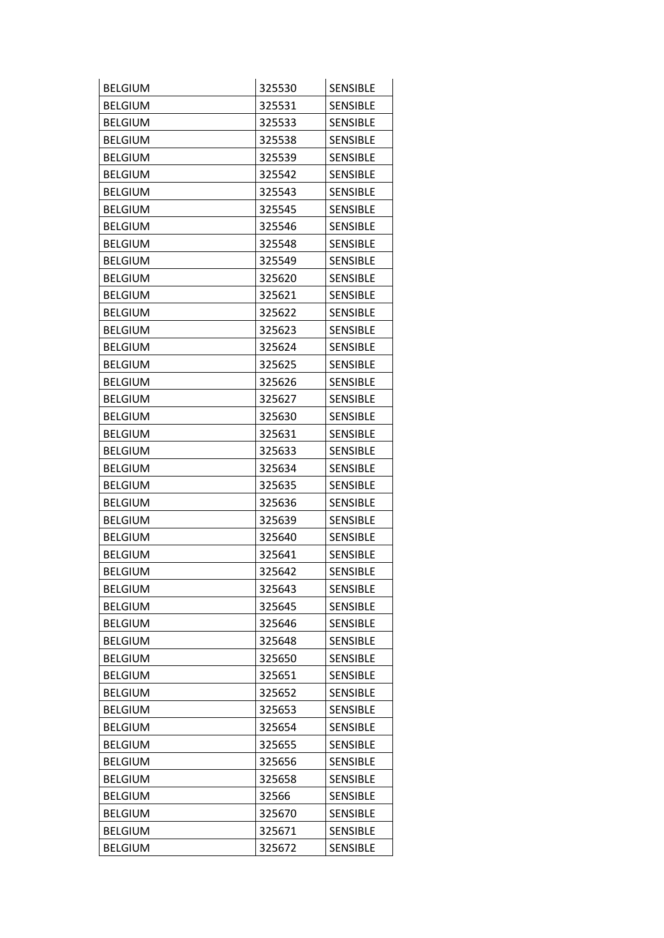| <b>BELGIUM</b> | 325530 | <b>SENSIBLE</b> |
|----------------|--------|-----------------|
| <b>BELGIUM</b> | 325531 | <b>SENSIBLE</b> |
| <b>BELGIUM</b> | 325533 | <b>SENSIBLE</b> |
| <b>BELGIUM</b> | 325538 | <b>SENSIBLE</b> |
| <b>BELGIUM</b> | 325539 | <b>SENSIBLE</b> |
| <b>BELGIUM</b> | 325542 | <b>SENSIBLE</b> |
| <b>BELGIUM</b> | 325543 | <b>SENSIBLE</b> |
| <b>BELGIUM</b> | 325545 | <b>SENSIBLE</b> |
| <b>BELGIUM</b> | 325546 | <b>SENSIBLE</b> |
| <b>BELGIUM</b> | 325548 | <b>SENSIBLE</b> |
| <b>BELGIUM</b> | 325549 | <b>SENSIBLE</b> |
| <b>BELGIUM</b> | 325620 | <b>SENSIBLE</b> |
| <b>BELGIUM</b> | 325621 | <b>SENSIBLE</b> |
| <b>BELGIUM</b> | 325622 | <b>SENSIBLE</b> |
| <b>BELGIUM</b> | 325623 | <b>SENSIBLE</b> |
| <b>BELGIUM</b> | 325624 | <b>SENSIBLE</b> |
| <b>BELGIUM</b> | 325625 | <b>SENSIBLE</b> |
| <b>BELGIUM</b> | 325626 | <b>SENSIBLE</b> |
| <b>BELGIUM</b> | 325627 | SENSIBLE        |
| <b>BELGIUM</b> | 325630 | <b>SENSIBLE</b> |
| <b>BELGIUM</b> | 325631 | <b>SENSIBLE</b> |
| <b>BELGIUM</b> | 325633 | <b>SENSIBLE</b> |
| <b>BELGIUM</b> | 325634 | <b>SENSIBLE</b> |
| <b>BELGIUM</b> | 325635 | <b>SENSIBLE</b> |
| <b>BELGIUM</b> | 325636 | <b>SENSIBLE</b> |
| <b>BELGIUM</b> | 325639 | <b>SENSIBLE</b> |
| <b>BELGIUM</b> | 325640 | <b>SENSIBLE</b> |
| <b>BELGIUM</b> | 325641 | <b>SENSIBLE</b> |
| <b>BELGIUM</b> | 325642 | <b>SENSIBLE</b> |
| <b>BELGIUM</b> | 325643 | <b>SENSIBLE</b> |
| <b>BELGIUM</b> | 325645 | <b>SENSIBLE</b> |
| <b>BELGIUM</b> | 325646 | <b>SENSIBLE</b> |
| <b>BELGIUM</b> | 325648 | <b>SENSIBLE</b> |
| <b>BELGIUM</b> | 325650 | <b>SENSIBLE</b> |
| <b>BELGIUM</b> | 325651 | <b>SENSIBLE</b> |
| <b>BELGIUM</b> | 325652 | <b>SENSIBLE</b> |
| <b>BELGIUM</b> | 325653 | <b>SENSIBLE</b> |
| <b>BELGIUM</b> | 325654 | <b>SENSIBLE</b> |
| <b>BELGIUM</b> | 325655 | <b>SENSIBLE</b> |
| <b>BELGIUM</b> | 325656 | <b>SENSIBLE</b> |
| <b>BELGIUM</b> | 325658 | SENSIBLE        |
| <b>BELGIUM</b> | 32566  | <b>SENSIBLE</b> |
| <b>BELGIUM</b> | 325670 | <b>SENSIBLE</b> |
| <b>BELGIUM</b> | 325671 | <b>SENSIBLE</b> |
| <b>BELGIUM</b> | 325672 | SENSIBLE        |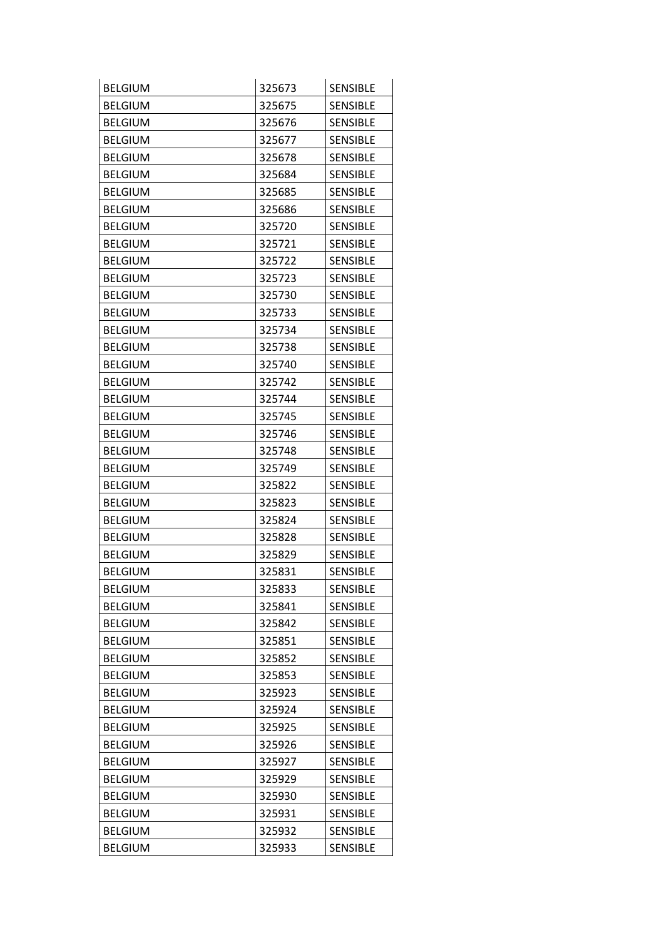| <b>BELGIUM</b> | 325673 | <b>SENSIBLE</b> |
|----------------|--------|-----------------|
| <b>BELGIUM</b> | 325675 | <b>SENSIBLE</b> |
| <b>BELGIUM</b> | 325676 | <b>SENSIBLE</b> |
| <b>BELGIUM</b> | 325677 | <b>SENSIBLE</b> |
| <b>BELGIUM</b> | 325678 | <b>SENSIBLE</b> |
| <b>BELGIUM</b> | 325684 | <b>SENSIBLE</b> |
| <b>BELGIUM</b> | 325685 | <b>SENSIBLE</b> |
| <b>BELGIUM</b> | 325686 | <b>SENSIBLE</b> |
| <b>BELGIUM</b> | 325720 | <b>SENSIBLE</b> |
| <b>BELGIUM</b> | 325721 | <b>SENSIBLE</b> |
| <b>BELGIUM</b> | 325722 | <b>SENSIBLE</b> |
| <b>BELGIUM</b> | 325723 | <b>SENSIBLE</b> |
| <b>BELGIUM</b> | 325730 | <b>SENSIBLE</b> |
| <b>BELGIUM</b> | 325733 | <b>SENSIBLE</b> |
| <b>BELGIUM</b> | 325734 | <b>SENSIBLE</b> |
| <b>BELGIUM</b> | 325738 | <b>SENSIBLE</b> |
| <b>BELGIUM</b> | 325740 | <b>SENSIBLE</b> |
| <b>BELGIUM</b> | 325742 | <b>SENSIBLE</b> |
| <b>BELGIUM</b> | 325744 | <b>SENSIBLE</b> |
| <b>BELGIUM</b> | 325745 | <b>SENSIBLE</b> |
| <b>BELGIUM</b> | 325746 | <b>SENSIBLE</b> |
| <b>BELGIUM</b> | 325748 | <b>SENSIBLE</b> |
| <b>BELGIUM</b> | 325749 | <b>SENSIBLE</b> |
| <b>BELGIUM</b> | 325822 | <b>SENSIBLE</b> |
| <b>BELGIUM</b> | 325823 | <b>SENSIBLE</b> |
| <b>BELGIUM</b> | 325824 | <b>SENSIBLE</b> |
| <b>BELGIUM</b> | 325828 | <b>SENSIBLE</b> |
| <b>BELGIUM</b> | 325829 | <b>SENSIBLE</b> |
| <b>BELGIUM</b> | 325831 | <b>SENSIBLE</b> |
| <b>BELGIUM</b> | 325833 | <b>SENSIBLE</b> |
| <b>BELGIUM</b> | 325841 | <b>SENSIBLE</b> |
| <b>BELGIUM</b> | 325842 | <b>SENSIBLE</b> |
| <b>BELGIUM</b> | 325851 | <b>SENSIBLE</b> |
| <b>BELGIUM</b> | 325852 | <b>SENSIBLE</b> |
| <b>BELGIUM</b> | 325853 | <b>SENSIBLE</b> |
| <b>BELGIUM</b> | 325923 | <b>SENSIBLE</b> |
| <b>BELGIUM</b> | 325924 | <b>SENSIBLE</b> |
| <b>BELGIUM</b> | 325925 | <b>SENSIBLE</b> |
| <b>BELGIUM</b> | 325926 | <b>SENSIBLE</b> |
| <b>BELGIUM</b> | 325927 | <b>SENSIBLE</b> |
| <b>BELGIUM</b> | 325929 | SENSIBLE        |
| <b>BELGIUM</b> | 325930 | <b>SENSIBLE</b> |
| <b>BELGIUM</b> | 325931 | <b>SENSIBLE</b> |
| <b>BELGIUM</b> | 325932 | <b>SENSIBLE</b> |
| <b>BELGIUM</b> | 325933 | <b>SENSIBLE</b> |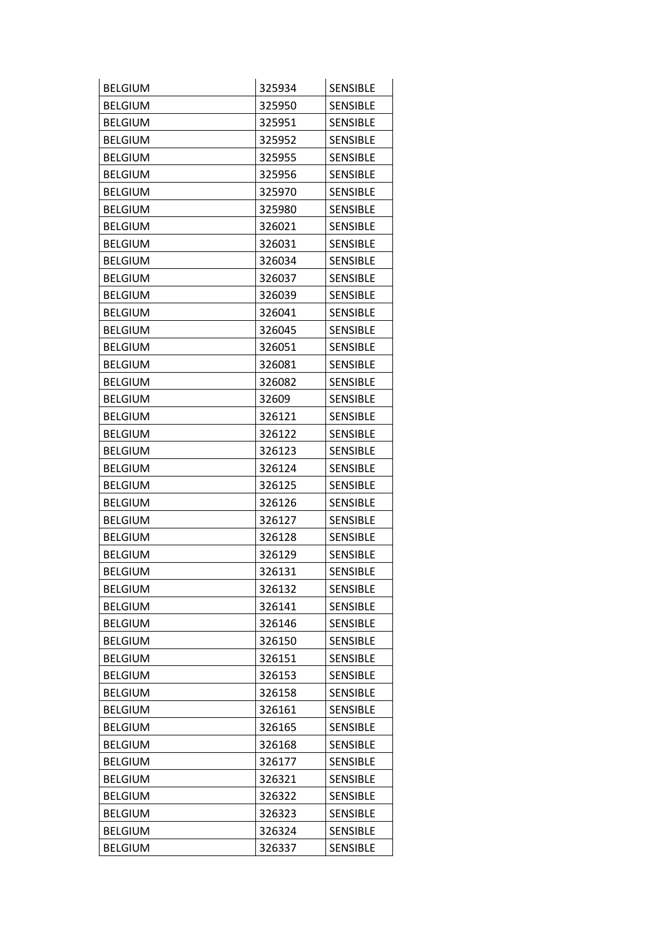| <b>BELGIUM</b> | 325934 | <b>SENSIBLE</b> |
|----------------|--------|-----------------|
| <b>BELGIUM</b> | 325950 | <b>SENSIBLE</b> |
| <b>BELGIUM</b> | 325951 | <b>SENSIBLE</b> |
| <b>BELGIUM</b> | 325952 | <b>SENSIBLE</b> |
| <b>BELGIUM</b> | 325955 | <b>SENSIBLE</b> |
| <b>BELGIUM</b> | 325956 | <b>SENSIBLE</b> |
| <b>BELGIUM</b> | 325970 | <b>SENSIBLE</b> |
| <b>BELGIUM</b> | 325980 | <b>SENSIBLE</b> |
| <b>BELGIUM</b> | 326021 | <b>SENSIBLE</b> |
| <b>BELGIUM</b> | 326031 | <b>SENSIBLE</b> |
| <b>BELGIUM</b> | 326034 | <b>SENSIBLE</b> |
| <b>BELGIUM</b> | 326037 | <b>SENSIBLE</b> |
| <b>BELGIUM</b> | 326039 | <b>SENSIBLE</b> |
| <b>BELGIUM</b> | 326041 | <b>SENSIBLE</b> |
| <b>BELGIUM</b> | 326045 | <b>SENSIBLE</b> |
| <b>BELGIUM</b> | 326051 | <b>SENSIBLE</b> |
| <b>BELGIUM</b> | 326081 | <b>SENSIBLE</b> |
| <b>BELGIUM</b> | 326082 | <b>SENSIBLE</b> |
| <b>BELGIUM</b> | 32609  | <b>SENSIBLE</b> |
| <b>BELGIUM</b> | 326121 | <b>SENSIBLE</b> |
| <b>BELGIUM</b> | 326122 | <b>SENSIBLE</b> |
| <b>BELGIUM</b> | 326123 | SENSIBLE        |
| <b>BELGIUM</b> | 326124 | <b>SENSIBLE</b> |
| <b>BELGIUM</b> | 326125 | <b>SENSIBLE</b> |
| <b>BELGIUM</b> | 326126 | <b>SENSIBLE</b> |
| <b>BELGIUM</b> | 326127 | <b>SENSIBLE</b> |
| <b>BELGIUM</b> | 326128 | <b>SENSIBLE</b> |
| <b>BELGIUM</b> | 326129 | <b>SENSIBLE</b> |
| <b>BELGIUM</b> | 326131 | <b>SENSIBLE</b> |
| <b>BELGIUM</b> | 326132 | <b>SENSIBLE</b> |
| <b>BELGIUM</b> | 326141 | <b>SENSIBLE</b> |
| <b>BELGIUM</b> | 326146 | <b>SENSIBLE</b> |
| <b>BELGIUM</b> | 326150 | <b>SENSIBLE</b> |
| <b>BELGIUM</b> | 326151 | SENSIBLE        |
| <b>BELGIUM</b> | 326153 | <b>SENSIBLE</b> |
| <b>BELGIUM</b> | 326158 | <b>SENSIBLE</b> |
| <b>BELGIUM</b> | 326161 | <b>SENSIBLE</b> |
| <b>BELGIUM</b> | 326165 | <b>SENSIBLE</b> |
| <b>BELGIUM</b> | 326168 | <b>SENSIBLE</b> |
| <b>BELGIUM</b> | 326177 | <b>SENSIBLE</b> |
| <b>BELGIUM</b> | 326321 | SENSIBLE        |
| <b>BELGIUM</b> | 326322 | <b>SENSIBLE</b> |
| <b>BELGIUM</b> | 326323 | <b>SENSIBLE</b> |
| <b>BELGIUM</b> | 326324 | <b>SENSIBLE</b> |
| <b>BELGIUM</b> | 326337 | SENSIBLE        |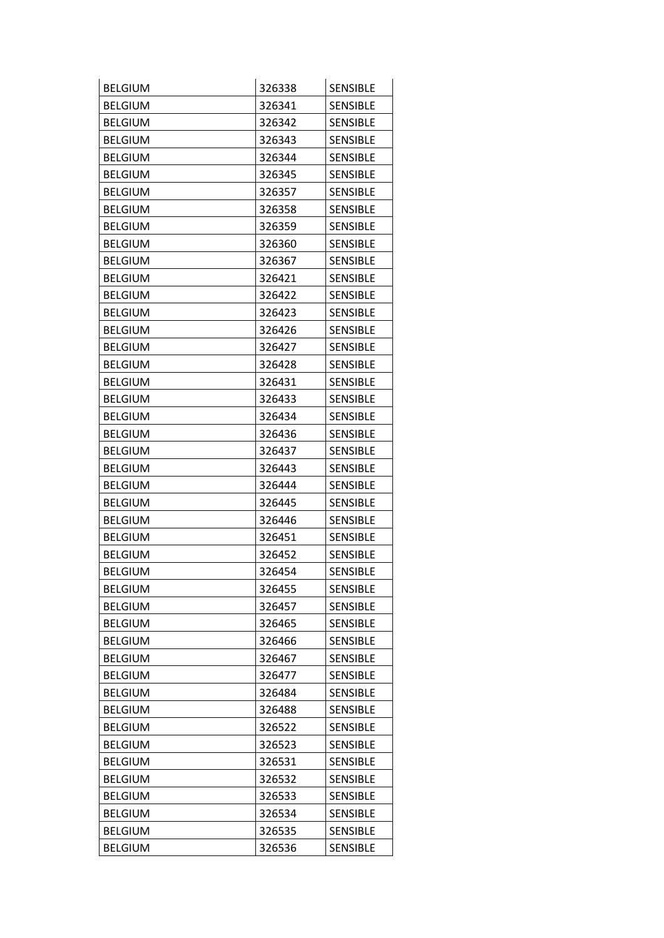| <b>BELGIUM</b> | 326338 | <b>SENSIBLE</b> |
|----------------|--------|-----------------|
| <b>BELGIUM</b> | 326341 | <b>SENSIBLE</b> |
| <b>BELGIUM</b> | 326342 | <b>SENSIBLE</b> |
| <b>BELGIUM</b> | 326343 | <b>SENSIBLE</b> |
| <b>BELGIUM</b> | 326344 | <b>SENSIBLE</b> |
| <b>BELGIUM</b> | 326345 | <b>SENSIBLE</b> |
| <b>BELGIUM</b> | 326357 | <b>SENSIBLE</b> |
| <b>BELGIUM</b> | 326358 | <b>SENSIBLE</b> |
| <b>BELGIUM</b> | 326359 | <b>SENSIBLE</b> |
| <b>BELGIUM</b> | 326360 | <b>SENSIBLE</b> |
| <b>BELGIUM</b> | 326367 | <b>SENSIBLE</b> |
| <b>BELGIUM</b> | 326421 | <b>SENSIBLE</b> |
| <b>BELGIUM</b> | 326422 | <b>SENSIBLE</b> |
| <b>BELGIUM</b> | 326423 | <b>SENSIBLE</b> |
| <b>BELGIUM</b> | 326426 | <b>SENSIBLE</b> |
| <b>BELGIUM</b> | 326427 | <b>SENSIBLE</b> |
| <b>BELGIUM</b> | 326428 | <b>SENSIBLE</b> |
| <b>BELGIUM</b> | 326431 | <b>SENSIBLE</b> |
| <b>BELGIUM</b> | 326433 | <b>SENSIBLE</b> |
| <b>BELGIUM</b> | 326434 | <b>SENSIBLE</b> |
| <b>BELGIUM</b> | 326436 | <b>SENSIBLE</b> |
| <b>BELGIUM</b> | 326437 | <b>SENSIBLE</b> |
| <b>BELGIUM</b> | 326443 | <b>SENSIBLE</b> |
| <b>BELGIUM</b> | 326444 | <b>SENSIBLE</b> |
| <b>BELGIUM</b> | 326445 | <b>SENSIBLE</b> |
| <b>BELGIUM</b> | 326446 | <b>SENSIBLE</b> |
| <b>BELGIUM</b> | 326451 | <b>SENSIBLE</b> |
| <b>BELGIUM</b> | 326452 | <b>SENSIBLE</b> |
| <b>BELGIUM</b> | 326454 | <b>SENSIBLE</b> |
| <b>BELGIUM</b> | 326455 | <b>SENSIBLE</b> |
| <b>BELGIUM</b> | 326457 | <b>SENSIBLE</b> |
| <b>BELGIUM</b> | 326465 | <b>SENSIBLE</b> |
| <b>BELGIUM</b> | 326466 | <b>SENSIBLE</b> |
| <b>BELGIUM</b> | 326467 | <b>SENSIBLE</b> |
| <b>BELGIUM</b> | 326477 | <b>SENSIBLE</b> |
| <b>BELGIUM</b> | 326484 | <b>SENSIBLE</b> |
| <b>BELGIUM</b> | 326488 | <b>SENSIBLE</b> |
| <b>BELGIUM</b> | 326522 | <b>SENSIBLE</b> |
| <b>BELGIUM</b> | 326523 | <b>SENSIBLE</b> |
| <b>BELGIUM</b> | 326531 | <b>SENSIBLE</b> |
| <b>BELGIUM</b> | 326532 | SENSIBLE        |
| <b>BELGIUM</b> | 326533 | <b>SENSIBLE</b> |
| <b>BELGIUM</b> | 326534 | <b>SENSIBLE</b> |
| <b>BELGIUM</b> | 326535 | <b>SENSIBLE</b> |
| <b>BELGIUM</b> | 326536 | SENSIBLE        |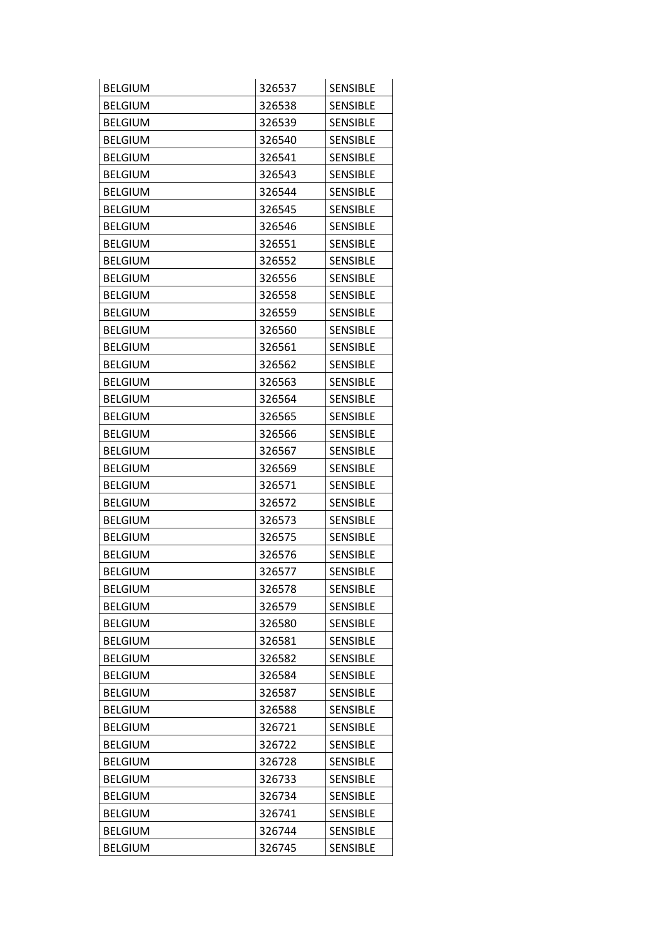| <b>BELGIUM</b> | 326537 | <b>SENSIBLE</b> |
|----------------|--------|-----------------|
| <b>BELGIUM</b> | 326538 | <b>SENSIBLE</b> |
| <b>BELGIUM</b> | 326539 | <b>SENSIBLE</b> |
| <b>BELGIUM</b> | 326540 | <b>SENSIBLE</b> |
| <b>BELGIUM</b> | 326541 | SENSIBLE        |
| <b>BELGIUM</b> | 326543 | <b>SENSIBLE</b> |
| <b>BELGIUM</b> | 326544 | <b>SENSIBLE</b> |
| <b>BELGIUM</b> | 326545 | <b>SENSIBLE</b> |
| <b>BELGIUM</b> | 326546 | <b>SENSIBLE</b> |
| <b>BELGIUM</b> | 326551 | <b>SENSIBLE</b> |
| <b>BELGIUM</b> | 326552 | <b>SENSIBLE</b> |
| <b>BELGIUM</b> | 326556 | <b>SENSIBLE</b> |
| <b>BELGIUM</b> | 326558 | <b>SENSIBLE</b> |
| <b>BELGIUM</b> | 326559 | <b>SENSIBLE</b> |
| <b>BELGIUM</b> | 326560 | <b>SENSIBLE</b> |
| <b>BELGIUM</b> | 326561 | <b>SENSIBLE</b> |
| <b>BELGIUM</b> | 326562 | <b>SENSIBLE</b> |
| <b>BELGIUM</b> | 326563 | <b>SENSIBLE</b> |
| <b>BELGIUM</b> | 326564 | <b>SENSIBLE</b> |
| <b>BELGIUM</b> | 326565 | <b>SENSIBLE</b> |
| <b>BELGIUM</b> | 326566 | <b>SENSIBLE</b> |
| <b>BELGIUM</b> | 326567 | <b>SENSIBLE</b> |
| <b>BELGIUM</b> | 326569 | <b>SENSIBLE</b> |
| <b>BELGIUM</b> | 326571 | <b>SENSIBLE</b> |
| <b>BELGIUM</b> | 326572 | <b>SENSIBLE</b> |
| <b>BELGIUM</b> | 326573 | <b>SENSIBLE</b> |
| <b>BELGIUM</b> | 326575 | <b>SENSIBLE</b> |
| <b>BELGIUM</b> | 326576 | <b>SENSIBLE</b> |
| <b>BELGIUM</b> | 326577 | <b>SENSIBLE</b> |
| <b>BELGIUM</b> | 326578 | <b>SENSIBLE</b> |
| <b>BELGIUM</b> | 326579 | <b>SENSIBLE</b> |
| <b>BELGIUM</b> | 326580 | <b>SENSIBLE</b> |
| <b>BELGIUM</b> | 326581 | <b>SENSIBLE</b> |
| <b>BELGIUM</b> | 326582 | SENSIBLE        |
| <b>BELGIUM</b> | 326584 | <b>SENSIBLE</b> |
| <b>BELGIUM</b> | 326587 | <b>SENSIBLE</b> |
| <b>BELGIUM</b> | 326588 | <b>SENSIBLE</b> |
| <b>BELGIUM</b> | 326721 | <b>SENSIBLE</b> |
| <b>BELGIUM</b> | 326722 | <b>SENSIBLE</b> |
| <b>BELGIUM</b> | 326728 | <b>SENSIBLE</b> |
| <b>BELGIUM</b> | 326733 | SENSIBLE        |
| <b>BELGIUM</b> | 326734 | <b>SENSIBLE</b> |
| <b>BELGIUM</b> | 326741 | <b>SENSIBLE</b> |
| <b>BELGIUM</b> | 326744 | <b>SENSIBLE</b> |
| <b>BELGIUM</b> | 326745 | <b>SENSIBLE</b> |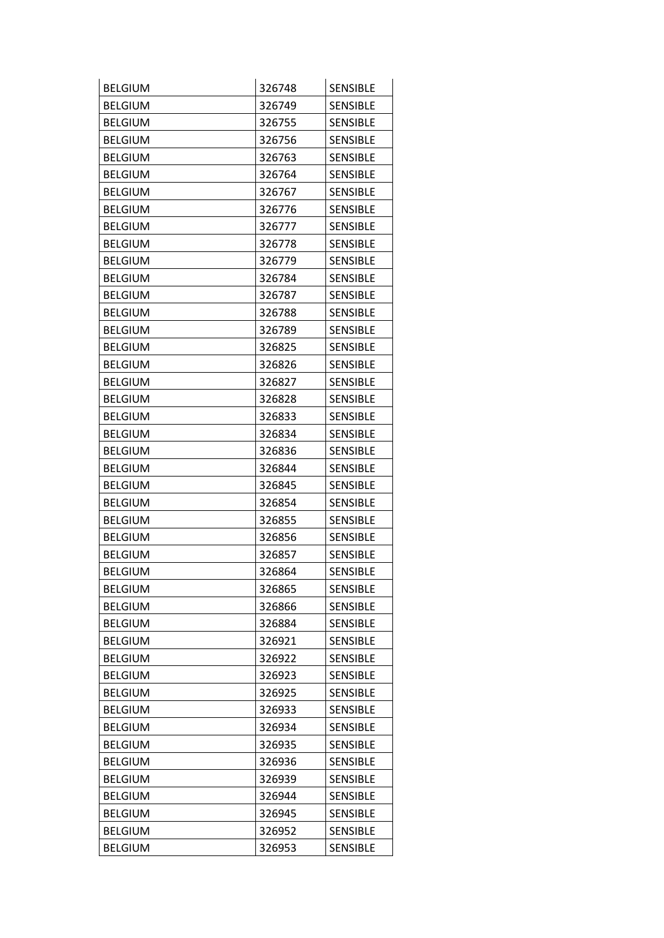| <b>BELGIUM</b> | 326748 | <b>SENSIBLE</b> |
|----------------|--------|-----------------|
| <b>BELGIUM</b> | 326749 | <b>SENSIBLE</b> |
| <b>BELGIUM</b> | 326755 | <b>SENSIBLE</b> |
| <b>BELGIUM</b> | 326756 | <b>SENSIBLE</b> |
| <b>BELGIUM</b> | 326763 | SENSIBLE        |
| <b>BELGIUM</b> | 326764 | <b>SENSIBLE</b> |
| <b>BELGIUM</b> | 326767 | <b>SENSIBLE</b> |
| <b>BELGIUM</b> | 326776 | <b>SENSIBLE</b> |
| <b>BELGIUM</b> | 326777 | <b>SENSIBLE</b> |
| <b>BELGIUM</b> | 326778 | <b>SENSIBLE</b> |
| <b>BELGIUM</b> | 326779 | <b>SENSIBLE</b> |
| <b>BELGIUM</b> | 326784 | <b>SENSIBLE</b> |
| <b>BELGIUM</b> | 326787 | <b>SENSIBLE</b> |
| <b>BELGIUM</b> | 326788 | <b>SENSIBLE</b> |
| <b>BELGIUM</b> | 326789 | <b>SENSIBLE</b> |
| <b>BELGIUM</b> | 326825 | <b>SENSIBLE</b> |
| <b>BELGIUM</b> | 326826 | <b>SENSIBLE</b> |
| <b>BELGIUM</b> | 326827 | <b>SENSIBLE</b> |
| <b>BELGIUM</b> | 326828 | <b>SENSIBLE</b> |
| <b>BELGIUM</b> | 326833 | <b>SENSIBLE</b> |
| <b>BELGIUM</b> | 326834 | <b>SENSIBLE</b> |
| <b>BELGIUM</b> | 326836 | <b>SENSIBLE</b> |
| <b>BELGIUM</b> | 326844 | <b>SENSIBLE</b> |
| <b>BELGIUM</b> | 326845 | <b>SENSIBLE</b> |
| <b>BELGIUM</b> | 326854 | <b>SENSIBLE</b> |
| <b>BELGIUM</b> | 326855 | <b>SENSIBLE</b> |
| <b>BELGIUM</b> | 326856 | <b>SENSIBLE</b> |
| <b>BELGIUM</b> | 326857 | <b>SENSIBLE</b> |
| <b>BELGIUM</b> | 326864 | <b>SENSIBLE</b> |
| <b>BELGIUM</b> | 326865 | <b>SENSIBLE</b> |
| <b>BELGIUM</b> | 326866 | SENSIBLE        |
| <b>BELGIUM</b> | 326884 | <b>SENSIBLE</b> |
| <b>BELGIUM</b> | 326921 | <b>SENSIBLE</b> |
| <b>BELGIUM</b> | 326922 | SENSIBLE        |
| <b>BELGIUM</b> | 326923 | <b>SENSIBLE</b> |
| <b>BELGIUM</b> | 326925 | <b>SENSIBLE</b> |
| <b>BELGIUM</b> | 326933 | <b>SENSIBLE</b> |
| <b>BELGIUM</b> | 326934 | <b>SENSIBLE</b> |
| <b>BELGIUM</b> | 326935 | <b>SENSIBLE</b> |
| <b>BELGIUM</b> | 326936 | <b>SENSIBLE</b> |
| <b>BELGIUM</b> | 326939 | SENSIBLE        |
| <b>BELGIUM</b> | 326944 | <b>SENSIBLE</b> |
| <b>BELGIUM</b> | 326945 | <b>SENSIBLE</b> |
| <b>BELGIUM</b> | 326952 | <b>SENSIBLE</b> |
| <b>BELGIUM</b> | 326953 | <b>SENSIBLE</b> |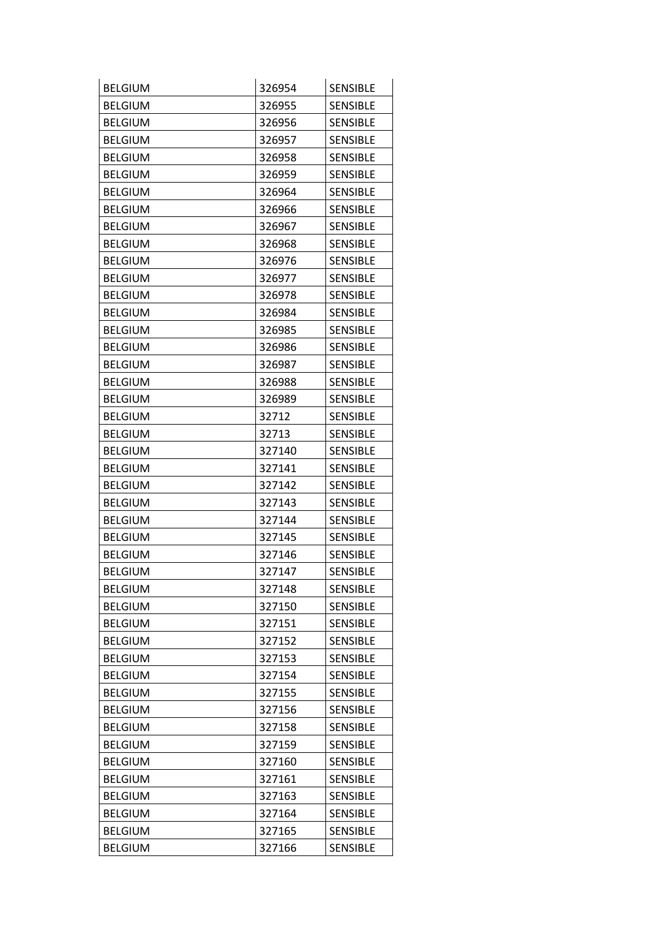| <b>BELGIUM</b> | 326954 | <b>SENSIBLE</b> |
|----------------|--------|-----------------|
| <b>BELGIUM</b> | 326955 | <b>SENSIBLE</b> |
| <b>BELGIUM</b> | 326956 | <b>SENSIBLE</b> |
| <b>BELGIUM</b> | 326957 | <b>SENSIBLE</b> |
| <b>BELGIUM</b> | 326958 | <b>SENSIBLE</b> |
| <b>BELGIUM</b> | 326959 | <b>SENSIBLE</b> |
| <b>BELGIUM</b> | 326964 | <b>SENSIBLE</b> |
| <b>BELGIUM</b> | 326966 | <b>SENSIBLE</b> |
| <b>BELGIUM</b> | 326967 | <b>SENSIBLE</b> |
| <b>BELGIUM</b> | 326968 | <b>SENSIBLE</b> |
| <b>BELGIUM</b> | 326976 | <b>SENSIBLE</b> |
| <b>BELGIUM</b> | 326977 | <b>SENSIBLE</b> |
| <b>BELGIUM</b> | 326978 | <b>SENSIBLE</b> |
| <b>BELGIUM</b> | 326984 | <b>SENSIBLE</b> |
| <b>BELGIUM</b> | 326985 | <b>SENSIBLE</b> |
| <b>BELGIUM</b> | 326986 | <b>SENSIBLE</b> |
| <b>BELGIUM</b> | 326987 | <b>SENSIBLE</b> |
| <b>BELGIUM</b> | 326988 | <b>SENSIBLE</b> |
| <b>BELGIUM</b> | 326989 | SENSIBLE        |
| <b>BELGIUM</b> | 32712  | <b>SENSIBLE</b> |
| <b>BELGIUM</b> | 32713  | <b>SENSIBLE</b> |
| <b>BELGIUM</b> | 327140 | SENSIBLE        |
| <b>BELGIUM</b> | 327141 | <b>SENSIBLE</b> |
| <b>BELGIUM</b> | 327142 | <b>SENSIBLE</b> |
| <b>BELGIUM</b> | 327143 | <b>SENSIBLE</b> |
| <b>BELGIUM</b> | 327144 | <b>SENSIBLE</b> |
| <b>BELGIUM</b> | 327145 | <b>SENSIBLE</b> |
| <b>BELGIUM</b> | 327146 | <b>SENSIBLE</b> |
| <b>BELGIUM</b> | 327147 | <b>SENSIBLE</b> |
| <b>BELGIUM</b> | 327148 | <b>SENSIBLE</b> |
| <b>BELGIUM</b> | 327150 | <b>SENSIBLE</b> |
| <b>BELGIUM</b> | 327151 | <b>SENSIBLE</b> |
| <b>BELGIUM</b> | 327152 | <b>SENSIBLE</b> |
| <b>BELGIUM</b> | 327153 | SENSIBLE        |
| <b>BELGIUM</b> | 327154 | <b>SENSIBLE</b> |
| <b>BELGIUM</b> | 327155 | <b>SENSIBLE</b> |
| <b>BELGIUM</b> | 327156 | <b>SENSIBLE</b> |
| <b>BELGIUM</b> | 327158 | <b>SENSIBLE</b> |
| <b>BELGIUM</b> | 327159 | <b>SENSIBLE</b> |
| <b>BELGIUM</b> | 327160 | <b>SENSIBLE</b> |
| <b>BELGIUM</b> | 327161 | SENSIBLE        |
| <b>BELGIUM</b> | 327163 | <b>SENSIBLE</b> |
| <b>BELGIUM</b> | 327164 | <b>SENSIBLE</b> |
| <b>BELGIUM</b> | 327165 | <b>SENSIBLE</b> |
| <b>BELGIUM</b> | 327166 | <b>SENSIBLE</b> |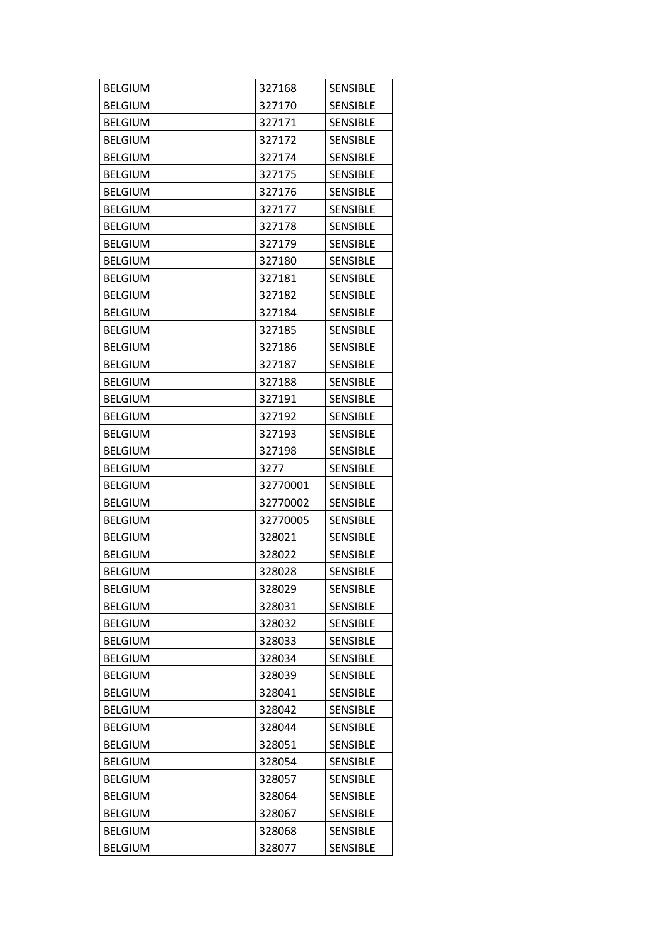| <b>BELGIUM</b>                   | 327168   | <b>SENSIBLE</b> |
|----------------------------------|----------|-----------------|
| <b>BELGIUM</b>                   | 327170   | <b>SENSIBLE</b> |
| <b>BELGIUM</b>                   | 327171   | <b>SENSIBLE</b> |
| <b>BELGIUM</b>                   | 327172   | <b>SENSIBLE</b> |
| <b>BELGIUM</b>                   | 327174   | SENSIBLE        |
| <b>BELGIUM</b>                   | 327175   | <b>SENSIBLE</b> |
| <b>BELGIUM</b>                   | 327176   | <b>SENSIBLE</b> |
| <b>BELGIUM</b>                   | 327177   | <b>SENSIBLE</b> |
| <b>BELGIUM</b>                   | 327178   | <b>SENSIBLE</b> |
| <b>BELGIUM</b>                   | 327179   | <b>SENSIBLE</b> |
| <b>BELGIUM</b>                   | 327180   | <b>SENSIBLE</b> |
| <b>BELGIUM</b>                   | 327181   | <b>SENSIBLE</b> |
| <b>BELGIUM</b>                   | 327182   | <b>SENSIBLE</b> |
| <b>BELGIUM</b>                   | 327184   | <b>SENSIBLE</b> |
| <b>BELGIUM</b>                   | 327185   | <b>SENSIBLE</b> |
| <b>BELGIUM</b>                   | 327186   | <b>SENSIBLE</b> |
| <b>BELGIUM</b>                   | 327187   | <b>SENSIBLE</b> |
| <b>BELGIUM</b>                   | 327188   | <b>SENSIBLE</b> |
| <b>BELGIUM</b>                   | 327191   | <b>SENSIBLE</b> |
| <b>BELGIUM</b>                   | 327192   | <b>SENSIBLE</b> |
| <b>BELGIUM</b>                   | 327193   | <b>SENSIBLE</b> |
| <b>BELGIUM</b>                   | 327198   | <b>SENSIBLE</b> |
| <b>BELGIUM</b>                   | 3277     | <b>SENSIBLE</b> |
| <b>BELGIUM</b>                   | 32770001 | <b>SENSIBLE</b> |
| <b>BELGIUM</b>                   | 32770002 | <b>SENSIBLE</b> |
|                                  |          |                 |
| <b>BELGIUM</b>                   | 32770005 | <b>SENSIBLE</b> |
| <b>BELGIUM</b>                   | 328021   | <b>SENSIBLE</b> |
| <b>BELGIUM</b>                   | 328022   | <b>SENSIBLE</b> |
| <b>BELGIUM</b>                   | 328028   | <b>SENSIBLE</b> |
| <b>BELGIUM</b>                   | 328029   | <b>SENSIBLE</b> |
| <b>BELGIUM</b>                   | 328031   | <b>SENSIBLE</b> |
| <b>BELGIUM</b>                   | 328032   | <b>SENSIBLE</b> |
| <b>BELGIUM</b>                   | 328033   | <b>SENSIBLE</b> |
| <b>BELGIUM</b>                   | 328034   | SENSIBLE        |
| <b>BELGIUM</b>                   | 328039   | <b>SENSIBLE</b> |
| <b>BELGIUM</b>                   | 328041   | <b>SENSIBLE</b> |
| <b>BELGIUM</b>                   | 328042   | <b>SENSIBLE</b> |
| <b>BELGIUM</b>                   | 328044   | <b>SENSIBLE</b> |
| <b>BELGIUM</b>                   | 328051   | <b>SENSIBLE</b> |
| <b>BELGIUM</b>                   | 328054   | <b>SENSIBLE</b> |
| <b>BELGIUM</b>                   | 328057   | <b>SENSIBLE</b> |
| <b>BELGIUM</b>                   | 328064   | <b>SENSIBLE</b> |
| <b>BELGIUM</b>                   | 328067   | <b>SENSIBLE</b> |
| <b>BELGIUM</b><br><b>BELGIUM</b> | 328068   | <b>SENSIBLE</b> |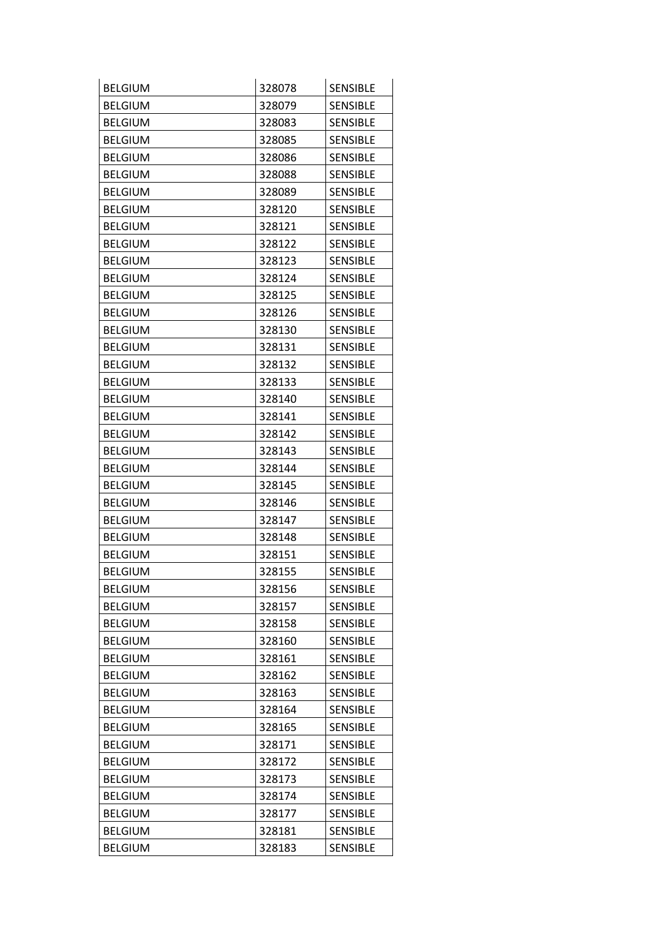| <b>BELGIUM</b> | 328078 | <b>SENSIBLE</b> |
|----------------|--------|-----------------|
| <b>BELGIUM</b> | 328079 | <b>SENSIBLE</b> |
| <b>BELGIUM</b> | 328083 | <b>SENSIBLE</b> |
| <b>BELGIUM</b> | 328085 | <b>SENSIBLE</b> |
| <b>BELGIUM</b> | 328086 | <b>SENSIBLE</b> |
| <b>BELGIUM</b> | 328088 | <b>SENSIBLE</b> |
| <b>BELGIUM</b> | 328089 | <b>SENSIBLE</b> |
| <b>BELGIUM</b> | 328120 | <b>SENSIBLE</b> |
| <b>BELGIUM</b> | 328121 | <b>SENSIBLE</b> |
| <b>BELGIUM</b> | 328122 | <b>SENSIBLE</b> |
| <b>BELGIUM</b> | 328123 | <b>SENSIBLE</b> |
| <b>BELGIUM</b> | 328124 | <b>SENSIBLE</b> |
| <b>BELGIUM</b> | 328125 | <b>SENSIBLE</b> |
| <b>BELGIUM</b> | 328126 | <b>SENSIBLE</b> |
| <b>BELGIUM</b> | 328130 | <b>SENSIBLE</b> |
| <b>BELGIUM</b> | 328131 | <b>SENSIBLE</b> |
| <b>BELGIUM</b> | 328132 | <b>SENSIBLE</b> |
| <b>BELGIUM</b> | 328133 | <b>SENSIBLE</b> |
| <b>BELGIUM</b> | 328140 | <b>SENSIBLE</b> |
| <b>BELGIUM</b> | 328141 | <b>SENSIBLE</b> |
| <b>BELGIUM</b> | 328142 | <b>SENSIBLE</b> |
| <b>BELGIUM</b> | 328143 | <b>SENSIBLE</b> |
| <b>BELGIUM</b> | 328144 | <b>SENSIBLE</b> |
| <b>BELGIUM</b> | 328145 | <b>SENSIBLE</b> |
| <b>BELGIUM</b> | 328146 | <b>SENSIBLE</b> |
| <b>BELGIUM</b> | 328147 | <b>SENSIBLE</b> |
| <b>BELGIUM</b> | 328148 | <b>SENSIBLE</b> |
| <b>BELGIUM</b> | 328151 | <b>SENSIBLE</b> |
| <b>BELGIUM</b> | 328155 | <b>SENSIBLE</b> |
| <b>BELGIUM</b> | 328156 | <b>SENSIBLE</b> |
| <b>BELGIUM</b> | 328157 | <b>SENSIBLE</b> |
| <b>BELGIUM</b> | 328158 | <b>SENSIBLE</b> |
| <b>BELGIUM</b> | 328160 | <b>SENSIBLE</b> |
| <b>BELGIUM</b> | 328161 | SENSIBLE        |
| <b>BELGIUM</b> | 328162 | <b>SENSIBLE</b> |
| <b>BELGIUM</b> | 328163 | <b>SENSIBLE</b> |
| <b>BELGIUM</b> | 328164 | <b>SENSIBLE</b> |
| <b>BELGIUM</b> | 328165 | <b>SENSIBLE</b> |
| <b>BELGIUM</b> | 328171 | <b>SENSIBLE</b> |
| <b>BELGIUM</b> | 328172 | <b>SENSIBLE</b> |
| <b>BELGIUM</b> | 328173 | SENSIBLE        |
| <b>BELGIUM</b> | 328174 | <b>SENSIBLE</b> |
| <b>BELGIUM</b> | 328177 | <b>SENSIBLE</b> |
| <b>BELGIUM</b> | 328181 | <b>SENSIBLE</b> |
| <b>BELGIUM</b> | 328183 | SENSIBLE        |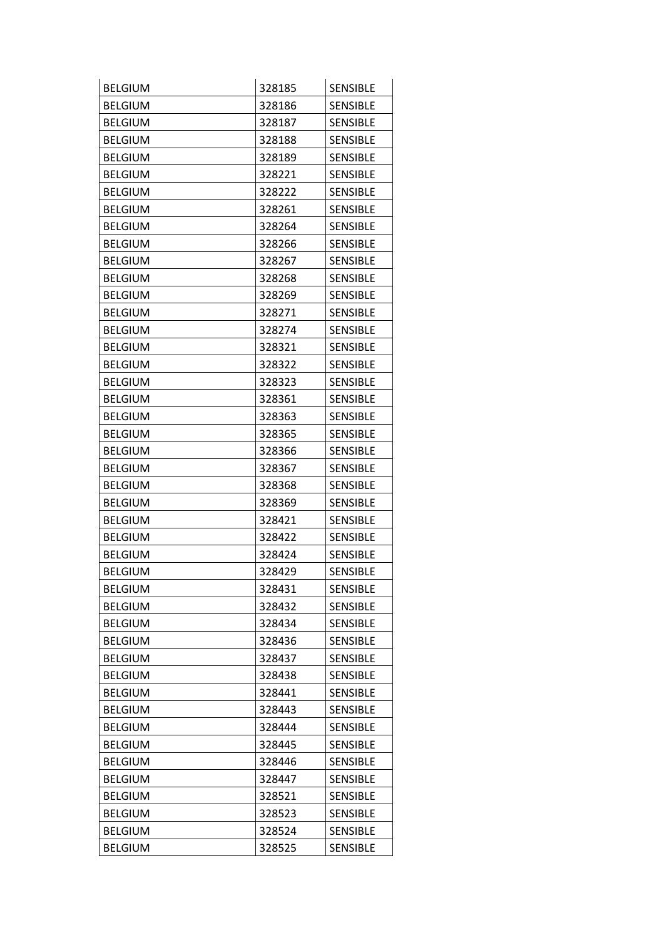| <b>BELGIUM</b> | 328185 | <b>SENSIBLE</b> |
|----------------|--------|-----------------|
| <b>BELGIUM</b> | 328186 | <b>SENSIBLE</b> |
| <b>BELGIUM</b> | 328187 | <b>SENSIBLE</b> |
| <b>BELGIUM</b> | 328188 | <b>SENSIBLE</b> |
| <b>BELGIUM</b> | 328189 | <b>SENSIBLE</b> |
| <b>BELGIUM</b> | 328221 | <b>SENSIBLE</b> |
| <b>BELGIUM</b> | 328222 | <b>SENSIBLE</b> |
| <b>BELGIUM</b> | 328261 | <b>SENSIBLE</b> |
| <b>BELGIUM</b> | 328264 | <b>SENSIBLE</b> |
| <b>BELGIUM</b> | 328266 | <b>SENSIBLE</b> |
| <b>BELGIUM</b> | 328267 | <b>SENSIBLE</b> |
| <b>BELGIUM</b> | 328268 | <b>SENSIBLE</b> |
| <b>BELGIUM</b> | 328269 | <b>SENSIBLE</b> |
| <b>BELGIUM</b> | 328271 | <b>SENSIBLE</b> |
| <b>BELGIUM</b> | 328274 | <b>SENSIBLE</b> |
| <b>BELGIUM</b> | 328321 | <b>SENSIBLE</b> |
| <b>BELGIUM</b> | 328322 | <b>SENSIBLE</b> |
| <b>BELGIUM</b> | 328323 | <b>SENSIBLE</b> |
| <b>BELGIUM</b> | 328361 | <b>SENSIBLE</b> |
| <b>BELGIUM</b> | 328363 | <b>SENSIBLE</b> |
| <b>BELGIUM</b> | 328365 | <b>SENSIBLE</b> |
| <b>BELGIUM</b> | 328366 | <b>SENSIBLE</b> |
| <b>BELGIUM</b> | 328367 | <b>SENSIBLE</b> |
| <b>BELGIUM</b> | 328368 | <b>SENSIBLE</b> |
| <b>BELGIUM</b> | 328369 | <b>SENSIBLE</b> |
| <b>BELGIUM</b> | 328421 | <b>SENSIBLE</b> |
| <b>BELGIUM</b> | 328422 | <b>SENSIBLE</b> |
| <b>BELGIUM</b> | 328424 | <b>SENSIBLE</b> |
| <b>BELGIUM</b> | 328429 | <b>SENSIBLE</b> |
| <b>BELGIUM</b> | 328431 | <b>SENSIBLE</b> |
| <b>BELGIUM</b> | 328432 | <b>SENSIBLE</b> |
| <b>BELGIUM</b> | 328434 | <b>SENSIBLE</b> |
| <b>BELGIUM</b> | 328436 | <b>SENSIBLE</b> |
| <b>BELGIUM</b> | 328437 | <b>SENSIBLE</b> |
| <b>BELGIUM</b> | 328438 | <b>SENSIBLE</b> |
| <b>BELGIUM</b> | 328441 | <b>SENSIBLE</b> |
| <b>BELGIUM</b> | 328443 | <b>SENSIBLE</b> |
| <b>BELGIUM</b> | 328444 | <b>SENSIBLE</b> |
| <b>BELGIUM</b> | 328445 | <b>SENSIBLE</b> |
| <b>BELGIUM</b> | 328446 | <b>SENSIBLE</b> |
| <b>BELGIUM</b> | 328447 | <b>SENSIBLE</b> |
| <b>BELGIUM</b> | 328521 | <b>SENSIBLE</b> |
| <b>BELGIUM</b> | 328523 | <b>SENSIBLE</b> |
| <b>BELGIUM</b> | 328524 | <b>SENSIBLE</b> |
| <b>BELGIUM</b> | 328525 | <b>SENSIBLE</b> |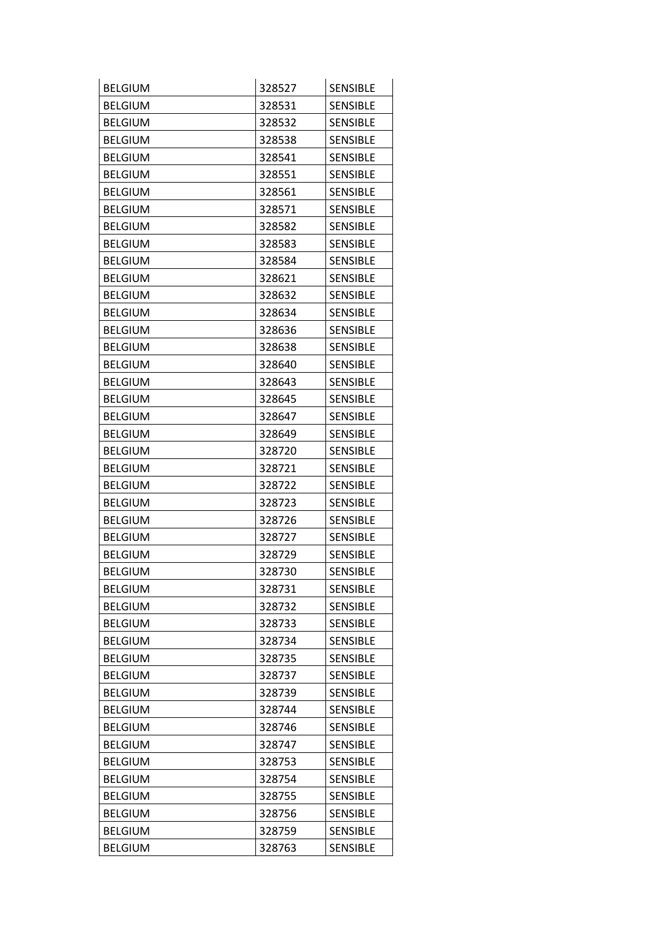| <b>BELGIUM</b> | 328527 | <b>SENSIBLE</b> |
|----------------|--------|-----------------|
| <b>BELGIUM</b> | 328531 | <b>SENSIBLE</b> |
| <b>BELGIUM</b> | 328532 | <b>SENSIBLE</b> |
| <b>BELGIUM</b> | 328538 | <b>SENSIBLE</b> |
| <b>BELGIUM</b> | 328541 | <b>SENSIBLE</b> |
| <b>BELGIUM</b> | 328551 | <b>SENSIBLE</b> |
| <b>BELGIUM</b> | 328561 | <b>SENSIBLE</b> |
| <b>BELGIUM</b> | 328571 | <b>SENSIBLE</b> |
| <b>BELGIUM</b> | 328582 | <b>SENSIBLE</b> |
| <b>BELGIUM</b> | 328583 | <b>SENSIBLE</b> |
| <b>BELGIUM</b> | 328584 | <b>SENSIBLE</b> |
| <b>BELGIUM</b> | 328621 | <b>SENSIBLE</b> |
| <b>BELGIUM</b> | 328632 | <b>SENSIBLE</b> |
| <b>BELGIUM</b> | 328634 | <b>SENSIBLE</b> |
| <b>BELGIUM</b> | 328636 | <b>SENSIBLE</b> |
| <b>BELGIUM</b> | 328638 | <b>SENSIBLE</b> |
| <b>BELGIUM</b> | 328640 | <b>SENSIBLE</b> |
| <b>BELGIUM</b> | 328643 | <b>SENSIBLE</b> |
| <b>BELGIUM</b> | 328645 | <b>SENSIBLE</b> |
| <b>BELGIUM</b> | 328647 | <b>SENSIBLE</b> |
| <b>BELGIUM</b> | 328649 | <b>SENSIBLE</b> |
| <b>BELGIUM</b> | 328720 | <b>SENSIBLE</b> |
| <b>BELGIUM</b> | 328721 | <b>SENSIBLE</b> |
| <b>BELGIUM</b> | 328722 | <b>SENSIBLE</b> |
| <b>BELGIUM</b> | 328723 | <b>SENSIBLE</b> |
| <b>BELGIUM</b> | 328726 | <b>SENSIBLE</b> |
| <b>BELGIUM</b> | 328727 | <b>SENSIBLE</b> |
| <b>BELGIUM</b> | 328729 | <b>SENSIBLE</b> |
| <b>BELGIUM</b> | 328730 | <b>SENSIBLE</b> |
| <b>BELGIUM</b> | 328731 | <b>SENSIBLE</b> |
| <b>BELGIUM</b> | 328732 | <b>SENSIBLE</b> |
| <b>BELGIUM</b> | 328733 | <b>SENSIBLE</b> |
| <b>BELGIUM</b> | 328734 | <b>SENSIBLE</b> |
| <b>BELGIUM</b> | 328735 | <b>SENSIBLE</b> |
| <b>BELGIUM</b> | 328737 | <b>SENSIBLE</b> |
| <b>BELGIUM</b> | 328739 | <b>SENSIBLE</b> |
| <b>BELGIUM</b> | 328744 | <b>SENSIBLE</b> |
| <b>BELGIUM</b> | 328746 | <b>SENSIBLE</b> |
| <b>BELGIUM</b> | 328747 | <b>SENSIBLE</b> |
| <b>BELGIUM</b> | 328753 | <b>SENSIBLE</b> |
| <b>BELGIUM</b> | 328754 | SENSIBLE        |
| <b>BELGIUM</b> | 328755 | <b>SENSIBLE</b> |
| <b>BELGIUM</b> | 328756 | <b>SENSIBLE</b> |
| <b>BELGIUM</b> | 328759 | <b>SENSIBLE</b> |
| <b>BELGIUM</b> | 328763 | SENSIBLE        |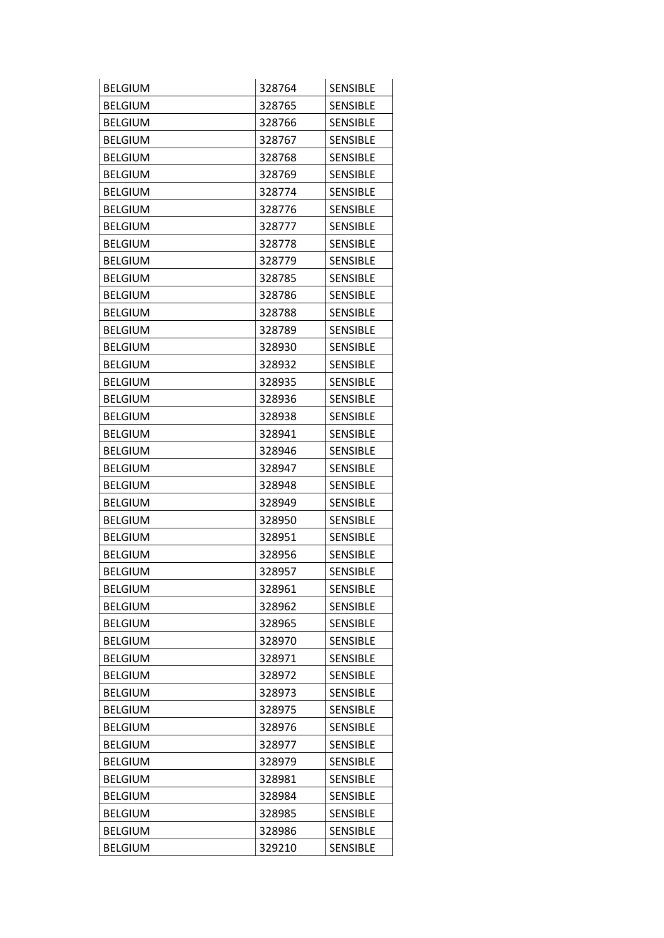| <b>BELGIUM</b> | 328764 | <b>SENSIBLE</b> |
|----------------|--------|-----------------|
| <b>BELGIUM</b> | 328765 | <b>SENSIBLE</b> |
| <b>BELGIUM</b> | 328766 | <b>SENSIBLE</b> |
| <b>BELGIUM</b> | 328767 | <b>SENSIBLE</b> |
| <b>BELGIUM</b> | 328768 | <b>SENSIBLE</b> |
| <b>BELGIUM</b> | 328769 | <b>SENSIBLE</b> |
| <b>BELGIUM</b> | 328774 | <b>SENSIBLE</b> |
| <b>BELGIUM</b> | 328776 | <b>SENSIBLE</b> |
| <b>BELGIUM</b> | 328777 | <b>SENSIBLE</b> |
| <b>BELGIUM</b> | 328778 | <b>SENSIBLE</b> |
| <b>BELGIUM</b> | 328779 | <b>SENSIBLE</b> |
| <b>BELGIUM</b> | 328785 | <b>SENSIBLE</b> |
| <b>BELGIUM</b> | 328786 | <b>SENSIBLE</b> |
| <b>BELGIUM</b> | 328788 | <b>SENSIBLE</b> |
| <b>BELGIUM</b> | 328789 | <b>SENSIBLE</b> |
| <b>BELGIUM</b> | 328930 | <b>SENSIBLE</b> |
| <b>BELGIUM</b> | 328932 | <b>SENSIBLE</b> |
| <b>BELGIUM</b> | 328935 | <b>SENSIBLE</b> |
| <b>BELGIUM</b> | 328936 | <b>SENSIBLE</b> |
| <b>BELGIUM</b> | 328938 | <b>SENSIBLE</b> |
| <b>BELGIUM</b> | 328941 | <b>SENSIBLE</b> |
| <b>BELGIUM</b> | 328946 | <b>SENSIBLE</b> |
| <b>BELGIUM</b> | 328947 | <b>SENSIBLE</b> |
| <b>BELGIUM</b> | 328948 | <b>SENSIBLE</b> |
| <b>BELGIUM</b> | 328949 | <b>SENSIBLE</b> |
| <b>BELGIUM</b> | 328950 | <b>SENSIBLE</b> |
| <b>BELGIUM</b> | 328951 | <b>SENSIBLE</b> |
| <b>BELGIUM</b> | 328956 | <b>SENSIBLE</b> |
| <b>BELGIUM</b> | 328957 | <b>SENSIBLE</b> |
| <b>BELGIUM</b> | 328961 | <b>SENSIBLE</b> |
| <b>BELGIUM</b> | 328962 | <b>SENSIBLE</b> |
| <b>BELGIUM</b> | 328965 | <b>SENSIBLE</b> |
| <b>BELGIUM</b> | 328970 | <b>SENSIBLE</b> |
| <b>BELGIUM</b> | 328971 | <b>SENSIBLE</b> |
| <b>BELGIUM</b> | 328972 | <b>SENSIBLE</b> |
| <b>BELGIUM</b> | 328973 | <b>SENSIBLE</b> |
| <b>BELGIUM</b> | 328975 | <b>SENSIBLE</b> |
| <b>BELGIUM</b> | 328976 | <b>SENSIBLE</b> |
| <b>BELGIUM</b> | 328977 | <b>SENSIBLE</b> |
| <b>BELGIUM</b> | 328979 | <b>SENSIBLE</b> |
| <b>BELGIUM</b> | 328981 | SENSIBLE        |
| <b>BELGIUM</b> | 328984 | <b>SENSIBLE</b> |
| <b>BELGIUM</b> | 328985 | <b>SENSIBLE</b> |
| <b>BELGIUM</b> | 328986 | <b>SENSIBLE</b> |
| <b>BELGIUM</b> | 329210 | SENSIBLE        |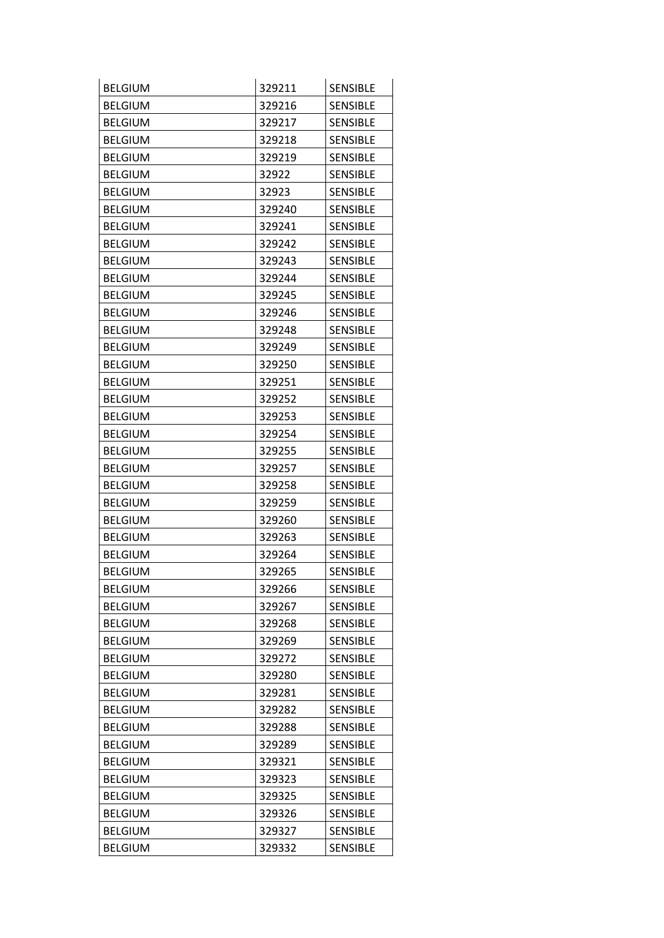| <b>BELGIUM</b> | 329211 | <b>SENSIBLE</b> |
|----------------|--------|-----------------|
| <b>BELGIUM</b> | 329216 | <b>SENSIBLE</b> |
| <b>BELGIUM</b> | 329217 | <b>SENSIBLE</b> |
| <b>BELGIUM</b> | 329218 | <b>SENSIBLE</b> |
| <b>BELGIUM</b> | 329219 | <b>SENSIBLE</b> |
| <b>BELGIUM</b> | 32922  | <b>SENSIBLE</b> |
| <b>BELGIUM</b> | 32923  | <b>SENSIBLE</b> |
| <b>BELGIUM</b> | 329240 | <b>SENSIBLE</b> |
| <b>BELGIUM</b> | 329241 | <b>SENSIBLE</b> |
| <b>BELGIUM</b> | 329242 | <b>SENSIBLE</b> |
| <b>BELGIUM</b> | 329243 | <b>SENSIBLE</b> |
| <b>BELGIUM</b> | 329244 | <b>SENSIBLE</b> |
| <b>BELGIUM</b> | 329245 | <b>SENSIBLE</b> |
| <b>BELGIUM</b> | 329246 | <b>SENSIBLE</b> |
| <b>BELGIUM</b> | 329248 | <b>SENSIBLE</b> |
| <b>BELGIUM</b> | 329249 | <b>SENSIBLE</b> |
| <b>BELGIUM</b> | 329250 | <b>SENSIBLE</b> |
| <b>BELGIUM</b> | 329251 | <b>SENSIBLE</b> |
| <b>BELGIUM</b> | 329252 | <b>SENSIBLE</b> |
| <b>BELGIUM</b> | 329253 | <b>SENSIBLE</b> |
| <b>BELGIUM</b> | 329254 | <b>SENSIBLE</b> |
| <b>BELGIUM</b> | 329255 | <b>SENSIBLE</b> |
| <b>BELGIUM</b> | 329257 | <b>SENSIBLE</b> |
| <b>BELGIUM</b> | 329258 | <b>SENSIBLE</b> |
| <b>BELGIUM</b> | 329259 | <b>SENSIBLE</b> |
| <b>BELGIUM</b> | 329260 | <b>SENSIBLE</b> |
| <b>BELGIUM</b> | 329263 | <b>SENSIBLE</b> |
| <b>BELGIUM</b> | 329264 | <b>SENSIBLE</b> |
| <b>BELGIUM</b> | 329265 | <b>SENSIBLE</b> |
| <b>BELGIUM</b> | 329266 | <b>SENSIBLE</b> |
| <b>BELGIUM</b> | 329267 | <b>SENSIBLE</b> |
| <b>BELGIUM</b> | 329268 | <b>SENSIBLE</b> |
| <b>BELGIUM</b> | 329269 | <b>SENSIBLE</b> |
| <b>BELGIUM</b> | 329272 | SENSIBLE        |
| <b>BELGIUM</b> | 329280 | <b>SENSIBLE</b> |
| <b>BELGIUM</b> | 329281 | <b>SENSIBLE</b> |
| <b>BELGIUM</b> | 329282 | <b>SENSIBLE</b> |
| <b>BELGIUM</b> | 329288 | <b>SENSIBLE</b> |
| <b>BELGIUM</b> | 329289 | <b>SENSIBLE</b> |
| <b>BELGIUM</b> | 329321 | <b>SENSIBLE</b> |
| <b>BELGIUM</b> | 329323 | <b>SENSIBLE</b> |
| <b>BELGIUM</b> | 329325 | <b>SENSIBLE</b> |
| <b>BELGIUM</b> | 329326 | <b>SENSIBLE</b> |
| <b>BELGIUM</b> | 329327 | <b>SENSIBLE</b> |
| <b>BELGIUM</b> | 329332 | <b>SENSIBLE</b> |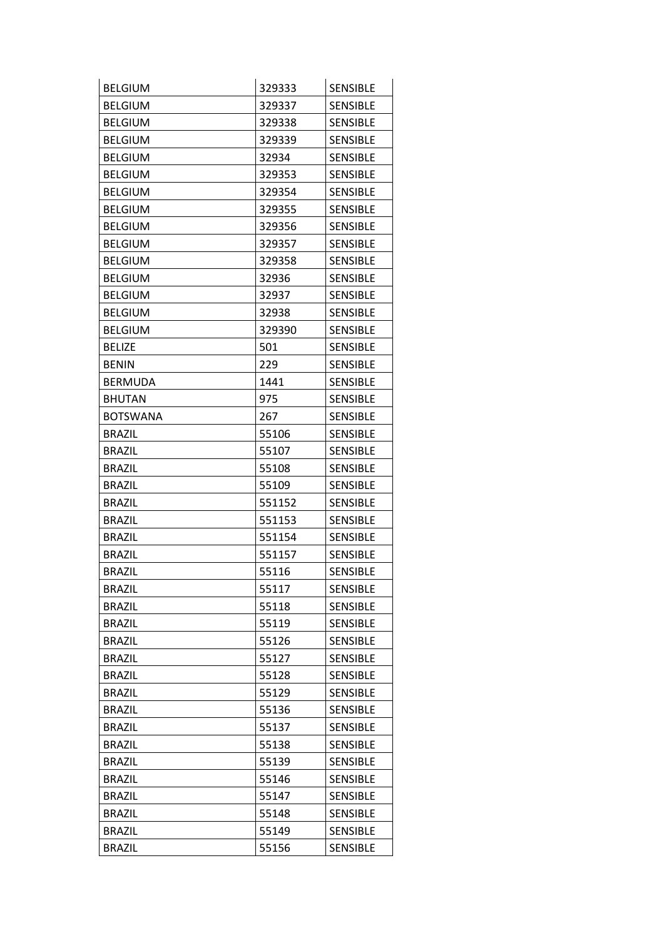| <b>BELGIUM</b>  | 329333 | <b>SENSIBLE</b> |
|-----------------|--------|-----------------|
| <b>BELGIUM</b>  | 329337 | <b>SENSIBLE</b> |
| <b>BELGIUM</b>  | 329338 | <b>SENSIBLE</b> |
| <b>BELGIUM</b>  | 329339 | <b>SENSIBLE</b> |
| <b>BELGIUM</b>  | 32934  | <b>SENSIBLE</b> |
| <b>BELGIUM</b>  | 329353 | <b>SENSIBLE</b> |
| <b>BELGIUM</b>  | 329354 | <b>SENSIBLE</b> |
| <b>BELGIUM</b>  | 329355 | <b>SENSIBLE</b> |
| <b>BELGIUM</b>  | 329356 | <b>SENSIBLE</b> |
| <b>BELGIUM</b>  | 329357 | <b>SENSIBLE</b> |
| <b>BELGIUM</b>  | 329358 | <b>SENSIBLE</b> |
| <b>BELGIUM</b>  | 32936  | <b>SENSIBLE</b> |
| <b>BELGIUM</b>  | 32937  | <b>SENSIBLE</b> |
| <b>BELGIUM</b>  | 32938  | <b>SENSIBLE</b> |
| <b>BELGIUM</b>  | 329390 | <b>SENSIBLE</b> |
| <b>BELIZE</b>   | 501    | <b>SENSIBLE</b> |
| <b>BENIN</b>    | 229    | <b>SENSIBLE</b> |
| <b>BERMUDA</b>  | 1441   | <b>SENSIBLE</b> |
| <b>BHUTAN</b>   | 975    | <b>SENSIBLE</b> |
| <b>BOTSWANA</b> | 267    | <b>SENSIBLE</b> |
| <b>BRAZIL</b>   | 55106  | <b>SENSIBLE</b> |
| <b>BRAZIL</b>   | 55107  | <b>SENSIBLE</b> |
| <b>BRAZIL</b>   | 55108  | <b>SENSIBLE</b> |
| <b>BRAZIL</b>   | 55109  | <b>SENSIBLE</b> |
| <b>BRAZIL</b>   | 551152 | <b>SENSIBLE</b> |
| <b>BRAZIL</b>   | 551153 | <b>SENSIBLE</b> |
| <b>BRAZIL</b>   | 551154 | <b>SENSIBLE</b> |
| BRAZIL          | 551157 | <b>SENSIBLE</b> |
| <b>BRAZIL</b>   | 55116  | <b>SENSIBLE</b> |
| <b>BRAZIL</b>   | 55117  | <b>SENSIBLE</b> |
| <b>BRAZIL</b>   | 55118  | <b>SENSIBLE</b> |
| <b>BRAZIL</b>   | 55119  | <b>SENSIBLE</b> |
| <b>BRAZIL</b>   | 55126  | <b>SENSIBLE</b> |
| <b>BRAZIL</b>   | 55127  | <b>SENSIBLE</b> |
| <b>BRAZIL</b>   | 55128  | <b>SENSIBLE</b> |
| <b>BRAZIL</b>   | 55129  | <b>SENSIBLE</b> |
| <b>BRAZIL</b>   | 55136  | <b>SENSIBLE</b> |
| <b>BRAZIL</b>   | 55137  | <b>SENSIBLE</b> |
| <b>BRAZIL</b>   | 55138  | <b>SENSIBLE</b> |
| <b>BRAZIL</b>   | 55139  | <b>SENSIBLE</b> |
| <b>BRAZIL</b>   | 55146  | <b>SENSIBLE</b> |
| <b>BRAZIL</b>   | 55147  | <b>SENSIBLE</b> |
| <b>BRAZIL</b>   | 55148  | <b>SENSIBLE</b> |
| <b>BRAZIL</b>   | 55149  | <b>SENSIBLE</b> |
| <b>BRAZIL</b>   | 55156  | <b>SENSIBLE</b> |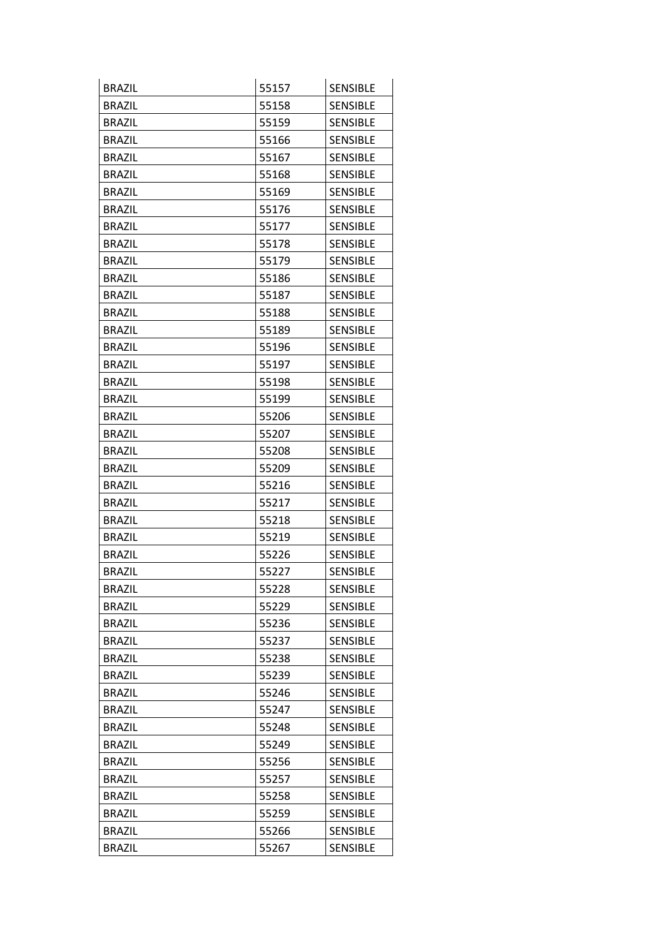| <b>BRAZIL</b> | 55157 | <b>SENSIBLE</b> |
|---------------|-------|-----------------|
| <b>BRAZIL</b> | 55158 | <b>SENSIBLE</b> |
| <b>BRAZIL</b> | 55159 | <b>SENSIBLE</b> |
| <b>BRAZIL</b> | 55166 | <b>SENSIBLE</b> |
| <b>BRAZIL</b> | 55167 | <b>SENSIBLE</b> |
| <b>BRAZIL</b> | 55168 | <b>SENSIBLE</b> |
| <b>BRAZIL</b> | 55169 | <b>SENSIBLE</b> |
| <b>BRAZIL</b> | 55176 | <b>SENSIBLE</b> |
| <b>BRAZIL</b> | 55177 | <b>SENSIBLE</b> |
| <b>BRAZIL</b> | 55178 | <b>SENSIBLE</b> |
| <b>BRAZIL</b> | 55179 | <b>SENSIBLE</b> |
| <b>BRAZIL</b> | 55186 | <b>SENSIBLE</b> |
| <b>BRAZIL</b> | 55187 | <b>SENSIBLE</b> |
| <b>BRAZIL</b> | 55188 | <b>SENSIBLE</b> |
| <b>BRAZIL</b> | 55189 | <b>SENSIBLE</b> |
| <b>BRAZIL</b> | 55196 | <b>SENSIBLE</b> |
| <b>BRAZIL</b> | 55197 | <b>SENSIBLE</b> |
| <b>BRAZIL</b> | 55198 | <b>SENSIBLE</b> |
| <b>BRAZIL</b> | 55199 | <b>SENSIBLE</b> |
| <b>BRAZIL</b> | 55206 | <b>SENSIBLE</b> |
| <b>BRAZIL</b> | 55207 | <b>SENSIBLE</b> |
| <b>BRAZIL</b> | 55208 | <b>SENSIBLE</b> |
| <b>BRAZIL</b> | 55209 | <b>SENSIBLE</b> |
| <b>BRAZIL</b> | 55216 | <b>SENSIBLE</b> |
| <b>BRAZIL</b> | 55217 | <b>SENSIBLE</b> |
| <b>BRAZIL</b> | 55218 | <b>SENSIBLE</b> |
| <b>BRAZIL</b> | 55219 | <b>SENSIBLE</b> |
| <b>BRAZIL</b> | 55226 | <b>SENSIBLE</b> |
| <b>BRAZIL</b> | 55227 | <b>SENSIBLE</b> |
| <b>BRAZIL</b> | 55228 | <b>SENSIBLE</b> |
| <b>BRAZIL</b> | 55229 | <b>SENSIBLE</b> |
| <b>BRAZIL</b> | 55236 | <b>SENSIBLE</b> |
| <b>BRAZIL</b> | 55237 | <b>SENSIBLE</b> |
| <b>BRAZIL</b> | 55238 | <b>SENSIBLE</b> |
| <b>BRAZIL</b> | 55239 | <b>SENSIBLE</b> |
| <b>BRAZIL</b> | 55246 | <b>SENSIBLE</b> |
| <b>BRAZIL</b> | 55247 | <b>SENSIBLE</b> |
| <b>BRAZIL</b> | 55248 | <b>SENSIBLE</b> |
| <b>BRAZIL</b> | 55249 | <b>SENSIBLE</b> |
| <b>BRAZIL</b> | 55256 | <b>SENSIBLE</b> |
| <b>BRAZIL</b> | 55257 | SENSIBLE        |
| <b>BRAZIL</b> | 55258 | <b>SENSIBLE</b> |
| <b>BRAZIL</b> | 55259 | <b>SENSIBLE</b> |
| <b>BRAZIL</b> | 55266 | <b>SENSIBLE</b> |
| <b>BRAZIL</b> | 55267 | <b>SENSIBLE</b> |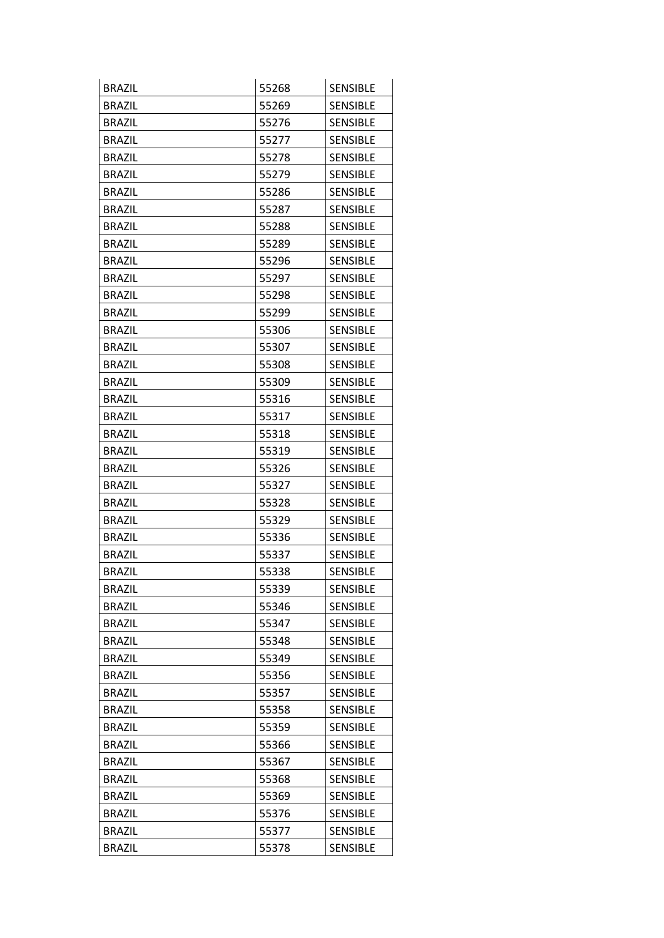| <b>BRAZIL</b> | 55268 | <b>SENSIBLE</b> |
|---------------|-------|-----------------|
| <b>BRAZIL</b> | 55269 | <b>SENSIBLE</b> |
| <b>BRAZIL</b> | 55276 | <b>SENSIBLE</b> |
| <b>BRAZIL</b> | 55277 | <b>SENSIBLE</b> |
| <b>BRAZIL</b> | 55278 | <b>SENSIBLE</b> |
| <b>BRAZIL</b> | 55279 | <b>SENSIBLE</b> |
| <b>BRAZIL</b> | 55286 | <b>SENSIBLE</b> |
| <b>BRAZIL</b> | 55287 | <b>SENSIBLE</b> |
| <b>BRAZIL</b> | 55288 | <b>SENSIBLE</b> |
| <b>BRAZIL</b> | 55289 | <b>SENSIBLE</b> |
| <b>BRAZIL</b> | 55296 | <b>SENSIBLE</b> |
| <b>BRAZIL</b> | 55297 | <b>SENSIBLE</b> |
| <b>BRAZIL</b> | 55298 | <b>SENSIBLE</b> |
| <b>BRAZIL</b> | 55299 | <b>SENSIBLE</b> |
| <b>BRAZIL</b> | 55306 | <b>SENSIBLE</b> |
| <b>BRAZIL</b> | 55307 | <b>SENSIBLE</b> |
| <b>BRAZIL</b> | 55308 | <b>SENSIBLE</b> |
| <b>BRAZIL</b> | 55309 | <b>SENSIBLE</b> |
| <b>BRAZIL</b> | 55316 | <b>SENSIBLE</b> |
| <b>BRAZIL</b> | 55317 | <b>SENSIBLE</b> |
| <b>BRAZIL</b> | 55318 | <b>SENSIBLE</b> |
| <b>BRAZIL</b> | 55319 | <b>SENSIBLE</b> |
| <b>BRAZIL</b> | 55326 | <b>SENSIBLE</b> |
| <b>BRAZIL</b> | 55327 | <b>SENSIBLE</b> |
| <b>BRAZIL</b> | 55328 | <b>SENSIBLE</b> |
| <b>BRAZIL</b> | 55329 | <b>SENSIBLE</b> |
| <b>BRAZIL</b> | 55336 | <b>SENSIBLE</b> |
| <b>BRAZIL</b> | 55337 | <b>SENSIBLE</b> |
| <b>BRAZIL</b> | 55338 | <b>SENSIBLE</b> |
| <b>BRAZIL</b> | 55339 | <b>SENSIBLE</b> |
| <b>BRAZIL</b> | 55346 | <b>SENSIBLE</b> |
| <b>BRAZIL</b> | 55347 | <b>SENSIBLE</b> |
| <b>BRAZIL</b> | 55348 | <b>SENSIBLE</b> |
| <b>BRAZIL</b> | 55349 | <b>SENSIBLE</b> |
| <b>BRAZIL</b> | 55356 | <b>SENSIBLE</b> |
| <b>BRAZIL</b> | 55357 | <b>SENSIBLE</b> |
| <b>BRAZIL</b> | 55358 | <b>SENSIBLE</b> |
| <b>BRAZIL</b> | 55359 | <b>SENSIBLE</b> |
| <b>BRAZIL</b> | 55366 | <b>SENSIBLE</b> |
| <b>BRAZIL</b> | 55367 | <b>SENSIBLE</b> |
| <b>BRAZIL</b> | 55368 | <b>SENSIBLE</b> |
| <b>BRAZIL</b> | 55369 | <b>SENSIBLE</b> |
| <b>BRAZIL</b> | 55376 | <b>SENSIBLE</b> |
| <b>BRAZIL</b> | 55377 | <b>SENSIBLE</b> |
| <b>BRAZIL</b> | 55378 | <b>SENSIBLE</b> |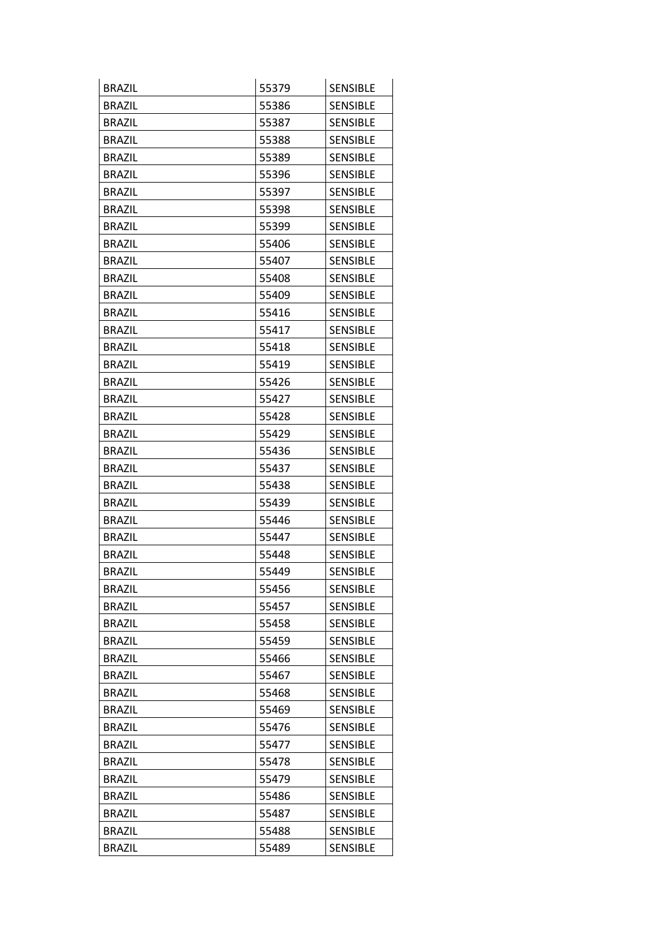| <b>BRAZIL</b> | 55379 | <b>SENSIBLE</b> |
|---------------|-------|-----------------|
| <b>BRAZIL</b> | 55386 | <b>SENSIBLE</b> |
| <b>BRAZIL</b> | 55387 | <b>SENSIBLE</b> |
| <b>BRAZIL</b> | 55388 | <b>SENSIBLE</b> |
| <b>BRAZIL</b> | 55389 | <b>SENSIBLE</b> |
| <b>BRAZIL</b> | 55396 | <b>SENSIBLE</b> |
| <b>BRAZIL</b> | 55397 | <b>SENSIBLE</b> |
| <b>BRAZIL</b> | 55398 | <b>SENSIBLE</b> |
| <b>BRAZIL</b> | 55399 | <b>SENSIBLE</b> |
| <b>BRAZIL</b> | 55406 | <b>SENSIBLE</b> |
| <b>BRAZIL</b> | 55407 | <b>SENSIBLE</b> |
| <b>BRAZIL</b> | 55408 | <b>SENSIBLE</b> |
| <b>BRAZIL</b> | 55409 | <b>SENSIBLE</b> |
| <b>BRAZIL</b> | 55416 | <b>SENSIBLE</b> |
| <b>BRAZIL</b> | 55417 | <b>SENSIBLE</b> |
| <b>BRAZIL</b> | 55418 | <b>SENSIBLE</b> |
| <b>BRAZIL</b> | 55419 | <b>SENSIBLE</b> |
| <b>BRAZIL</b> | 55426 | <b>SENSIBLE</b> |
| <b>BRAZIL</b> | 55427 | <b>SENSIBLE</b> |
| <b>BRAZIL</b> | 55428 | <b>SENSIBLE</b> |
| <b>BRAZIL</b> | 55429 | <b>SENSIBLE</b> |
| <b>BRAZIL</b> | 55436 | <b>SENSIBLE</b> |
| <b>BRAZIL</b> | 55437 | <b>SENSIBLE</b> |
| <b>BRAZIL</b> | 55438 | <b>SENSIBLE</b> |
| <b>BRAZIL</b> | 55439 | <b>SENSIBLE</b> |
| <b>BRAZIL</b> | 55446 | <b>SENSIBLE</b> |
| <b>BRAZIL</b> | 55447 | <b>SENSIBLE</b> |
| <b>BRAZIL</b> | 55448 | <b>SENSIBLE</b> |
| <b>BRAZIL</b> | 55449 | <b>SENSIBLE</b> |
| <b>BRAZIL</b> | 55456 | <b>SENSIBLE</b> |
| <b>BRAZIL</b> | 55457 | <b>SENSIBLE</b> |
| <b>BRAZIL</b> | 55458 | <b>SENSIBLE</b> |
| <b>BRAZIL</b> | 55459 | <b>SENSIBLE</b> |
| <b>BRAZIL</b> | 55466 | <b>SENSIBLE</b> |
| <b>BRAZIL</b> | 55467 | <b>SENSIBLE</b> |
| <b>BRAZIL</b> | 55468 | <b>SENSIBLE</b> |
| <b>BRAZIL</b> | 55469 | <b>SENSIBLE</b> |
| <b>BRAZIL</b> | 55476 | <b>SENSIBLE</b> |
| <b>BRAZIL</b> | 55477 | <b>SENSIBLE</b> |
| <b>BRAZIL</b> | 55478 | <b>SENSIBLE</b> |
| <b>BRAZIL</b> | 55479 | <b>SENSIBLE</b> |
| <b>BRAZIL</b> | 55486 | <b>SENSIBLE</b> |
| <b>BRAZIL</b> | 55487 | <b>SENSIBLE</b> |
| <b>BRAZIL</b> | 55488 | <b>SENSIBLE</b> |
| <b>BRAZIL</b> | 55489 | <b>SENSIBLE</b> |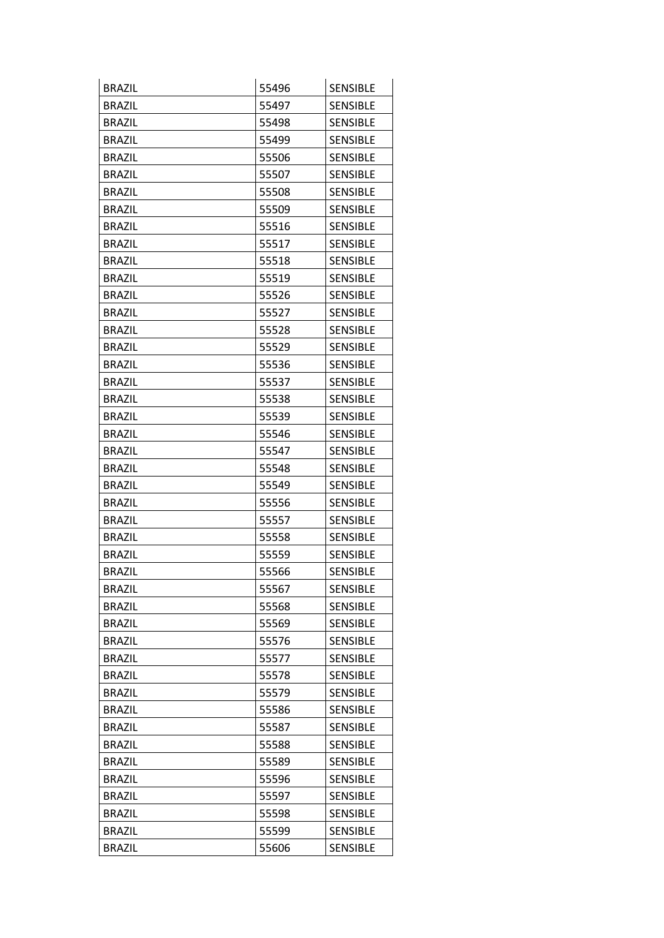| <b>BRAZIL</b> | 55496 | <b>SENSIBLE</b> |
|---------------|-------|-----------------|
| <b>BRAZIL</b> | 55497 | <b>SENSIBLE</b> |
| <b>BRAZIL</b> | 55498 | <b>SENSIBLE</b> |
| <b>BRAZIL</b> | 55499 | <b>SENSIBLE</b> |
| <b>BRAZIL</b> | 55506 | <b>SENSIBLE</b> |
| <b>BRAZIL</b> | 55507 | <b>SENSIBLE</b> |
| <b>BRAZIL</b> | 55508 | <b>SENSIBLE</b> |
| <b>BRAZIL</b> | 55509 | <b>SENSIBLE</b> |
| <b>BRAZIL</b> | 55516 | <b>SENSIBLE</b> |
| <b>BRAZIL</b> | 55517 | <b>SENSIBLE</b> |
| <b>BRAZIL</b> | 55518 | <b>SENSIBLE</b> |
| <b>BRAZIL</b> | 55519 | <b>SENSIBLE</b> |
| <b>BRAZIL</b> | 55526 | <b>SENSIBLE</b> |
| <b>BRAZIL</b> | 55527 | <b>SENSIBLE</b> |
| <b>BRAZIL</b> | 55528 | <b>SENSIBLE</b> |
| <b>BRAZIL</b> | 55529 | <b>SENSIBLE</b> |
| <b>BRAZIL</b> | 55536 | <b>SENSIBLE</b> |
| <b>BRAZIL</b> | 55537 | <b>SENSIBLE</b> |
| <b>BRAZIL</b> | 55538 | <b>SENSIBLE</b> |
| <b>BRAZIL</b> | 55539 | <b>SENSIBLE</b> |
| <b>BRAZIL</b> | 55546 | <b>SENSIBLE</b> |
| <b>BRAZIL</b> | 55547 | <b>SENSIBLE</b> |
| <b>BRAZIL</b> | 55548 | <b>SENSIBLE</b> |
| <b>BRAZIL</b> | 55549 | <b>SENSIBLE</b> |
| <b>BRAZIL</b> | 55556 | <b>SENSIBLE</b> |
| <b>BRAZIL</b> | 55557 | <b>SENSIBLE</b> |
| <b>BRAZIL</b> | 55558 | <b>SENSIBLE</b> |
| <b>BRAZIL</b> | 55559 | <b>SENSIBLE</b> |
| <b>BRAZIL</b> | 55566 | <b>SENSIBLE</b> |
| <b>BRAZIL</b> | 55567 | <b>SENSIBLE</b> |
| <b>BRAZIL</b> | 55568 | <b>SENSIBLE</b> |
| <b>BRAZIL</b> | 55569 | <b>SENSIBLE</b> |
| <b>BRAZIL</b> | 55576 | <b>SENSIBLE</b> |
| <b>BRAZIL</b> | 55577 | <b>SENSIBLE</b> |
| <b>BRAZIL</b> | 55578 | <b>SENSIBLE</b> |
| <b>BRAZIL</b> | 55579 | <b>SENSIBLE</b> |
| <b>BRAZIL</b> | 55586 | <b>SENSIBLE</b> |
| <b>BRAZIL</b> | 55587 | <b>SENSIBLE</b> |
| <b>BRAZIL</b> | 55588 | <b>SENSIBLE</b> |
| <b>BRAZIL</b> | 55589 | <b>SENSIBLE</b> |
| <b>BRAZIL</b> | 55596 | <b>SENSIBLE</b> |
| <b>BRAZIL</b> | 55597 | <b>SENSIBLE</b> |
| <b>BRAZIL</b> | 55598 | <b>SENSIBLE</b> |
| <b>BRAZIL</b> | 55599 | <b>SENSIBLE</b> |
| <b>BRAZIL</b> | 55606 | <b>SENSIBLE</b> |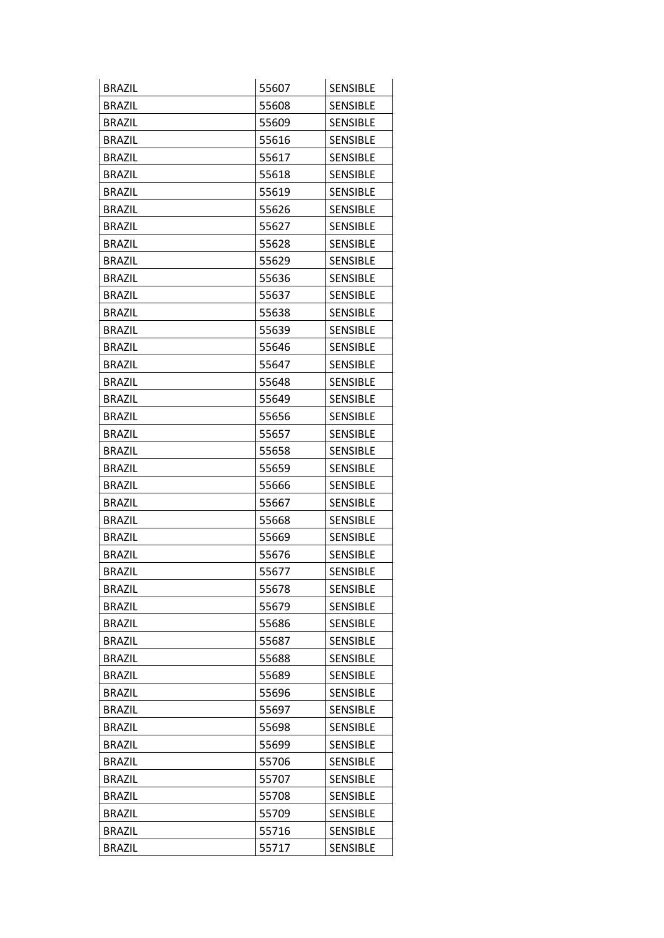| <b>BRAZIL</b> | 55607 | <b>SENSIBLE</b> |
|---------------|-------|-----------------|
| <b>BRAZIL</b> | 55608 | <b>SENSIBLE</b> |
| <b>BRAZIL</b> | 55609 | <b>SENSIBLE</b> |
| <b>BRAZIL</b> | 55616 | <b>SENSIBLE</b> |
| <b>BRAZIL</b> | 55617 | <b>SENSIBLE</b> |
| <b>BRAZIL</b> | 55618 | <b>SENSIBLE</b> |
| <b>BRAZIL</b> | 55619 | <b>SENSIBLE</b> |
| <b>BRAZIL</b> | 55626 | <b>SENSIBLE</b> |
| <b>BRAZIL</b> | 55627 | <b>SENSIBLE</b> |
| <b>BRAZIL</b> | 55628 | <b>SENSIBLE</b> |
| <b>BRAZIL</b> | 55629 | <b>SENSIBLE</b> |
| <b>BRAZIL</b> | 55636 | <b>SENSIBLE</b> |
| <b>BRAZIL</b> | 55637 | <b>SENSIBLE</b> |
| <b>BRAZIL</b> | 55638 | <b>SENSIBLE</b> |
| <b>BRAZIL</b> | 55639 | <b>SENSIBLE</b> |
| <b>BRAZIL</b> | 55646 | <b>SENSIBLE</b> |
| <b>BRAZIL</b> | 55647 | <b>SENSIBLE</b> |
| <b>BRAZIL</b> | 55648 | <b>SENSIBLE</b> |
| <b>BRAZIL</b> | 55649 | <b>SENSIBLE</b> |
| <b>BRAZIL</b> | 55656 | <b>SENSIBLE</b> |
| <b>BRAZIL</b> | 55657 | <b>SENSIBLE</b> |
| <b>BRAZIL</b> | 55658 | <b>SENSIBLE</b> |
| <b>BRAZIL</b> | 55659 | <b>SENSIBLE</b> |
| <b>BRAZIL</b> | 55666 | <b>SENSIBLE</b> |
| <b>BRAZIL</b> | 55667 | <b>SENSIBLE</b> |
| <b>BRAZIL</b> | 55668 | <b>SENSIBLE</b> |
| <b>BRAZIL</b> | 55669 | <b>SENSIBLE</b> |
| <b>BRAZIL</b> | 55676 | <b>SENSIBLE</b> |
| <b>BRAZIL</b> | 55677 | <b>SENSIBLE</b> |
| <b>BRAZIL</b> | 55678 | <b>SENSIBLE</b> |
| <b>BRAZIL</b> | 55679 | <b>SENSIBLE</b> |
| <b>BRAZIL</b> | 55686 | <b>SENSIBLE</b> |
| <b>BRAZIL</b> | 55687 | <b>SENSIBLE</b> |
| <b>BRAZIL</b> | 55688 | <b>SENSIBLE</b> |
| <b>BRAZIL</b> | 55689 | <b>SENSIBLE</b> |
| <b>BRAZIL</b> | 55696 | <b>SENSIBLE</b> |
| <b>BRAZIL</b> | 55697 | <b>SENSIBLE</b> |
| <b>BRAZIL</b> | 55698 | <b>SENSIBLE</b> |
| <b>BRAZIL</b> | 55699 | <b>SENSIBLE</b> |
| <b>BRAZIL</b> | 55706 | <b>SENSIBLE</b> |
| <b>BRAZIL</b> | 55707 | <b>SENSIBLE</b> |
| <b>BRAZIL</b> | 55708 | <b>SENSIBLE</b> |
| <b>BRAZIL</b> | 55709 | <b>SENSIBLE</b> |
| <b>BRAZIL</b> | 55716 | <b>SENSIBLE</b> |
| <b>BRAZIL</b> | 55717 | <b>SENSIBLE</b> |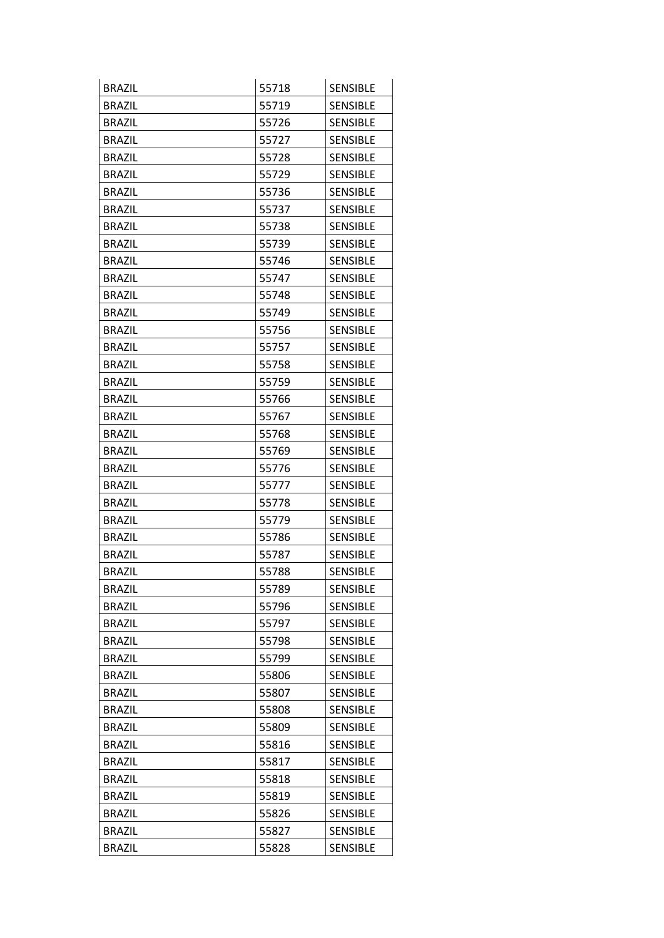| <b>BRAZIL</b> | 55718 | <b>SENSIBLE</b> |
|---------------|-------|-----------------|
| <b>BRAZIL</b> | 55719 | <b>SENSIBLE</b> |
| <b>BRAZIL</b> | 55726 | <b>SENSIBLE</b> |
| <b>BRAZIL</b> | 55727 | <b>SENSIBLE</b> |
| <b>BRAZIL</b> | 55728 | <b>SENSIBLE</b> |
| <b>BRAZIL</b> | 55729 | <b>SENSIBLE</b> |
| <b>BRAZIL</b> | 55736 | <b>SENSIBLE</b> |
| <b>BRAZIL</b> | 55737 | <b>SENSIBLE</b> |
| <b>BRAZIL</b> | 55738 | <b>SENSIBLE</b> |
| <b>BRAZIL</b> | 55739 | <b>SENSIBLE</b> |
| <b>BRAZIL</b> | 55746 | <b>SENSIBLE</b> |
| <b>BRAZIL</b> | 55747 | <b>SENSIBLE</b> |
| <b>BRAZIL</b> | 55748 | <b>SENSIBLE</b> |
| <b>BRAZIL</b> | 55749 | <b>SENSIBLE</b> |
| <b>BRAZIL</b> | 55756 | <b>SENSIBLE</b> |
| <b>BRAZIL</b> | 55757 | <b>SENSIBLE</b> |
| <b>BRAZIL</b> | 55758 | <b>SENSIBLE</b> |
| <b>BRAZIL</b> | 55759 | <b>SENSIBLE</b> |
| <b>BRAZIL</b> | 55766 | <b>SENSIBLE</b> |
| <b>BRAZIL</b> | 55767 | <b>SENSIBLE</b> |
| <b>BRAZIL</b> | 55768 | <b>SENSIBLE</b> |
| <b>BRAZIL</b> | 55769 | <b>SENSIBLE</b> |
| <b>BRAZIL</b> | 55776 | <b>SENSIBLE</b> |
| <b>BRAZIL</b> | 55777 | <b>SENSIBLE</b> |
| <b>BRAZIL</b> | 55778 | <b>SENSIBLE</b> |
| <b>BRAZIL</b> | 55779 | <b>SENSIBLE</b> |
| <b>BRAZIL</b> | 55786 | <b>SENSIBLE</b> |
| <b>BRAZIL</b> | 55787 | <b>SENSIBLE</b> |
| <b>BRAZIL</b> | 55788 | <b>SENSIBLE</b> |
| <b>BRAZIL</b> | 55789 | <b>SENSIBLE</b> |
| <b>BRAZIL</b> | 55796 | <b>SENSIBLE</b> |
| <b>BRAZIL</b> | 55797 | <b>SENSIBLE</b> |
| <b>BRAZIL</b> | 55798 | <b>SENSIBLE</b> |
| <b>BRAZIL</b> | 55799 | <b>SENSIBLE</b> |
| <b>BRAZIL</b> | 55806 | <b>SENSIBLE</b> |
| <b>BRAZIL</b> | 55807 | <b>SENSIBLE</b> |
| <b>BRAZIL</b> | 55808 | <b>SENSIBLE</b> |
| <b>BRAZIL</b> | 55809 | <b>SENSIBLE</b> |
| <b>BRAZIL</b> | 55816 | <b>SENSIBLE</b> |
| <b>BRAZIL</b> | 55817 | <b>SENSIBLE</b> |
| <b>BRAZIL</b> | 55818 | <b>SENSIBLE</b> |
| <b>BRAZIL</b> | 55819 | <b>SENSIBLE</b> |
| <b>BRAZIL</b> | 55826 | <b>SENSIBLE</b> |
| <b>BRAZIL</b> | 55827 | <b>SENSIBLE</b> |
| <b>BRAZIL</b> | 55828 | <b>SENSIBLE</b> |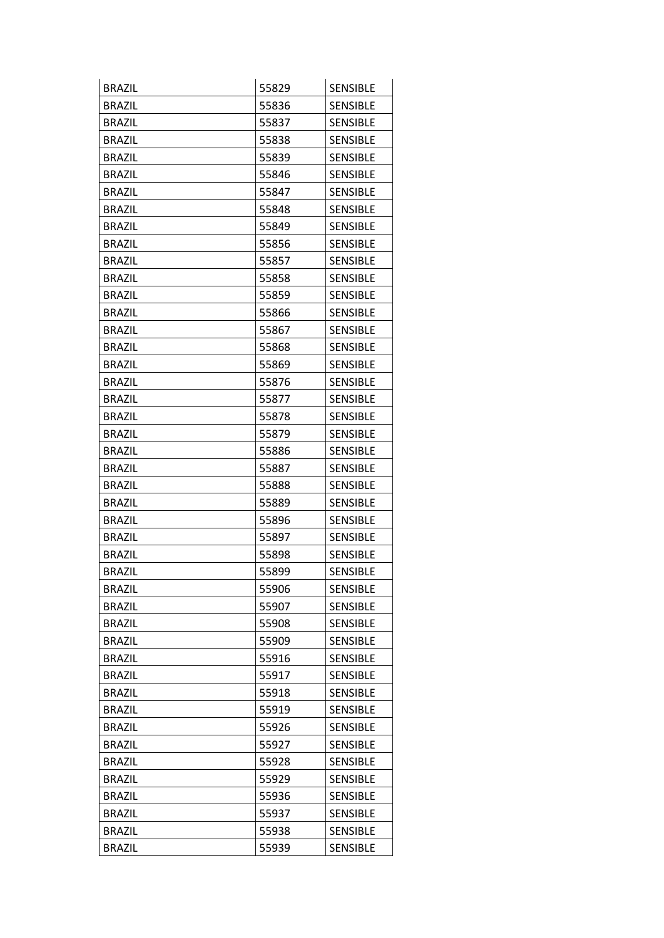| <b>BRAZIL</b> | 55829 | <b>SENSIBLE</b> |
|---------------|-------|-----------------|
| <b>BRAZIL</b> | 55836 | <b>SENSIBLE</b> |
| <b>BRAZIL</b> | 55837 | <b>SENSIBLE</b> |
| <b>BRAZIL</b> | 55838 | <b>SENSIBLE</b> |
| <b>BRAZIL</b> | 55839 | <b>SENSIBLE</b> |
| <b>BRAZIL</b> | 55846 | <b>SENSIBLE</b> |
| <b>BRAZIL</b> | 55847 | <b>SENSIBLE</b> |
| <b>BRAZIL</b> | 55848 | <b>SENSIBLE</b> |
| <b>BRAZIL</b> | 55849 | <b>SENSIBLE</b> |
| <b>BRAZIL</b> | 55856 | <b>SENSIBLE</b> |
| <b>BRAZIL</b> | 55857 | <b>SENSIBLE</b> |
| <b>BRAZIL</b> | 55858 | <b>SENSIBLE</b> |
| <b>BRAZIL</b> | 55859 | <b>SENSIBLE</b> |
| <b>BRAZIL</b> | 55866 | <b>SENSIBLE</b> |
| <b>BRAZIL</b> | 55867 | <b>SENSIBLE</b> |
| <b>BRAZIL</b> | 55868 | <b>SENSIBLE</b> |
| <b>BRAZIL</b> | 55869 | <b>SENSIBLE</b> |
| <b>BRAZIL</b> | 55876 | <b>SENSIBLE</b> |
| <b>BRAZIL</b> | 55877 | <b>SENSIBLE</b> |
| <b>BRAZIL</b> | 55878 | <b>SENSIBLE</b> |
| <b>BRAZIL</b> | 55879 | <b>SENSIBLE</b> |
| <b>BRAZIL</b> | 55886 | <b>SENSIBLE</b> |
| <b>BRAZIL</b> | 55887 | <b>SENSIBLE</b> |
| <b>BRAZIL</b> | 55888 | <b>SENSIBLE</b> |
| <b>BRAZIL</b> | 55889 | <b>SENSIBLE</b> |
| <b>BRAZIL</b> | 55896 | <b>SENSIBLE</b> |
| <b>BRAZIL</b> | 55897 | <b>SENSIBLE</b> |
| <b>BRAZIL</b> | 55898 | <b>SENSIBLE</b> |
| <b>BRAZIL</b> | 55899 | <b>SENSIBLE</b> |
| <b>BRAZIL</b> | 55906 | <b>SENSIBLE</b> |
| <b>BRAZIL</b> | 55907 | <b>SENSIBLE</b> |
| <b>BRAZIL</b> | 55908 | <b>SENSIBLE</b> |
| <b>BRAZIL</b> | 55909 | <b>SENSIBLE</b> |
| <b>BRAZIL</b> | 55916 | <b>SENSIBLE</b> |
| <b>BRAZIL</b> | 55917 | <b>SENSIBLE</b> |
| <b>BRAZIL</b> | 55918 | <b>SENSIBLE</b> |
| <b>BRAZIL</b> | 55919 | <b>SENSIBLE</b> |
| <b>BRAZIL</b> | 55926 | <b>SENSIBLE</b> |
| <b>BRAZIL</b> | 55927 | <b>SENSIBLE</b> |
| <b>BRAZIL</b> | 55928 | <b>SENSIBLE</b> |
| <b>BRAZIL</b> | 55929 | <b>SENSIBLE</b> |
| <b>BRAZIL</b> | 55936 | <b>SENSIBLE</b> |
| <b>BRAZIL</b> | 55937 | <b>SENSIBLE</b> |
| <b>BRAZIL</b> | 55938 | <b>SENSIBLE</b> |
| <b>BRAZIL</b> | 55939 | <b>SENSIBLE</b> |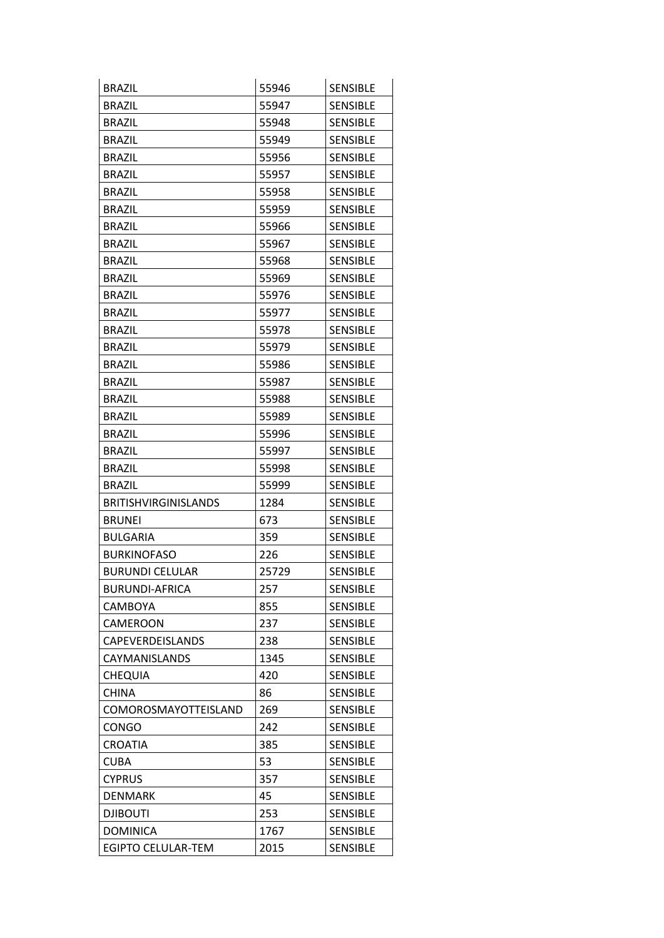| <b>BRAZIL</b>               | 55946 | <b>SENSIBLE</b> |
|-----------------------------|-------|-----------------|
| <b>BRAZIL</b>               | 55947 | <b>SENSIBLE</b> |
| <b>BRAZIL</b>               | 55948 | <b>SENSIBLE</b> |
| <b>BRAZIL</b>               | 55949 | <b>SENSIBLE</b> |
| <b>BRAZIL</b>               | 55956 | <b>SENSIBLE</b> |
| <b>BRAZIL</b>               | 55957 | <b>SENSIBLE</b> |
| <b>BRAZIL</b>               | 55958 | <b>SENSIBLE</b> |
| <b>BRAZIL</b>               | 55959 | <b>SENSIBLE</b> |
| <b>BRAZIL</b>               | 55966 | <b>SENSIBLE</b> |
| <b>BRAZIL</b>               | 55967 | <b>SENSIBLE</b> |
| <b>BRAZIL</b>               | 55968 | <b>SENSIBLE</b> |
| <b>BRAZIL</b>               | 55969 | <b>SENSIBLE</b> |
| <b>BRAZIL</b>               | 55976 | <b>SENSIBLE</b> |
| <b>BRAZIL</b>               | 55977 | <b>SENSIBLE</b> |
| <b>BRAZIL</b>               | 55978 | <b>SENSIBLE</b> |
| <b>BRAZIL</b>               | 55979 | <b>SENSIBLE</b> |
| <b>BRAZIL</b>               | 55986 | <b>SENSIBLE</b> |
| <b>BRAZIL</b>               | 55987 | <b>SENSIBLE</b> |
| <b>BRAZIL</b>               | 55988 | <b>SENSIBLE</b> |
| <b>BRAZIL</b>               | 55989 | <b>SENSIBLE</b> |
| <b>BRAZIL</b>               | 55996 | <b>SENSIBLE</b> |
| <b>BRAZIL</b>               | 55997 | <b>SENSIBLE</b> |
| <b>BRAZIL</b>               | 55998 | <b>SENSIBLE</b> |
| <b>BRAZIL</b>               | 55999 | <b>SENSIBLE</b> |
| <b>BRITISHVIRGINISLANDS</b> | 1284  | <b>SENSIBLE</b> |
| <b>BRUNEI</b>               | 673   | <b>SENSIBLE</b> |
| <b>BULGARIA</b>             | 359   | <b>SENSIBLE</b> |
| <b>BURKINOFASO</b>          | 226   | <b>SENSIBLE</b> |
| <b>BURUNDI CELULAR</b>      | 25729 | <b>SENSIBLE</b> |
| <b>BURUNDI-AFRICA</b>       | 257   | <b>SENSIBLE</b> |
| CAMBOYA                     | 855   | <b>SENSIBLE</b> |
| CAMEROON                    | 237   | <b>SENSIBLE</b> |
| <b>CAPEVERDEISLANDS</b>     | 238   | SENSIBLE        |
| CAYMANISLANDS               | 1345  | <b>SENSIBLE</b> |
| <b>CHEQUIA</b>              | 420   | <b>SENSIBLE</b> |
| <b>CHINA</b>                | 86    | <b>SENSIBLE</b> |
| COMOROSMAYOTTEISLAND        | 269   | <b>SENSIBLE</b> |
| <b>CONGO</b>                | 242   | <b>SENSIBLE</b> |
| <b>CROATIA</b>              | 385   | <b>SENSIBLE</b> |
| <b>CUBA</b>                 | 53    | <b>SENSIBLE</b> |
| <b>CYPRUS</b>               | 357   | <b>SENSIBLE</b> |
| <b>DENMARK</b>              | 45    | <b>SENSIBLE</b> |
| <b>DJIBOUTI</b>             | 253   | <b>SENSIBLE</b> |
| <b>DOMINICA</b>             | 1767  | <b>SENSIBLE</b> |
| EGIPTO CELULAR-TEM          | 2015  | <b>SENSIBLE</b> |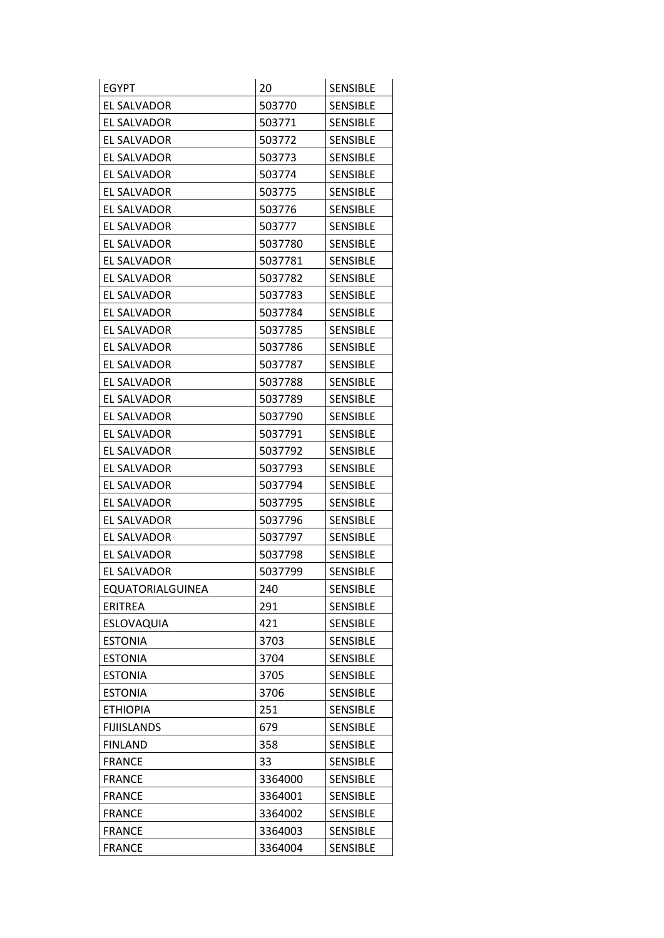| EGYPT                   | 20      | <b>SENSIBLE</b> |
|-------------------------|---------|-----------------|
| EL SALVADOR             | 503770  | <b>SENSIBLE</b> |
| EL SALVADOR             | 503771  | <b>SENSIBLE</b> |
| EL SALVADOR             | 503772  | <b>SENSIBLE</b> |
| EL SALVADOR             | 503773  | <b>SENSIBLE</b> |
| EL SALVADOR             | 503774  | <b>SENSIBLE</b> |
| EL SALVADOR             | 503775  | <b>SENSIBLE</b> |
| EL SALVADOR             | 503776  | <b>SENSIBLE</b> |
| EL SALVADOR             | 503777  | <b>SENSIBLE</b> |
| EL SALVADOR             | 5037780 | <b>SENSIBLE</b> |
| EL SALVADOR             | 5037781 | <b>SENSIBLE</b> |
| EL SALVADOR             | 5037782 | <b>SENSIBLE</b> |
| EL SALVADOR             | 5037783 | <b>SENSIBLE</b> |
| EL SALVADOR             | 5037784 | <b>SENSIBLE</b> |
| EL SALVADOR             | 5037785 | <b>SENSIBLE</b> |
| EL SALVADOR             | 5037786 | <b>SENSIBLE</b> |
| EL SALVADOR             | 5037787 | <b>SENSIBLE</b> |
| EL SALVADOR             | 5037788 | <b>SENSIBLE</b> |
| EL SALVADOR             | 5037789 | <b>SENSIBLE</b> |
| EL SALVADOR             | 5037790 | <b>SENSIBLE</b> |
| EL SALVADOR             | 5037791 | <b>SENSIBLE</b> |
| EL SALVADOR             | 5037792 | <b>SENSIBLE</b> |
| EL SALVADOR             | 5037793 | <b>SENSIBLE</b> |
| EL SALVADOR             | 5037794 | <b>SENSIBLE</b> |
| EL SALVADOR             | 5037795 | <b>SENSIBLE</b> |
| EL SALVADOR             | 5037796 | <b>SENSIBLE</b> |
| EL SALVADOR             | 5037797 | <b>SENSIBLE</b> |
| EL SALVADOR             | 5037798 | <b>SENSIBLE</b> |
| EL SALVADOR             | 5037799 | <b>SENSIBLE</b> |
| <b>EQUATORIALGUINEA</b> | 240     | <b>SENSIBLE</b> |
| <b>ERITREA</b>          | 291     | <b>SENSIBLE</b> |
| ESLOVAQUIA              | 421     | <b>SENSIBLE</b> |
| <b>ESTONIA</b>          | 3703    | <b>SENSIBLE</b> |
| <b>ESTONIA</b>          | 3704    | SENSIBLE        |
| <b>ESTONIA</b>          | 3705    | <b>SENSIBLE</b> |
| <b>ESTONIA</b>          | 3706    | <b>SENSIBLE</b> |
| <b>ETHIOPIA</b>         | 251     | <b>SENSIBLE</b> |
| <b>FIJIISLANDS</b>      | 679     | <b>SENSIBLE</b> |
| <b>FINLAND</b>          | 358     | <b>SENSIBLE</b> |
| <b>FRANCE</b>           | 33      | <b>SENSIBLE</b> |
| <b>FRANCE</b>           | 3364000 | <b>SENSIBLE</b> |
| <b>FRANCE</b>           | 3364001 | <b>SENSIBLE</b> |
| <b>FRANCE</b>           | 3364002 | <b>SENSIBLE</b> |
| <b>FRANCE</b>           | 3364003 | <b>SENSIBLE</b> |
| <b>FRANCE</b>           | 3364004 | <b>SENSIBLE</b> |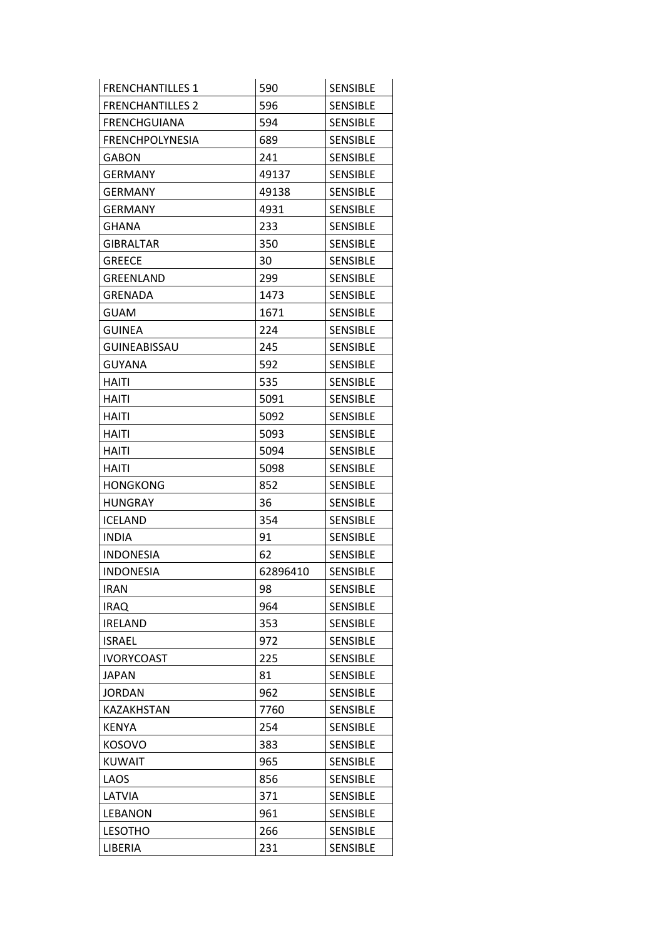| <b>FRENCHANTILLES 1</b> | 590      | <b>SENSIBLE</b> |
|-------------------------|----------|-----------------|
| <b>FRENCHANTILLES 2</b> | 596      | <b>SENSIBLE</b> |
| <b>FRENCHGUIANA</b>     | 594      | <b>SENSIBLE</b> |
| <b>FRENCHPOLYNESIA</b>  | 689      | <b>SENSIBLE</b> |
| GABON                   | 241      | <b>SENSIBLE</b> |
| <b>GERMANY</b>          | 49137    | <b>SENSIBLE</b> |
| <b>GERMANY</b>          | 49138    | <b>SENSIBLE</b> |
| <b>GERMANY</b>          | 4931     | <b>SENSIBLE</b> |
| GHANA                   | 233      | <b>SENSIBLE</b> |
| <b>GIBRALTAR</b>        | 350      | <b>SENSIBLE</b> |
| GREECE                  | 30       | <b>SENSIBLE</b> |
| GREENLAND               | 299      | <b>SENSIBLE</b> |
| <b>GRENADA</b>          | 1473     | <b>SENSIBLE</b> |
| <b>GUAM</b>             | 1671     | <b>SENSIBLE</b> |
| <b>GUINEA</b>           | 224      | <b>SENSIBLE</b> |
| <b>GUINEABISSAU</b>     | 245      | <b>SENSIBLE</b> |
| <b>GUYANA</b>           | 592      | <b>SENSIBLE</b> |
| <b>HAITI</b>            | 535      | <b>SENSIBLE</b> |
| HAITI                   | 5091     | <b>SENSIBLE</b> |
| HAITI                   | 5092     | <b>SENSIBLE</b> |
| HAITI                   | 5093     | <b>SENSIBLE</b> |
| HAITI                   | 5094     | <b>SENSIBLE</b> |
| HAITI                   | 5098     | <b>SENSIBLE</b> |
| <b>HONGKONG</b>         | 852      | <b>SENSIBLE</b> |
| <b>HUNGRAY</b>          | 36       | <b>SENSIBLE</b> |
| <b>ICELAND</b>          | 354      | <b>SENSIBLE</b> |
| <b>INDIA</b>            | 91       | <b>SENSIBLE</b> |
| <b>INDONESIA</b>        | 62       | <b>SENSIBLE</b> |
| <b>INDONESIA</b>        | 62896410 | <b>SENSIBLE</b> |
| <b>IRAN</b>             | 98       | <b>SENSIBLE</b> |
| <b>IRAQ</b>             | 964      | <b>SENSIBLE</b> |
| <b>IRELAND</b>          | 353      | <b>SENSIBLE</b> |
| <b>ISRAEL</b>           | 972      | <b>SENSIBLE</b> |
| <b>IVORYCOAST</b>       | 225      | <b>SENSIBLE</b> |
| <b>JAPAN</b>            | 81       | <b>SENSIBLE</b> |
| <b>JORDAN</b>           | 962      | <b>SENSIBLE</b> |
| KAZAKHSTAN              | 7760     | <b>SENSIBLE</b> |
| KENYA                   | 254      | <b>SENSIBLE</b> |
| <b>KOSOVO</b>           | 383      | <b>SENSIBLE</b> |
| <b>KUWAIT</b>           | 965      | <b>SENSIBLE</b> |
| LAOS                    | 856      | <b>SENSIBLE</b> |
| LATVIA                  | 371      | <b>SENSIBLE</b> |
| <b>LEBANON</b>          | 961      | <b>SENSIBLE</b> |
| <b>LESOTHO</b>          | 266      | <b>SENSIBLE</b> |
| LIBERIA                 | 231      | <b>SENSIBLE</b> |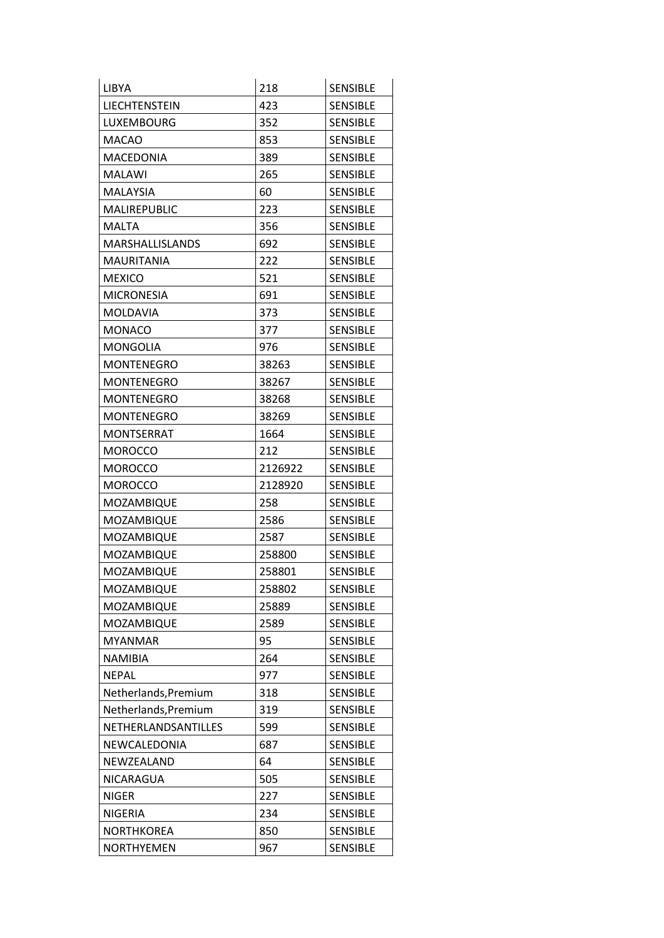| LIBYA                  | 218     | <b>SENSIBLE</b> |
|------------------------|---------|-----------------|
| LIECHTENSTEIN          | 423     | <b>SENSIBLE</b> |
| LUXEMBOURG             | 352     | <b>SENSIBLE</b> |
| <b>MACAO</b>           | 853     | <b>SENSIBLE</b> |
| MACEDONIA              | 389     | <b>SENSIBLE</b> |
| MALAWI                 | 265     | <b>SENSIBLE</b> |
| MALAYSIA               | 60      | <b>SENSIBLE</b> |
| MALIREPUBLIC           | 223     | <b>SENSIBLE</b> |
| MALTA                  | 356     | <b>SENSIBLE</b> |
| <b>MARSHALLISLANDS</b> | 692     | <b>SENSIBLE</b> |
| MAURITANIA             | 222     | <b>SENSIBLE</b> |
| <b>MEXICO</b>          | 521     | <b>SENSIBLE</b> |
| MICRONESIA             | 691     | <b>SENSIBLE</b> |
| MOLDAVIA               | 373     | <b>SENSIBLE</b> |
| <b>MONACO</b>          | 377     | <b>SENSIBLE</b> |
| MONGOLIA               | 976     | <b>SENSIBLE</b> |
| <b>MONTENEGRO</b>      | 38263   | <b>SENSIBLE</b> |
| MONTENEGRO             | 38267   | <b>SENSIBLE</b> |
| MONTENEGRO             | 38268   | <b>SENSIBLE</b> |
| <b>MONTENEGRO</b>      | 38269   | <b>SENSIBLE</b> |
| MONTSERRAT             | 1664    | <b>SENSIBLE</b> |
| <b>MOROCCO</b>         | 212     | <b>SENSIBLE</b> |
| MOROCCO                | 2126922 | <b>SENSIBLE</b> |
| MOROCCO                | 2128920 | <b>SENSIBLE</b> |
| MOZAMBIQUE             | 258     | <b>SENSIBLE</b> |
| MOZAMBIQUE             | 2586    | <b>SENSIBLE</b> |
| MOZAMBIQUE             | 2587    | <b>SENSIBLE</b> |
| MOZAMBIQUE             | 258800  | <b>SENSIBLE</b> |
| MOZAMBIQUE             | 258801  | <b>SENSIBLE</b> |
| MOZAMBIQUE             | 258802  | <b>SENSIBLE</b> |
| MOZAMBIQUE             | 25889   | <b>SENSIBLE</b> |
| MOZAMBIQUE             | 2589    | <b>SENSIBLE</b> |
| <b>MYANMAR</b>         | 95      | <b>SENSIBLE</b> |
| <b>NAMIBIA</b>         | 264     | SENSIBLE        |
| <b>NEPAL</b>           | 977     | <b>SENSIBLE</b> |
| Netherlands, Premium   | 318     | <b>SENSIBLE</b> |
| Netherlands, Premium   | 319     | <b>SENSIBLE</b> |
| NETHERLANDSANTILLES    | 599     | <b>SENSIBLE</b> |
| NEWCALEDONIA           | 687     | <b>SENSIBLE</b> |
| NEWZEALAND             | 64      | <b>SENSIBLE</b> |
| NICARAGUA              | 505     | <b>SENSIBLE</b> |
| <b>NIGER</b>           | 227     | <b>SENSIBLE</b> |
| <b>NIGERIA</b>         | 234     | <b>SENSIBLE</b> |
| NORTHKOREA             | 850     | <b>SENSIBLE</b> |
| <b>NORTHYEMEN</b>      | 967     | SENSIBLE        |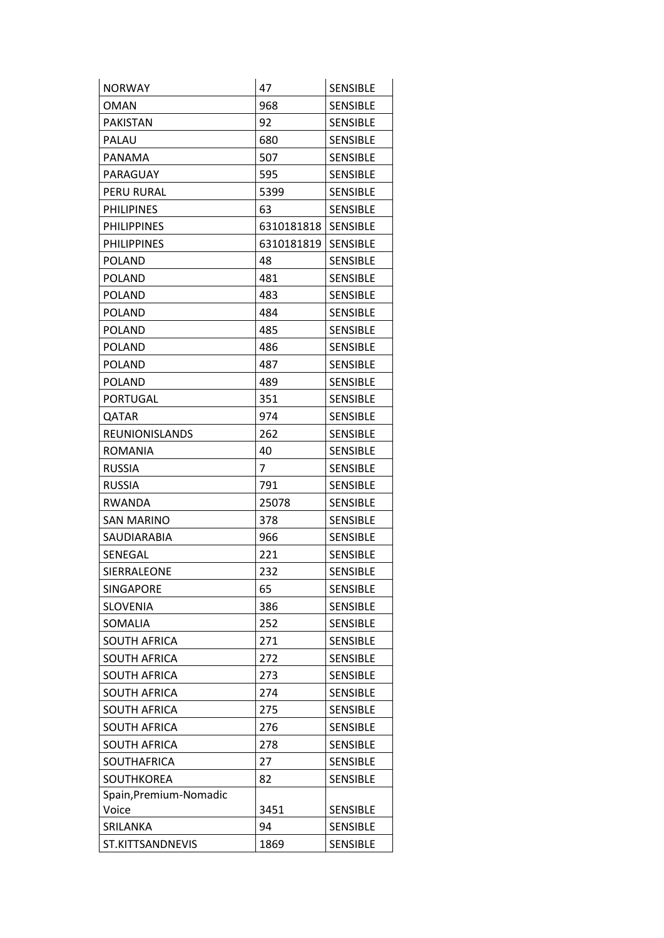| NORWAY                 | 47         | <b>SENSIBLE</b> |
|------------------------|------------|-----------------|
| <b>OMAN</b>            | 968        | <b>SENSIBLE</b> |
| <b>PAKISTAN</b>        | 92         | <b>SENSIBLE</b> |
| PALAU                  | 680        | <b>SENSIBLE</b> |
| <b>PANAMA</b>          | 507        | <b>SENSIBLE</b> |
| PARAGUAY               | 595        | <b>SENSIBLE</b> |
| <b>PERU RURAL</b>      | 5399       | <b>SENSIBLE</b> |
| <b>PHILIPINES</b>      | 63         | <b>SENSIBLE</b> |
| <b>PHILIPPINES</b>     | 6310181818 | <b>SENSIBLE</b> |
| <b>PHILIPPINES</b>     | 6310181819 | <b>SENSIBLE</b> |
| <b>POLAND</b>          | 48         | <b>SENSIBLE</b> |
| <b>POLAND</b>          | 481        | <b>SENSIBLE</b> |
| <b>POLAND</b>          | 483        | <b>SENSIBLE</b> |
| <b>POLAND</b>          | 484        | <b>SENSIBLE</b> |
| POLAND                 | 485        | <b>SENSIBLE</b> |
| POLAND                 | 486        | <b>SENSIBLE</b> |
| POLAND                 | 487        | <b>SENSIBLE</b> |
| <b>POLAND</b>          | 489        | <b>SENSIBLE</b> |
| PORTUGAL               | 351        | <b>SENSIBLE</b> |
| QATAR                  | 974        | <b>SENSIBLE</b> |
| <b>REUNIONISLANDS</b>  | 262        | <b>SENSIBLE</b> |
| ROMANIA                | 40         | <b>SENSIBLE</b> |
| <b>RUSSIA</b>          | 7          | <b>SENSIBLE</b> |
| <b>RUSSIA</b>          | 791        | <b>SENSIBLE</b> |
| <b>RWANDA</b>          | 25078      | <b>SENSIBLE</b> |
| <b>SAN MARINO</b>      | 378        | <b>SENSIBLE</b> |
| <b>SAUDIARABIA</b>     | 966        | <b>SENSIBLE</b> |
| SENEGAL                | 221        | <b>SENSIBLE</b> |
| SIERRALEONE            | 232        | <b>SENSIBLE</b> |
| <b>SINGAPORE</b>       | 65         | <b>SENSIBLE</b> |
| <b>SLOVENIA</b>        | 386        | <b>SENSIBLE</b> |
| SOMALIA                | 252        | <b>SENSIBLE</b> |
| <b>SOUTH AFRICA</b>    | 271        | <b>SENSIBLE</b> |
| <b>SOUTH AFRICA</b>    | 272        | <b>SENSIBLE</b> |
| SOUTH AFRICA           | 273        | SENSIBLE        |
| <b>SOUTH AFRICA</b>    | 274        | <b>SENSIBLE</b> |
| <b>SOUTH AFRICA</b>    | 275        | <b>SENSIBLE</b> |
| <b>SOUTH AFRICA</b>    | 276        | SENSIBLE        |
| <b>SOUTH AFRICA</b>    | 278        | <b>SENSIBLE</b> |
| SOUTHAFRICA            | 27         | <b>SENSIBLE</b> |
| SOUTHKOREA             | 82         | <b>SENSIBLE</b> |
| Spain, Premium-Nomadic |            |                 |
| Voice                  | 3451       | <b>SENSIBLE</b> |
| SRILANKA               | 94         | <b>SENSIBLE</b> |
| ST.KITTSANDNEVIS       | 1869       | <b>SENSIBLE</b> |